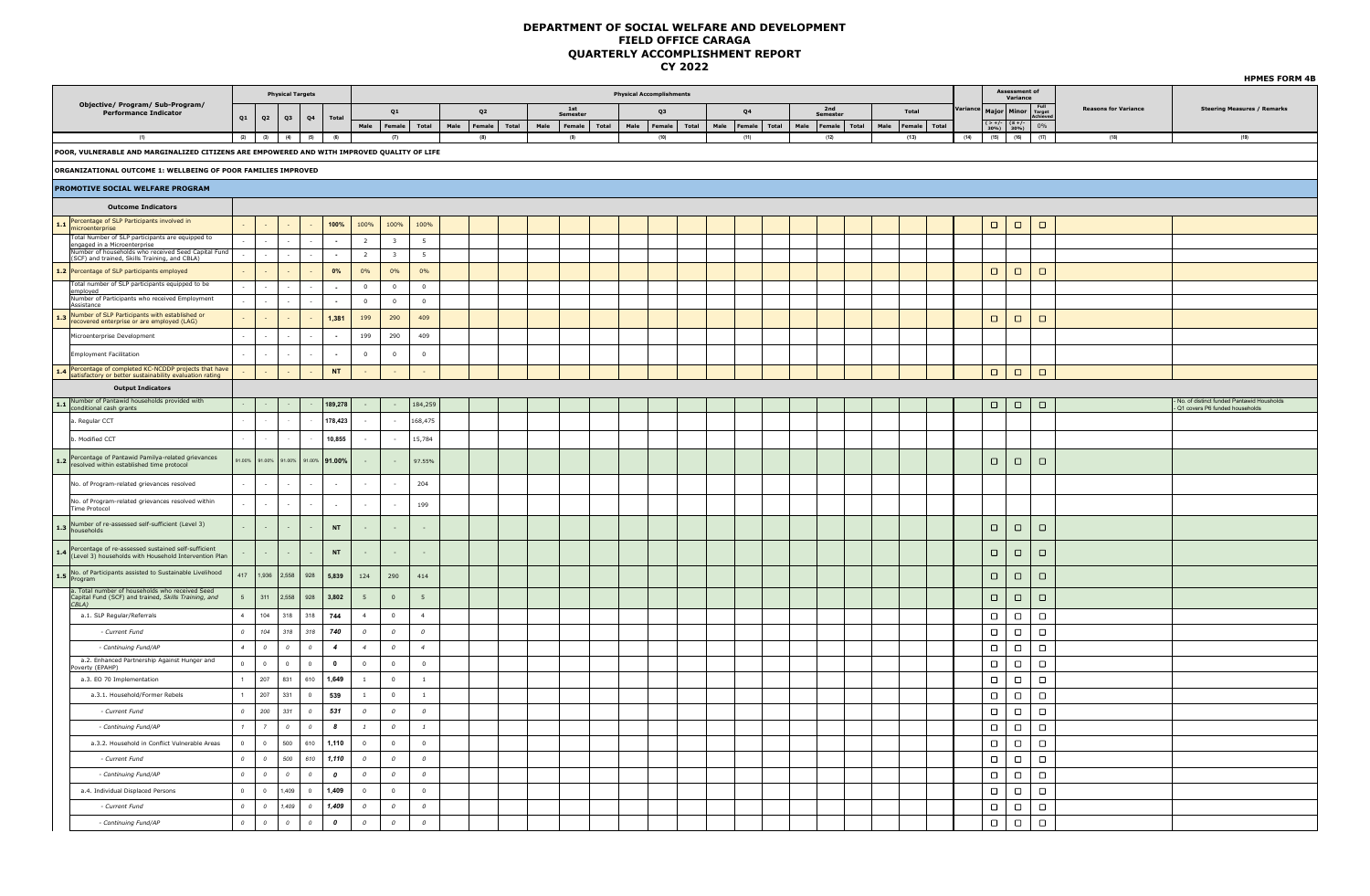|                                                                                                                    |                |                          |                |                         |                  |                |                         |                  |      |                |       |      |                     |       |      |                                 |       |                |              |      |                 |               |       |              |        |                                                  |                           |                           |                             | <b>HPMES FORM 4B</b>                                                        |
|--------------------------------------------------------------------------------------------------------------------|----------------|--------------------------|----------------|-------------------------|------------------|----------------|-------------------------|------------------|------|----------------|-------|------|---------------------|-------|------|---------------------------------|-------|----------------|--------------|------|-----------------|---------------|-------|--------------|--------|--------------------------------------------------|---------------------------|---------------------------|-----------------------------|-----------------------------------------------------------------------------|
|                                                                                                                    |                |                          |                | <b>Physical Targets</b> |                  |                |                         |                  |      |                |       |      |                     |       |      | <b>Physical Accomplishments</b> |       |                |              |      |                 |               |       |              |        |                                                  | Assessment of<br>Variance |                           |                             |                                                                             |
| Objective/ Program/ Sub-Program/<br><b>Performance Indicator</b>                                                   | Q1             | Q2                       | Q <sub>3</sub> | Q4                      | <b>Total</b>     |                | Q1                      |                  |      | Q <sub>2</sub> |       |      | $1st\,$<br>Semester |       |      | Q3                              |       | Q <sub>4</sub> |              |      | 2nd<br>Semester |               | Total |              | /ariar |                                                  | Major Minor               | Full<br>Target<br>Achieve | <b>Reasons for Variance</b> | <b>Steering Measures / Remarks</b>                                          |
|                                                                                                                    |                |                          |                |                         |                  | Male           | Female                  | Total            | Male | Female         | Total | Male | Female              | Total | Male | Female                          | Total | Male           | Female Total | Male | Female          | Total<br>Male |       | Female Total |        | $\frac{(> +/-}{30\%})$ $\frac{(\leq +/-)}{30\%}$ |                           | 0%                        |                             |                                                                             |
| (1)                                                                                                                |                | $(2)$ $(3)$              | (4)            | (5)                     | (6)              |                | (7)                     |                  |      | (8)            |       |      | (9)                 |       |      | (10)                            |       | (11)           |              |      | (12)            |               | (13)  |              | (14)   | (15)                                             | (16)                      | (17)                      | (18)                        | (19)                                                                        |
| POOR, VULNERABLE AND MARGINALIZED CITIZENS ARE EMPOWERED AND WITH IMPROVED QUALITY OF LIFE                         |                |                          |                |                         |                  |                |                         |                  |      |                |       |      |                     |       |      |                                 |       |                |              |      |                 |               |       |              |        |                                                  |                           |                           |                             |                                                                             |
| ORGANIZATIONAL OUTCOME 1: WELLBEING OF POOR FAMILIES IMPROVED                                                      |                |                          |                |                         |                  |                |                         |                  |      |                |       |      |                     |       |      |                                 |       |                |              |      |                 |               |       |              |        |                                                  |                           |                           |                             |                                                                             |
| <b>PROMOTIVE SOCIAL WELFARE PROGRAM</b>                                                                            |                |                          |                |                         |                  |                |                         |                  |      |                |       |      |                     |       |      |                                 |       |                |              |      |                 |               |       |              |        |                                                  |                           |                           |                             |                                                                             |
| <b>Outcome Indicators</b>                                                                                          |                |                          |                |                         |                  |                |                         |                  |      |                |       |      |                     |       |      |                                 |       |                |              |      |                 |               |       |              |        |                                                  |                           |                           |                             |                                                                             |
| 1.1 Percentage of SLP Participants involved in<br>microenterprise                                                  |                |                          |                |                         | 100%             | 100%           | 100%                    | 100%             |      |                |       |      |                     |       |      |                                 |       |                |              |      |                 |               |       |              |        | $\Box$                                           | $\Box$                    | $\Box$                    |                             |                                                                             |
| Total Number of SLP participants are equipped to<br>engaged in a Microenterprise                                   |                |                          |                |                         | $\sim$           | $\overline{2}$ | $\mathbf{3}$            | 5 <sup>5</sup>   |      |                |       |      |                     |       |      |                                 |       |                |              |      |                 |               |       |              |        |                                                  |                           |                           |                             |                                                                             |
| Number of households who received Seed Capital Fund<br>(SCF) and trained, Skills Training, and CBLA)               |                |                          |                |                         | $\sim$           | $\overline{2}$ | $\overline{\mathbf{3}}$ | $5\overline{5}$  |      |                |       |      |                     |       |      |                                 |       |                |              |      |                 |               |       |              |        |                                                  |                           |                           |                             |                                                                             |
| 1.2 Percentage of SLP participants employed                                                                        |                |                          |                |                         | 0%               | 0%             | 0%                      | 0%               |      |                |       |      |                     |       |      |                                 |       |                |              |      |                 |               |       |              |        | $\Box$                                           | $\Box$                    | $\Box$                    |                             |                                                                             |
| Total number of SLP participants equipped to be                                                                    |                |                          |                |                         |                  | $\overline{0}$ | $\overline{0}$          | $\circ$          |      |                |       |      |                     |       |      |                                 |       |                |              |      |                 |               |       |              |        |                                                  |                           |                           |                             |                                                                             |
| employed<br>Number of Participants who received Employment<br>Assistance                                           |                |                          |                |                         | $\sim$           | $\overline{0}$ | $\Omega$                | $\overline{0}$   |      |                |       |      |                     |       |      |                                 |       |                |              |      |                 |               |       |              |        |                                                  |                           |                           |                             |                                                                             |
| 1.3 Number of SLP Participants with established or<br>recovered enterprise or are employed (LAG)                   |                |                          |                |                         | 1,381            | 199            | 290                     | 409              |      |                |       |      |                     |       |      |                                 |       |                |              |      |                 |               |       |              |        | $\Box$                                           | $\Box$                    | $\Box$                    |                             |                                                                             |
| Microenterprise Development                                                                                        |                |                          |                |                         | $\sim$           | 199            | 290                     | 409              |      |                |       |      |                     |       |      |                                 |       |                |              |      |                 |               |       |              |        |                                                  |                           |                           |                             |                                                                             |
| <b>Employment Facilitation</b>                                                                                     |                | $\sim$                   |                |                         | $\sim$           | $\overline{0}$ | $\overline{0}$          | $\overline{0}$   |      |                |       |      |                     |       |      |                                 |       |                |              |      |                 |               |       |              |        |                                                  |                           |                           |                             |                                                                             |
| 1.4 Percentage of completed KC-NCDDP projects that have<br>satisfactory or better sustainability evaluation rating |                |                          |                |                         | <b>NT</b>        |                |                         |                  |      |                |       |      |                     |       |      |                                 |       |                |              |      |                 |               |       |              |        | $\Box$                                           | $\Box$                    | $\Box$                    |                             |                                                                             |
| <b>Output Indicators</b>                                                                                           |                |                          |                |                         |                  |                |                         |                  |      |                |       |      |                     |       |      |                                 |       |                |              |      |                 |               |       |              |        |                                                  |                           |                           |                             |                                                                             |
| 1.1 Number of Pantawid households provided with<br>conditional cash grants                                         |                |                          |                |                         | 189,278          |                |                         | 184,259          |      |                |       |      |                     |       |      |                                 |       |                |              |      |                 |               |       |              |        | $\Box$                                           | $\Box$                    | $\Box$                    |                             | No. of distinct funded Pantawid Housholds<br>Q1 covers P6 funded households |
| a. Regular CCT                                                                                                     |                |                          |                |                         | 178,423          |                |                         | 168,475          |      |                |       |      |                     |       |      |                                 |       |                |              |      |                 |               |       |              |        |                                                  |                           |                           |                             |                                                                             |
| b. Modified CCT                                                                                                    |                |                          |                |                         | 10,855           |                |                         | 15,784           |      |                |       |      |                     |       |      |                                 |       |                |              |      |                 |               |       |              |        |                                                  |                           |                           |                             |                                                                             |
|                                                                                                                    |                |                          |                |                         |                  |                |                         |                  |      |                |       |      |                     |       |      |                                 |       |                |              |      |                 |               |       |              |        |                                                  |                           |                           |                             |                                                                             |
| 1.2 Percentage of Pantawid Pamilya-related grievances<br>resolved within established time protocol                 | 91.00%         | 91.00%                   | 91.00%         |                         | 91.00% 91.00%    |                |                         | 97.55%           |      |                |       |      |                     |       |      |                                 |       |                |              |      |                 |               |       |              |        | $\Box$                                           | $\Box$                    | $\Box$                    |                             |                                                                             |
| No. of Program-related grievances resolved                                                                         |                |                          |                |                         | $\sim$           |                |                         | 204              |      |                |       |      |                     |       |      |                                 |       |                |              |      |                 |               |       |              |        |                                                  |                           |                           |                             |                                                                             |
| No. of Program-related grievances resolved within<br>Time Protocol                                                 |                | $\sim$                   |                |                         | $\sim$           |                |                         | 199              |      |                |       |      |                     |       |      |                                 |       |                |              |      |                 |               |       |              |        |                                                  |                           |                           |                             |                                                                             |
|                                                                                                                    |                |                          |                |                         |                  |                |                         |                  |      |                |       |      |                     |       |      |                                 |       |                |              |      |                 |               |       |              |        |                                                  |                           |                           |                             |                                                                             |
| 1.3 Number of re-assessed self-sufficient (Level 3)                                                                |                | $\sim$                   |                |                         | $\mathsf{NT}$    |                |                         |                  |      |                |       |      |                     |       |      |                                 |       |                |              |      |                 |               |       |              |        | $\Box$                                           | $\Box$                    | $\Box$                    |                             |                                                                             |
| 1.4 Percentage of re-assessed sustained self-sufficient<br>(Level 3) households with Household Intervention Plan   |                | $\sim$                   |                |                         | <b>NT</b>        |                |                         |                  |      |                |       |      |                     |       |      |                                 |       |                |              |      |                 |               |       |              |        | $\Box$                                           | $\Box$                    | $\Box$                    |                             |                                                                             |
| No. of Participants assisted to Sustainable Livelihood<br>Program                                                  | 417            | 1,936                    | 2,558          | 928                     | 5,839            | 124            | 290                     | 414              |      |                |       |      |                     |       |      |                                 |       |                |              |      |                 |               |       |              |        | $\Box$                                           | $\Box$                    | $\Box$                    |                             |                                                                             |
|                                                                                                                    |                |                          |                |                         |                  |                |                         |                  |      |                |       |      |                     |       |      |                                 |       |                |              |      |                 |               |       |              |        |                                                  |                           |                           |                             |                                                                             |
| a. Total number of households who received Seed<br>Capital Fund (SCF) and trained, Skills Training, and<br>CBLA    | $\sqrt{5}$     | 311                      | 2,558          | 928                     | 3,802            | 5 <sub>5</sub> | $\mathbf 0$             | 5                |      |                |       |      |                     |       |      |                                 |       |                |              |      |                 |               |       |              |        | $\Box$                                           | $\Box$                    | $\Box$                    |                             |                                                                             |
| a.1. SLP Regular/Referrals                                                                                         | 4              | 104                      | 318            | 318                     | 744              | 4              | $\circ$                 | $\overline{4}$   |      |                |       |      |                     |       |      |                                 |       |                |              |      |                 |               |       |              |        | $\Box$                                           | $\Box$                    | $\Box$                    |                             |                                                                             |
| - Current Fund                                                                                                     | $\overline{0}$ | 104                      | 318            | 318                     | 740              | ${\cal O}$     | $\boldsymbol{o}$        | $\bm{o}$         |      |                |       |      |                     |       |      |                                 |       |                |              |      |                 |               |       |              |        | $\Box$                                           | $\Box$                    | $\Box$                    |                             |                                                                             |
| - Continuing Fund/AP                                                                                               | $\overline{4}$ | $\pmb{\mathit{o}}$       | $\mathcal{O}$  | $\bm{o}$                | $\overline{4}$   | $\overline{4}$ | $\mathcal O$            | $\overline{4}$   |      |                |       |      |                     |       |      |                                 |       |                |              |      |                 |               |       |              |        | $\Box$                                           | $\Box$                    | $\Box$                    |                             |                                                                             |
| a.2. Enhanced Partnership Against Hunger and<br>Poverty (EPAHP)                                                    | $\overline{0}$ | $\circ$                  | $\circ$        | $\circ$                 | $\mathbf{0}$     | $\overline{0}$ | $\overline{0}$          | $\overline{0}$   |      |                |       |      |                     |       |      |                                 |       |                |              |      |                 |               |       |              |        | $\Box$                                           | $\Box$                    | $\Box$                    |                             |                                                                             |
| a.3. EO 70 Implementation                                                                                          |                | 207                      | 831            | 610                     | 1,649            | $\mathbf{1}$   | $\overline{0}$          | $\mathbf{1}$     |      |                |       |      |                     |       |      |                                 |       |                |              |      |                 |               |       |              |        | $\Box$                                           | $\Box$                    | $\Box$                    |                             |                                                                             |
| a.3.1. Household/Former Rebels                                                                                     |                | 207                      | 331            | $\overline{0}$          | 539              | $1$ $\,$       | $\mathbf 0$             | $1\,$            |      |                |       |      |                     |       |      |                                 |       |                |              |      |                 |               |       |              |        | $\Box$                                           | $\Box$                    | $\Box$                    |                             |                                                                             |
| - Current Fund                                                                                                     | $\overline{0}$ | 200                      | 331            | $\overline{\mathbf{0}}$ | 531              | $\mathcal{O}$  | $\mathcal{O}$           | $\mathcal{O}$    |      |                |       |      |                     |       |      |                                 |       |                |              |      |                 |               |       |              |        | $\Box$                                           | $\Box$                    | $\Box$                    |                             |                                                                             |
| - Continuing Fund/AP                                                                                               | $\mathcal{I}$  | $7^{\circ}$              | $\overline{0}$ | $\overline{\mathbf{0}}$ | 8                | $\mathbf{1}$   | $\boldsymbol{0}$        | $\mathbf{1}$     |      |                |       |      |                     |       |      |                                 |       |                |              |      |                 |               |       |              |        | $\Box$                                           | $\Box$                    | $\Box$                    |                             |                                                                             |
| a.3.2. Household in Conflict Vulnerable Areas                                                                      | $\overline{0}$ | $\mathsf{O}$             | 500            | 610                     | 1,110            | $\overline{0}$ | $\mathbf 0$             | $\mathbf 0$      |      |                |       |      |                     |       |      |                                 |       |                |              |      |                 |               |       |              |        | $\Box$                                           | $\Box$                    | $\Box$                    |                             |                                                                             |
| - Current Fund                                                                                                     | $\mathcal{O}$  | $\cal O$                 | 500            | 610                     | 1,110            | $\mathcal{O}$  | $\mathcal{O}$           | $\mathcal{O}$    |      |                |       |      |                     |       |      |                                 |       |                |              |      |                 |               |       |              |        | $\Box$                                           | $\Box$                    | $\Box$                    |                             |                                                                             |
| - Continuing Fund/AP                                                                                               | $\overline{0}$ | $\overline{\mathcal{O}}$ | $\Omega$       | $\overline{\mathbf{0}}$ | $\boldsymbol{a}$ | $\mathcal{O}$  | $\mathcal{O}$           | $\mathcal{O}$    |      |                |       |      |                     |       |      |                                 |       |                |              |      |                 |               |       |              |        | $\Box$                                           | $\Box$                    | $\Box$                    |                             |                                                                             |
| a.4. Individual Displaced Persons                                                                                  | $\,$ 0 $\,$    | $\mathsf{O}$             | 1,409          | $\mathbf{0}$            | 1,409            | $\overline{0}$ | $\mathbf 0$             | $\mathbf 0$      |      |                |       |      |                     |       |      |                                 |       |                |              |      |                 |               |       |              |        | $\Box$                                           | $\Box$                    | $\Box$                    |                             |                                                                             |
| - Current Fund                                                                                                     | $\overline{0}$ | $\pmb{o}$                | 1,409          | $\bm{o}$                | 1,409            | $\mathcal{O}$  | $\cal O$                | $\boldsymbol{o}$ |      |                |       |      |                     |       |      |                                 |       |                |              |      |                 |               |       |              |        | $\Box$                                           | $\Box$                    | $\Box$                    |                             |                                                                             |
| - Continuing Fund/AP                                                                                               | $\circ$        | $\overline{0}$           | $\overline{0}$ | $\circ$                 | $\boldsymbol{o}$ | $\mathfrak{o}$ | $\mathfrak{o}$          | $\boldsymbol{o}$ |      |                |       |      |                     |       |      |                                 |       |                |              |      |                 |               |       |              |        | $\Box$                                           | $\Box$                    | $\Box$                    |                             |                                                                             |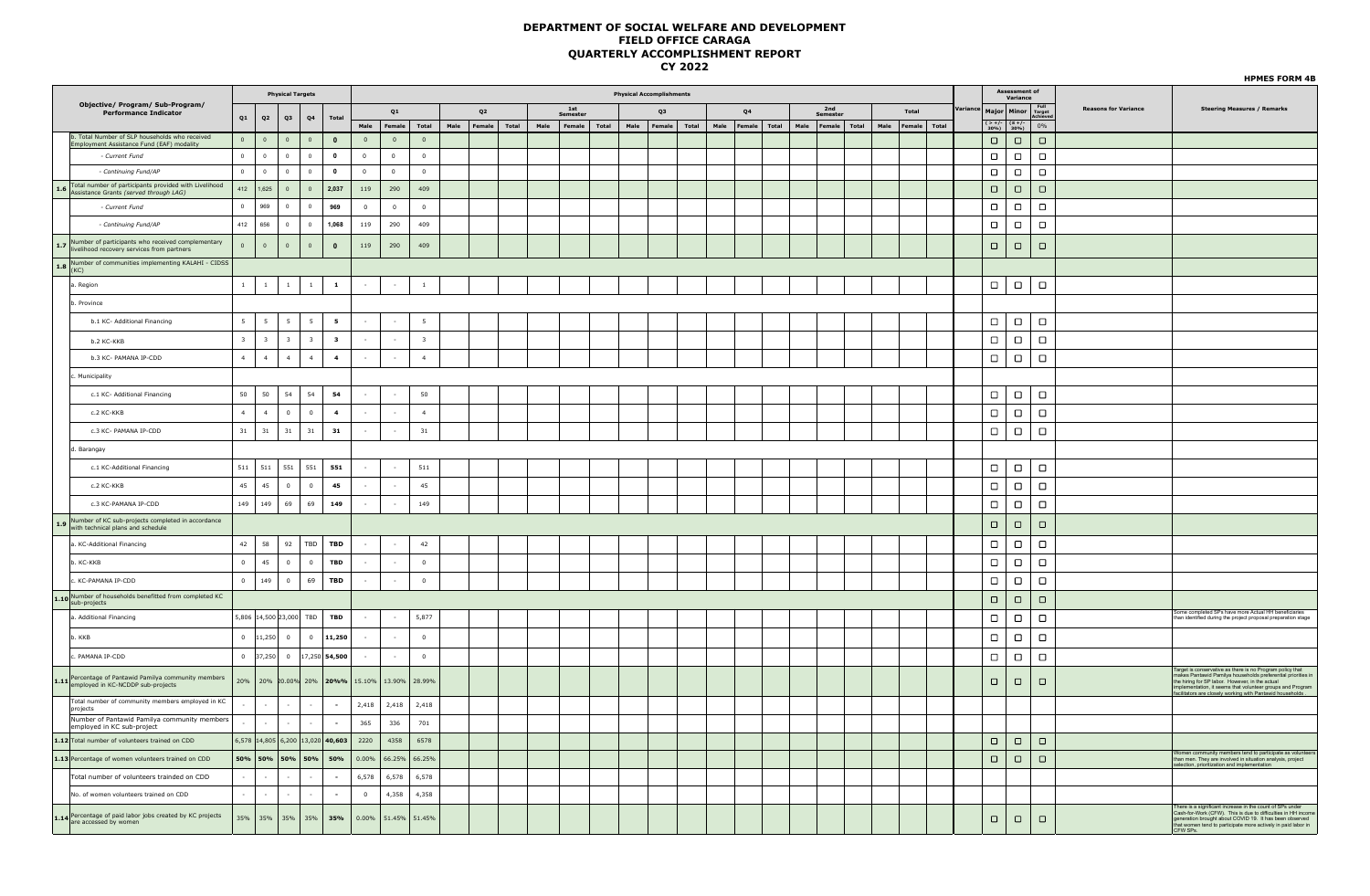|                                                                                                                        |                |                         |                         |                                  |                         |                         |                          |                      |                         |                |       |      |                         |       |      |                                 |       |                   |      |                 |               |       |                                           |          |        |                             | <b>HPMES FORM 4B</b>                                                                                                                                                                                                                                |
|------------------------------------------------------------------------------------------------------------------------|----------------|-------------------------|-------------------------|----------------------------------|-------------------------|-------------------------|--------------------------|----------------------|-------------------------|----------------|-------|------|-------------------------|-------|------|---------------------------------|-------|-------------------|------|-----------------|---------------|-------|-------------------------------------------|----------|--------|-----------------------------|-----------------------------------------------------------------------------------------------------------------------------------------------------------------------------------------------------------------------------------------------------|
|                                                                                                                        |                |                         |                         | <b>Physical Targets</b>          |                         |                         |                          |                      |                         |                |       |      |                         |       |      | <b>Physical Accomplishments</b> |       |                   |      |                 |               |       | Assessment of                             | Variance |        |                             |                                                                                                                                                                                                                                                     |
| Objective/ Program/ Sub-Program/<br><b>Performance Indicator</b>                                                       | Q1             |                         |                         |                                  | Total                   |                         | Q1                       |                      |                         | Q <sub>2</sub> |       |      | $1st$<br><b>Semeste</b> |       |      | Q3                              |       | Q <sub>4</sub>    |      | 2nd<br>Semester | Total         |       | Major Minor Full<br>Achieve               |          |        | <b>Reasons for Variance</b> | <b>Steering Measures / Remarks</b>                                                                                                                                                                                                                  |
|                                                                                                                        |                | Q2                      | Q3                      | Q <sub>4</sub>                   |                         | Male                    | Female                   |                      | Total                   | Male<br>Female | Total | Male | Female                  | Total | Male | Female                          | Total | Male Female Total | Male | Female Total    | Male   Female | Total | $\frac{2+7}{30\%}$<br>$(\leq +/-$<br>30%) |          | $0\%$  |                             |                                                                                                                                                                                                                                                     |
| b. Total Number of SLP households who received<br>Employment Assistance Fund (EAF) modality                            | $\Omega$       | $\Omega$                | $\circ$                 | $\Omega$                         | $\bf{0}$                | $\Omega$                | $\overline{0}$           |                      | $\overline{0}$          |                |       |      |                         |       |      |                                 |       |                   |      |                 |               |       | $\Box$                                    | $\Box$   | $\Box$ |                             |                                                                                                                                                                                                                                                     |
| - Current Fund                                                                                                         | $\circ$        | $\circ$                 | $\overline{0}$          | $\overline{0}$                   | $\overline{\mathbf{0}}$ | $\overline{0}$          | $\overline{0}$           |                      | $\overline{0}$          |                |       |      |                         |       |      |                                 |       |                   |      |                 |               |       | $\Box$                                    | $\Box$   | $\Box$ |                             |                                                                                                                                                                                                                                                     |
| - Continuing Fund/AP                                                                                                   | $\circ$        | $\circ$                 | $\circ$                 | $\circ$                          | $\overline{\mathbf{0}}$ | $\overline{\mathbf{0}}$ | $\overline{0}$           |                      | $\overline{0}$          |                |       |      |                         |       |      |                                 |       |                   |      |                 |               |       | $\Box$                                    | $\Box$   | $\Box$ |                             |                                                                                                                                                                                                                                                     |
| 1.6 Total number of participants provided with Livelihood<br>Assistance Grants (served through LAG)                    |                | $412$   1625            | $\overline{0}$          | $\Omega$                         | 2.037                   | 119                     | 290                      |                      | 409                     |                |       |      |                         |       |      |                                 |       |                   |      |                 |               |       | $\Box$                                    | $\Box$   | $\Box$ |                             |                                                                                                                                                                                                                                                     |
| - Current Fund                                                                                                         | $\circ$        | 969                     | $\circ$                 | $\circ$                          | 969                     | $\overline{0}$          | $\overline{0}$           |                      | $\overline{0}$          |                |       |      |                         |       |      |                                 |       |                   |      |                 |               |       | $\Box$                                    | $\Box$   | $\Box$ |                             |                                                                                                                                                                                                                                                     |
| - Continuing Fund/AP                                                                                                   | 412            | 656                     | $\overline{0}$          | $\overline{0}$                   | 1,068                   | 119                     | 290                      |                      | 409                     |                |       |      |                         |       |      |                                 |       |                   |      |                 |               |       | $\Box$                                    | $\Box$   | $\Box$ |                             |                                                                                                                                                                                                                                                     |
| 1.7 Number of participants who received complementary<br>livelihood recovery services from partners                    | $\overline{0}$ | $\circ$                 | $\mathbb O$             | $\overline{0}$                   | $\mathbf{0}$            | 119                     | 290                      |                      | 409                     |                |       |      |                         |       |      |                                 |       |                   |      |                 |               |       | $\Box$                                    | $\Box$   | $\Box$ |                             |                                                                                                                                                                                                                                                     |
| <b>1.8</b> Number of communities implementing KALAHI - CIDSS                                                           |                |                         |                         |                                  |                         |                         |                          |                      |                         |                |       |      |                         |       |      |                                 |       |                   |      |                 |               |       |                                           |          |        |                             |                                                                                                                                                                                                                                                     |
| a. Region                                                                                                              | $1$ $\,$       | $\mathbf{1}$            | $\mathbf{1}$            | 1                                | $\mathbf{1}$            | $\sim$                  | $\mathcal{L}$            |                      | $1$ $\,$                |                |       |      |                         |       |      |                                 |       |                   |      |                 |               |       | $\Box$                                    | $\Box$   | $\Box$ |                             |                                                                                                                                                                                                                                                     |
| b. Province                                                                                                            |                |                         |                         |                                  |                         |                         |                          |                      |                         |                |       |      |                         |       |      |                                 |       |                   |      |                 |               |       |                                           |          |        |                             |                                                                                                                                                                                                                                                     |
| b.1 KC- Additional Financing                                                                                           | 5 <sup>1</sup> | $-5$                    | 5                       | 5                                | 5                       | $\sim$                  | $\sim$                   |                      | 5                       |                |       |      |                         |       |      |                                 |       |                   |      |                 |               |       | $\Box$                                    | $\Box$   | $\Box$ |                             |                                                                                                                                                                                                                                                     |
| b.2 KC-KKB                                                                                                             | $\overline{3}$ | $\overline{\mathbf{3}}$ | $\overline{\mathbf{3}}$ | $\overline{\mathbf{3}}$          | $\overline{\mathbf{3}}$ | $\sim$                  | $\sim$                   |                      | $\overline{\mathbf{3}}$ |                |       |      |                         |       |      |                                 |       |                   |      |                 |               |       | $\Box$                                    | $\Box$   | $\Box$ |                             |                                                                                                                                                                                                                                                     |
| b.3 KC- PAMANA IP-CDD                                                                                                  | 4              | $\overline{4}$          | $\overline{4}$          | 4                                | $\overline{\mathbf{4}}$ | $\sim$                  | $\sim$                   |                      | $\overline{4}$          |                |       |      |                         |       |      |                                 |       |                   |      |                 |               |       | $\Box$                                    | $\Box$   | $\Box$ |                             |                                                                                                                                                                                                                                                     |
| Municipality                                                                                                           |                |                         |                         |                                  |                         |                         |                          |                      |                         |                |       |      |                         |       |      |                                 |       |                   |      |                 |               |       |                                           |          |        |                             |                                                                                                                                                                                                                                                     |
| c.1 KC- Additional Financing                                                                                           | 50             | 50                      | 54                      | 54                               | 54                      |                         | $\mathcal{L}$            |                      | 50                      |                |       |      |                         |       |      |                                 |       |                   |      |                 |               |       | $\Box$                                    | $\Box$   | $\Box$ |                             |                                                                                                                                                                                                                                                     |
| c.2 KC-KKB                                                                                                             | $\overline{4}$ | $\overline{4}$          | $\overline{0}$          | $\overline{0}$                   | $\overline{\mathbf{4}}$ | $\sim$                  | $\sim$                   |                      | $\overline{4}$          |                |       |      |                         |       |      |                                 |       |                   |      |                 |               |       | $\Box$                                    | $\Box$   | $\Box$ |                             |                                                                                                                                                                                                                                                     |
| c.3 KC- PAMANA IP-CDD                                                                                                  | 31             |                         |                         |                                  |                         | $\sim$                  | $\sim$                   |                      | 31                      |                |       |      |                         |       |      |                                 |       |                   |      |                 |               |       | $\Box$                                    |          | $\Box$ |                             |                                                                                                                                                                                                                                                     |
|                                                                                                                        |                | $31\,$                  | 31                      | 31                               | 31                      |                         |                          |                      |                         |                |       |      |                         |       |      |                                 |       |                   |      |                 |               |       |                                           | $\Box$   |        |                             |                                                                                                                                                                                                                                                     |
| d. Barangay                                                                                                            |                |                         |                         |                                  |                         |                         |                          |                      |                         |                |       |      |                         |       |      |                                 |       |                   |      |                 |               |       |                                           |          |        |                             |                                                                                                                                                                                                                                                     |
| c.1 KC-Additional Financing                                                                                            | 511            | 511                     | 551                     | 551                              | 551                     |                         | $\sim$                   |                      | 511                     |                |       |      |                         |       |      |                                 |       |                   |      |                 |               |       | $\Box$                                    | $\Box$   | $\Box$ |                             |                                                                                                                                                                                                                                                     |
| c.2 KC-KKB                                                                                                             | 45             | $45\,$                  | $\overline{0}$          | $\overline{0}$                   | 45                      | $\sim$                  | $\sim$                   |                      | 45                      |                |       |      |                         |       |      |                                 |       |                   |      |                 |               |       | $\Box$                                    | $\Box$   | $\Box$ |                             |                                                                                                                                                                                                                                                     |
| c.3 KC-PAMANA IP-CDD                                                                                                   | 149            | 149                     | 69                      | 69                               | 149                     | $\sim$                  | $\sim$                   |                      | 149                     |                |       |      |                         |       |      |                                 |       |                   |      |                 |               |       | $\Box$                                    | $\Box$   | $\Box$ |                             |                                                                                                                                                                                                                                                     |
| 1.9 Number of KC sub-projects completed in accordance<br>with technical plans and schedule                             |                |                         |                         |                                  |                         |                         |                          |                      |                         |                |       |      |                         |       |      |                                 |       |                   |      |                 |               |       | $\Box$                                    | $\Box$   | $\Box$ |                             |                                                                                                                                                                                                                                                     |
| a. KC-Additional Financing                                                                                             | 42             | 58                      | 92                      |                                  | TBD   TBD               | $\sim$                  | $\sim$                   |                      | 42                      |                |       |      |                         |       |      |                                 |       |                   |      |                 |               |       | $\Box$                                    | $\Box$   | $\Box$ |                             |                                                                                                                                                                                                                                                     |
| b. KC-KKB                                                                                                              | $\overline{0}$ | $45\,$                  | $\overline{0}$          | $\overline{0}$                   | TBD                     | $\sim$                  | $\sim$                   |                      | $\overline{\mathbf{0}}$ |                |       |      |                         |       |      |                                 |       |                   |      |                 |               |       | $\Box$                                    | $\Box$   | $\Box$ |                             |                                                                                                                                                                                                                                                     |
| c. KC-PAMANA IP-CDD                                                                                                    | $\overline{0}$ | 149                     | $\overline{0}$          | 69                               | <b>TBD</b>              |                         | $\sim$                   |                      | $\overline{0}$          |                |       |      |                         |       |      |                                 |       |                   |      |                 |               |       | $\Box$                                    | $\Box$   | $\Box$ |                             |                                                                                                                                                                                                                                                     |
| 1.10 Number of households benefitted from completed KC<br>sub-projects                                                 |                |                         |                         |                                  |                         |                         |                          |                      |                         |                |       |      |                         |       |      |                                 |       |                   |      |                 |               |       | $\Box$                                    | $\Box$   | $\Box$ |                             |                                                                                                                                                                                                                                                     |
| a. Additional Financing                                                                                                |                |                         |                         | 5,806 14,500 23,000 TBD          | <b>TBD</b>              | $\sim$                  | $\sim$                   |                      | 5,877                   |                |       |      |                         |       |      |                                 |       |                   |      |                 |               |       | $\Box$                                    | $\Box$   | $\Box$ |                             | Some completed SPs have more Actual HH beneficiaries<br>an identified during the project proposal preparation stage                                                                                                                                 |
| b. KKB                                                                                                                 |                | $0$ 11,250              | $\overline{0}$          |                                  | $0 \mid 11,250$         |                         | $\sim$                   |                      | $\mathbf 0$             |                |       |      |                         |       |      |                                 |       |                   |      |                 |               |       | $\Box$                                    | $\Box$   | $\Box$ |                             |                                                                                                                                                                                                                                                     |
| c. PAMANA IP-CDD                                                                                                       |                | $0$ 37,250              | $\overline{0}$          |                                  | 17,250 54,500           | ×                       | $\overline{\phantom{a}}$ |                      | $\overline{0}$          |                |       |      |                         |       |      |                                 |       |                   |      |                 |               |       | $\Box$                                    | $\Box$   | $\Box$ |                             |                                                                                                                                                                                                                                                     |
| 1.11 Percentage of Pantawid Pamilya community members<br>employed in KC-NCDDP sub-projects                             |                | 20% 20% 20,00%          |                         |                                  | 20% 20%%                |                         |                          | 15.10% 13.90% 28.99% |                         |                |       |      |                         |       |      |                                 |       |                   |      |                 |               |       | $\Box$                                    | $\Box$   | $\Box$ |                             | Target is conservative as there is no Program policy that<br>makes Pantawid Pamilya households preferential priorities in<br>the hiring for SP labor. However, in the actual<br>implementation, it seems that volunteer groups and Prog             |
| Total number of community members employed in KC<br>projects                                                           | $\sim$         | $\sim$                  | $\sim$                  | $\sim$                           | $\sim$                  | 2,418                   | 2,418                    |                      | 2,418                   |                |       |      |                         |       |      |                                 |       |                   |      |                 |               |       |                                           |          |        |                             |                                                                                                                                                                                                                                                     |
| Number of Pantawid Pamilya community members<br>employed in KC sub-project                                             |                |                         |                         |                                  | $\sim$                  | 365                     | 336                      |                      | 701                     |                |       |      |                         |       |      |                                 |       |                   |      |                 |               |       |                                           |          |        |                             |                                                                                                                                                                                                                                                     |
| 1.12 Total number of volunteers trained on CDD                                                                         |                |                         |                         | 6,578 14,805 6,200 13,020 40,603 |                         | 2220                    | 4358                     |                      | 6578                    |                |       |      |                         |       |      |                                 |       |                   |      |                 |               |       | $\Box$                                    | $\Box$   | $\Box$ |                             |                                                                                                                                                                                                                                                     |
| 1.13 Percentage of women volunteers trained on CDD                                                                     | 50%            | 50%                     | 50%                     | 50%                              | 50%                     | 0.00%                   | 66.25%                   |                      | 66.25%                  |                |       |      |                         |       |      |                                 |       |                   |      |                 |               |       | $\Box$                                    | $\Box$   | $\Box$ |                             | Women community members tend to participate as volunted<br>than men. They are involved in situation analysis, project                                                                                                                               |
| Total number of volunteers trainded on CDD                                                                             |                |                         |                         |                                  | $\sim$                  | 6,578                   | 6,578                    |                      | 6,578                   |                |       |      |                         |       |      |                                 |       |                   |      |                 |               |       |                                           |          |        |                             | selection, prioritization and implementation                                                                                                                                                                                                        |
| No. of women volunteers trained on CDD                                                                                 |                |                         |                         |                                  | $\sim$                  | $\mathbf 0$             | 4,358                    |                      | 4,358                   |                |       |      |                         |       |      |                                 |       |                   |      |                 |               |       |                                           |          |        |                             |                                                                                                                                                                                                                                                     |
| 1.14 Percentage of paid labor jobs created by KC projects<br>1.14 Percentage of paid labor jobs created by KC projects |                | 35% 35%                 | 35%                     |                                  | 35% 35%                 |                         |                          | 0.00% 51.45% 51.45%  |                         |                |       |      |                         |       |      |                                 |       |                   |      |                 |               |       | $\Box$                                    | $\Box$   | $\Box$ |                             | There is a significant increase in the count of SPs under<br>Cash-for-Work (CFW). This is due to difficulties in HH incom<br>generation brought about COVID 19. It has been observed<br>that women tend to participate more actively in<br>CFW SPs. |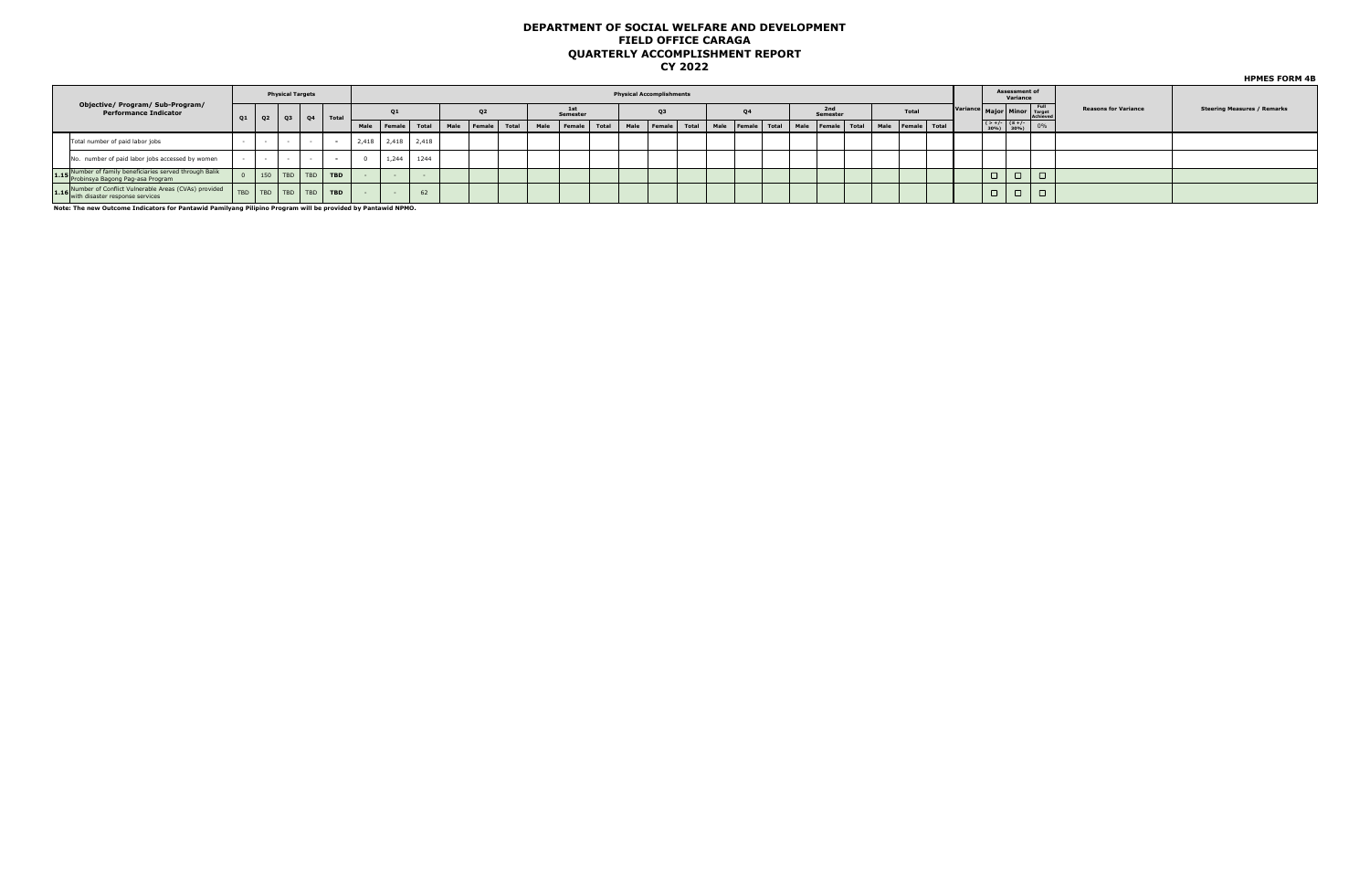|                                                                                              |    | <b>Physical Targets</b> |           |            |      |        |                   |              |                |       |      |                 | <b>Physical Accomplishments</b> |                |      |                                |  |                 |  |                   |  |                                                                                              | Assessment of<br>Variance |                                        |                             |                                    |
|----------------------------------------------------------------------------------------------|----|-------------------------|-----------|------------|------|--------|-------------------|--------------|----------------|-------|------|-----------------|---------------------------------|----------------|------|--------------------------------|--|-----------------|--|-------------------|--|----------------------------------------------------------------------------------------------|---------------------------|----------------------------------------|-----------------------------|------------------------------------|
| Objective/ Program/ Sub-Program/<br>Performance Indicator                                    | Q1 | Q2                      | $Q3$ $Q4$ | $T$ otal   |      | 01     |                   |              | Q <sub>2</sub> |       |      | 1st<br>Semester |                                 | Q <sub>3</sub> |      | 04                             |  | 2nd<br>Semester |  | Total             |  |                                                                                              |                           | Variance Major Minor Target<br>Achieve | <b>Reasons for Variance</b> | <b>Steering Measures / Remarks</b> |
|                                                                                              |    |                         |           |            | Male | Female |                   | Total   Male | Female         | Total | Male | Female Total    | Male                            | Female Total   | Male | Female Total Male Female Total |  |                 |  | Male Female Total |  | $\begin{array}{ c c c c }\n & & & & \text{(5 +/-)} \\ \hline\n & 30\% & 30\% \\ \end{array}$ |                           |                                        |                             |                                    |
| Total number of paid labor jobs                                                              |    |                         |           |            |      |        | 2,418 2,418 2,418 |              |                |       |      |                 |                                 |                |      |                                |  |                 |  |                   |  |                                                                                              |                           |                                        |                             |                                    |
| No. number of paid labor jobs accessed by women                                              |    | $\sim$                  | $\sim$    |            |      | 1,244  | 1244              |              |                |       |      |                 |                                 |                |      |                                |  |                 |  |                   |  |                                                                                              |                           |                                        |                             |                                    |
| 1.15 Number of family beneficiaries served through Balik<br>Probinsya Bagong Pag-asa Program |    | $150$ TBD TBD           |           | <b>TBD</b> |      |        |                   |              |                |       |      |                 |                                 |                |      |                                |  |                 |  |                   |  | $\Box$                                                                                       | $\Box$                    |                                        |                             |                                    |
| 1.16 Number of Conflict Vulnerable Areas (CVAs) provided<br>with disaster response services  |    |                         |           | <b>TBD</b> |      |        | 62                |              |                |       |      |                 |                                 |                |      |                                |  |                 |  |                   |  | $\Box$                                                                                       | $\Box$                    | $\Box$                                 |                             |                                    |

**Note: The new Outcome Indicators for Pantawid Pamilyang Pilipino Program will be provided by Pantawid NPMO.** 

**HPMES FORM 4B**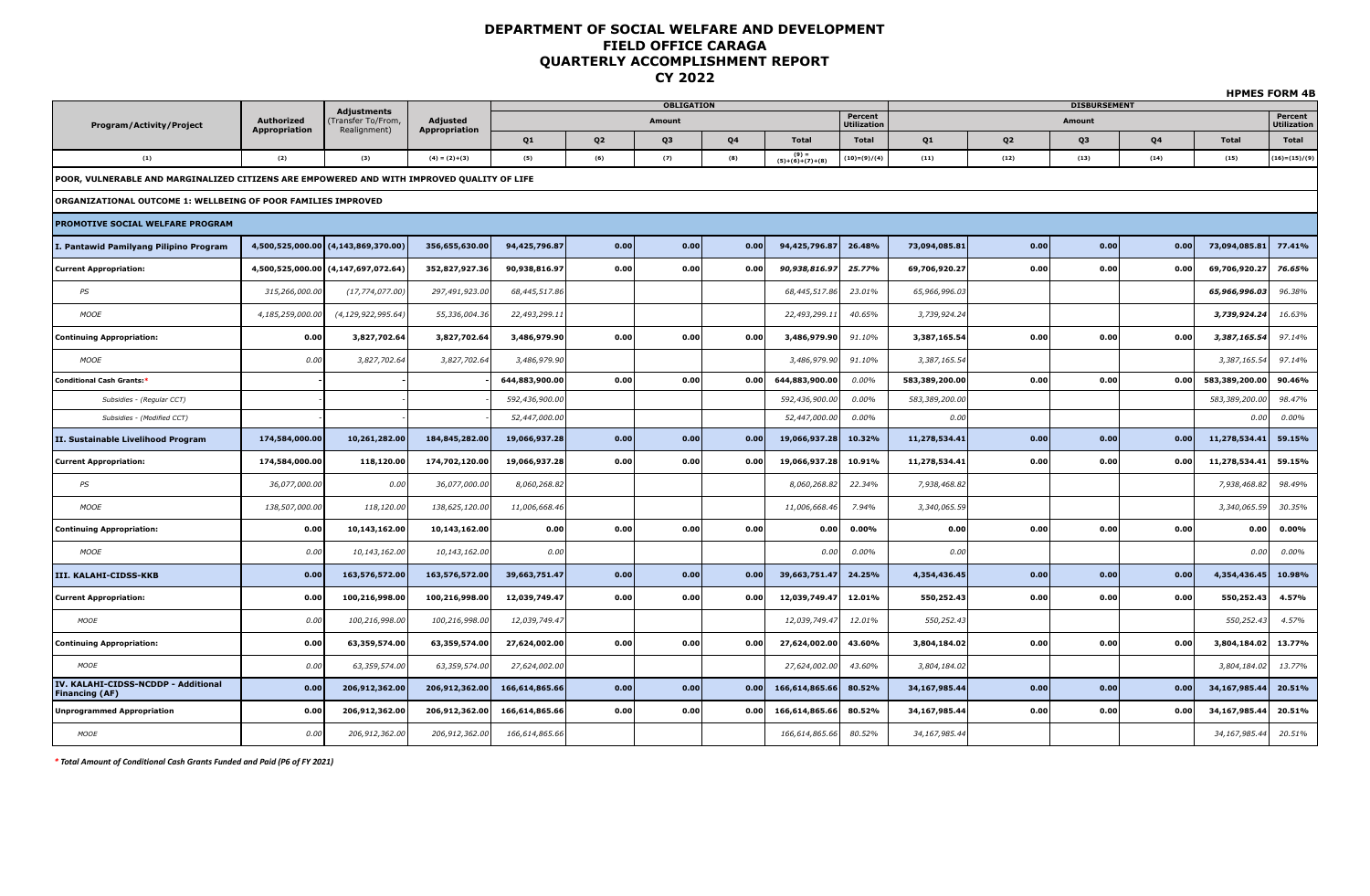|                                                                                            |                             |                                     |                           |                |                |                   |      |                            |                                    |                |                |                          |      |                | <b>HPMES FORM 4B</b>        |
|--------------------------------------------------------------------------------------------|-----------------------------|-------------------------------------|---------------------------|----------------|----------------|-------------------|------|----------------------------|------------------------------------|----------------|----------------|--------------------------|------|----------------|-----------------------------|
|                                                                                            |                             | <b>Adjustments</b>                  |                           |                |                | <b>OBLIGATION</b> |      |                            | Percent                            |                |                | <b>DISBURSEMENT</b>      |      |                | Percent                     |
| <b>Program/Activity/Project</b>                                                            | Authorized<br>Appropriation | Fransfer To/From,<br>Realignment)   | Adjusted<br>Appropriation |                | Q <sub>2</sub> | Amount<br>Q3      | Q4   | <b>Total</b>               | <b>Utilization</b><br><b>Total</b> |                | Q <sub>2</sub> | Amount<br>Q <sub>3</sub> | Q4   | <b>Total</b>   | <b>Utilization</b><br>Total |
| (1)                                                                                        | (2)                         | (3)                                 | $(4) = (2)+(3)$           | Q1<br>(5)      | (6)            | (7)               | (8)  | $(9) =$<br>(5)+(6)+(7)+(8) | $(10)=(9)/(4)$                     | Q1<br>(11)     | (12)           | (13)                     | (14) | (15)           | $(16) = (15) / (9)$         |
| POOR, VULNERABLE AND MARGINALIZED CITIZENS ARE EMPOWERED AND WITH IMPROVED QUALITY OF LIFE |                             |                                     |                           |                |                |                   |      |                            |                                    |                |                |                          |      |                |                             |
|                                                                                            |                             |                                     |                           |                |                |                   |      |                            |                                    |                |                |                          |      |                |                             |
| ORGANIZATIONAL OUTCOME 1: WELLBEING OF POOR FAMILIES IMPROVED                              |                             |                                     |                           |                |                |                   |      |                            |                                    |                |                |                          |      |                |                             |
| PROMOTIVE SOCIAL WELFARE PROGRAM                                                           |                             |                                     |                           |                |                |                   |      |                            |                                    |                |                |                          |      |                |                             |
| I. Pantawid Pamilyang Pilipino Program                                                     |                             | 4,500,525,000.00 (4,143,869,370.00) | 356,655,630.00            | 94,425,796.87  | 0.00           | 0.00              | 0.00 | 94,425,796.87              | 26.48%                             | 73,094,085.81  | 0.00           | 0.00                     | 0.00 | 73,094,085.81  | 77.41%                      |
| <b>Current Appropriation:</b>                                                              |                             | 4,500,525,000.00 (4,147,697,072.64) | 352,827,927.36            | 90,938,816.97  | 0.00           | 0.00              | 0.00 | 90,938,816.9               | 25.77%                             | 69,706,920.27  | 0.00           | 0.00                     | 0.00 | 69,706,920.27  | 76.65%                      |
| PS                                                                                         | 315,266,000.00              | (17, 774, 077.00)                   | 297,491,923.00            | 68,445,517.86  |                |                   |      | 68,445,517.86              | 23.01%                             | 65,966,996.03  |                |                          |      | 65,966,996.03  | 96.38%                      |
| <b>MOOE</b>                                                                                | 4,185,259,000.00            | (4, 129, 922, 995.64)               | 55,336,004.36             | 22,493,299.11  |                |                   |      | 22,493,299.1               | 40.65%                             | 3,739,924.24   |                |                          |      | 3,739,924.24   | 16.63%                      |
| <b>Continuing Appropriation:</b>                                                           | 0.00                        | 3,827,702.64                        | 3,827,702.64              | 3,486,979.90   | 0.00           | 0.00              | 0.00 | 3,486,979.90               | 91.10%                             | 3,387,165.54   | 0.00           | 0.00                     | 0.00 | 3,387,165.54   | 97.14%                      |
| <b>MOOE</b>                                                                                | 0.00                        | 3,827,702.64                        | 3,827,702.64              | 3,486,979.90   |                |                   |      | 3,486,979.90               | 91.10%                             | 3,387,165.54   |                |                          |      | 3,387,165.54   | 97.14%                      |
| <b>Conditional Cash Grants:*</b>                                                           |                             |                                     |                           | 644,883,900.00 | 0.00           | 0.00              | 0.00 | 644,883,900.00             | $0.00\%$                           | 583,389,200.00 | 0.00           | 0.00                     | 0.00 | 583,389,200.00 | 90.46%                      |
| Subsidies - (Regular CCT)                                                                  |                             |                                     |                           | 592,436,900.00 |                |                   |      | 592,436,900.00             | 0.00%                              | 583,389,200.00 |                |                          |      | 583,389,200.00 | 98.47%                      |
| Subsidies - (Modified CCT)                                                                 |                             |                                     |                           | 52,447,000.00  |                |                   |      | 52,447,000.00              | 0.00%                              | 0.00           |                |                          |      | 0.00           | $0.00\%$                    |
| II. Sustainable Livelihood Program                                                         | 174,584,000.00              | 10,261,282.00                       | 184,845,282.00            | 19,066,937.28  | 0.00           | 0.00              | 0.00 | 19,066,937.28              | 10.32%                             | 11,278,534.41  | 0.00           | 0.00                     | 0.00 | 11,278,534.41  | 59.15%                      |
| <b>Current Appropriation:</b>                                                              | 174,584,000.00              | 118,120.00                          | 174,702,120.00            | 19,066,937.28  | 0.00           | 0.00              | 0.00 | 19,066,937.28              | 10.91%                             | 11,278,534.41  | 0.00           | 0.00                     | 0.00 | 11,278,534.41  | 59.15%                      |
| PS                                                                                         | 36,077,000.00               | 0.00                                | 36,077,000.00             | 8,060,268.82   |                |                   |      | 8,060,268.82               | 22.34%                             | 7,938,468.82   |                |                          |      | 7,938,468.82   | 98.49%                      |
| MOOE                                                                                       | 138,507,000.00              | 118,120.00                          | 138,625,120.00            | 11,006,668.46  |                |                   |      | 11,006,668.46              | 7.94%                              | 3,340,065.59   |                |                          |      | 3,340,065.59   | 30.35%                      |
| <b>Continuing Appropriation:</b>                                                           | 0.00                        | 10,143,162.00                       | 10,143,162.00             | 0.00           | 0.00           | 0.00              | 0.00 | 0.00                       | $0.00\%$                           | 0.00           | 0.00           | 0.00                     | 0.00 | 0.00           | 0.00%                       |
| <b>MOOE</b>                                                                                | 0.00                        | 10,143,162.00                       | 10,143,162.00             | 0.00           |                |                   |      | 0.00                       | 0.00%                              | 0.00           |                |                          |      | 0.00           | $0.00\%$                    |
| III. KALAHI-CIDSS-KKB                                                                      | 0.00                        | 163,576,572.00                      | 163,576,572.00            | 39,663,751.47  | 0.00           | 0.00              | 0.00 | 39,663,751.47              | 24.25%                             | 4,354,436.45   | 0.00           | 0.00                     | 0.00 | 4,354,436.45   | 10.98%                      |
| <b>Current Appropriation:</b>                                                              | 0.00                        | 100,216,998.00                      | 100,216,998.00            | 12,039,749.47  | 0.00           | 0.00              | 0.00 | 12,039,749.47              | 12.01%                             | 550,252.43     | 0.00           | 0.00                     | 0.00 | 550,252.43     | 4.57%                       |
| <b>MOOE</b>                                                                                | 0.00                        | 100,216,998.00                      | 100,216,998.00            | 12,039,749.47  |                |                   |      | 12,039,749.47              | 12.01%                             | 550,252.43     |                |                          |      | 550,252.43     | 4.57%                       |
| <b>Continuing Appropriation:</b>                                                           | 0.00                        | 63,359,574.00                       | 63,359,574.00             | 27,624,002.00  | 0.00           | 0.00              | 0.00 | 27,624,002.00              | 43.60%                             | 3,804,184.02   | 0.00           | 0.00                     | 0.00 | 3,804,184.02   | 13.77%                      |
| MOOE                                                                                       | 0.00                        | 63,359,574.00                       | 63,359,574.00             | 27,624,002.00  |                |                   |      | 27,624,002.00              | 43.60%                             | 3,804,184.02   |                |                          |      | 3,804,184.02   | 13.77%                      |
| IV. KALAHI-CIDSS-NCDDP - Additional<br>Financing (AF)                                      | 0.00                        | 206,912,362.00                      | 206,912,362.00            | 166,614,865.66 | 0.00           | 0.00              | 0.00 | 166,614,865.66             | 80.52%                             | 34,167,985.44  | 0.00           | 0.00                     | 0.00 | 34,167,985.44  | 20.51%                      |
| <b>Unprogrammed Appropriation</b>                                                          | 0.00                        | 206,912,362.00                      | 206,912,362.00            | 166,614,865.66 | 0.00           | 0.00              | 0.00 | 166,614,865.66             | 80.52%                             | 34,167,985.44  | 0.00           | 0.00                     | 0.00 | 34,167,985.44  | 20.51%                      |
| MOOE                                                                                       | 0.00                        | 206,912,362.00                      | 206, 912, 362.00          | 166,614,865.66 |                |                   |      | 166,614,865.66             | 80.52%                             | 34,167,985.44  |                |                          |      | 34,167,985.44  | 20.51%                      |

*\* Total Amount of Conditional Cash Grants Funded and Paid (P6 of FY 2021)*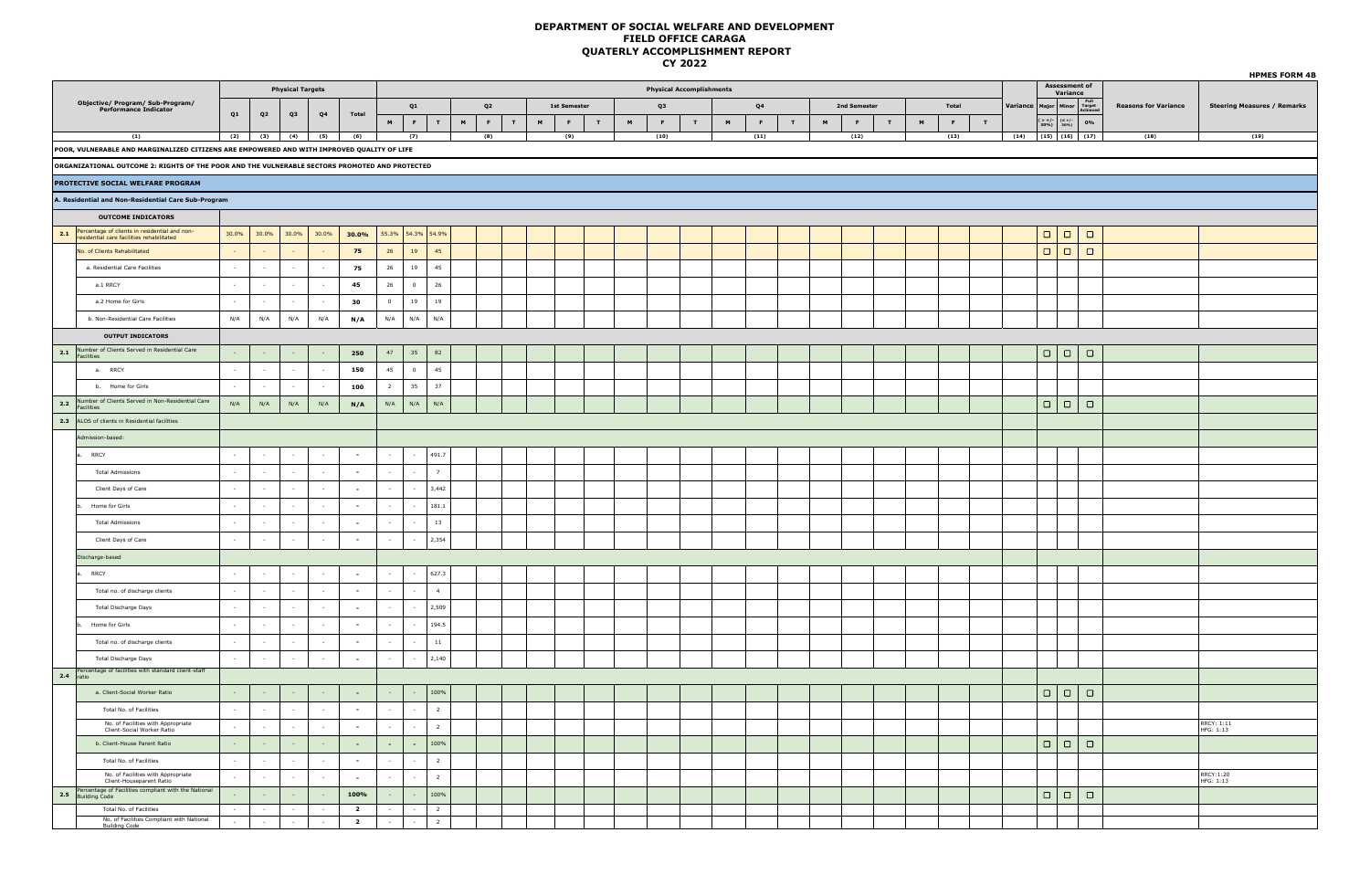|     |                                                                                                |        |                |                         |                          |                         |                |                   |                 |   |                |                  |                     |             |   |                                 |             |                |                |   |   |              |             |   |       |   |          |                                                                  |                                   |                             | <b>HPMES FORM 4B</b>               |
|-----|------------------------------------------------------------------------------------------------|--------|----------------|-------------------------|--------------------------|-------------------------|----------------|-------------------|-----------------|---|----------------|------------------|---------------------|-------------|---|---------------------------------|-------------|----------------|----------------|---|---|--------------|-------------|---|-------|---|----------|------------------------------------------------------------------|-----------------------------------|-----------------------------|------------------------------------|
|     |                                                                                                |        |                | <b>Physical Targets</b> |                          |                         |                |                   |                 |   |                |                  |                     |             |   | <b>Physical Accomplishments</b> |             |                |                |   |   |              |             |   |       |   |          |                                                                  | <b>Assessment of<br/>Variance</b> |                             |                                    |
|     | Objective/ Program/ Sub-Program/<br>Performance Indicator                                      |        |                |                         |                          |                         |                | Q1                |                 |   | Q <sub>2</sub> |                  | <b>1st Semester</b> |             |   | Q3                              |             |                | Q <sub>4</sub> |   |   | 2nd Semester |             |   | Total |   | Variance |                                                                  | Major Minor Full<br>Achieve       | <b>Reasons for Variance</b> | <b>Steering Measures / Remarks</b> |
|     |                                                                                                | Q1     | Q <sub>2</sub> | Q3                      | Q4                       | Total                   | M              | $\mathbf{F}$ .    | T               | M | $\mathbf{F}$   | $\mathbf T$<br>M | $\mathbf{F}$ .      | $\mathbf T$ | M | <b>F</b>                        | $\mathbf T$ | $\blacksquare$ | $\mathbf{F}$   | T | M | E.           | $\mathbf T$ | M | F     | T |          | $\begin{array}{c c} ( > +/- & (\leq +/-30\%) & 30\% \end{array}$ | $0\%$                             |                             |                                    |
|     | (1)                                                                                            | (2)    | (3)            | (4)                     | (5)                      | (6)                     |                | (7)               |                 |   | (8)            |                  | (9)                 |             |   | (10)                            |             |                | (11)           |   |   | (12)         |             |   | (13)  |   |          |                                                                  | $(14)$ $(15)$ $(16)$ $(17)$       | (18)                        | (19)                               |
|     | POOR, VULNERABLE AND MARGINALIZED CITIZENS ARE EMPOWERED AND WITH IMPROVED QUALITY OF LIFE     |        |                |                         |                          |                         |                |                   |                 |   |                |                  |                     |             |   |                                 |             |                |                |   |   |              |             |   |       |   |          |                                                                  |                                   |                             |                                    |
|     | ORGANIZATIONAL OUTCOME 2: RIGHTS OF THE POOR AND THE VULNERABLE SECTORS PROMOTED AND PROTECTED |        |                |                         |                          |                         |                |                   |                 |   |                |                  |                     |             |   |                                 |             |                |                |   |   |              |             |   |       |   |          |                                                                  |                                   |                             |                                    |
|     | <b>PROTECTIVE SOCIAL WELFARE PROGRAM</b>                                                       |        |                |                         |                          |                         |                |                   |                 |   |                |                  |                     |             |   |                                 |             |                |                |   |   |              |             |   |       |   |          |                                                                  |                                   |                             |                                    |
|     | A. Residential and Non-Residential Care Sub-Program                                            |        |                |                         |                          |                         |                |                   |                 |   |                |                  |                     |             |   |                                 |             |                |                |   |   |              |             |   |       |   |          |                                                                  |                                   |                             |                                    |
|     | <b>OUTCOME INDICATORS</b>                                                                      |        |                |                         |                          |                         |                |                   |                 |   |                |                  |                     |             |   |                                 |             |                |                |   |   |              |             |   |       |   |          |                                                                  |                                   |                             |                                    |
|     | 2.1 Percentage of clients in residential and non-<br>residential care facilities rehabilitated | 30.0%  | 30.0%          | 30.0%                   | 30.0%                    | 30.0%                   |                | 55.3% 54.3% 54.9% |                 |   |                |                  |                     |             |   |                                 |             |                |                |   |   |              |             |   |       |   |          |                                                                  | $\Box$                            |                             |                                    |
|     | No. of Clients Rehabilitated                                                                   |        |                |                         |                          | 75                      | 26             | 19                | 45              |   |                |                  |                     |             |   |                                 |             |                |                |   |   |              |             |   |       |   |          | $\Box   \Box$                                                    | $\Box$                            |                             |                                    |
|     | a. Residential Care Facilities                                                                 | $\sim$ | $\sim$         | $\sim$                  | $\sim$                   | 75                      | 26             | 19                | 45              |   |                |                  |                     |             |   |                                 |             |                |                |   |   |              |             |   |       |   |          |                                                                  |                                   |                             |                                    |
|     | a.1 RRCY                                                                                       |        | $\sim$         | $\sim$                  | $\sim$                   | 45                      | 26             | $\circ$           | 26              |   |                |                  |                     |             |   |                                 |             |                |                |   |   |              |             |   |       |   |          |                                                                  |                                   |                             |                                    |
|     | a.2 Home for Girls                                                                             |        |                | $\sim$                  | $\sim$                   | 30                      | $\overline{0}$ | 19                | 19              |   |                |                  |                     |             |   |                                 |             |                |                |   |   |              |             |   |       |   |          |                                                                  |                                   |                             |                                    |
|     | b. Non-Residential Care Facilities                                                             | N/A    | N/A            | N/A                     | N/A                      | N/A                     | N/A            | N/A               | N/A             |   |                |                  |                     |             |   |                                 |             |                |                |   |   |              |             |   |       |   |          |                                                                  |                                   |                             |                                    |
|     | <b>OUTPUT INDICATORS</b>                                                                       |        |                |                         |                          |                         |                |                   |                 |   |                |                  |                     |             |   |                                 |             |                |                |   |   |              |             |   |       |   |          |                                                                  |                                   |                             |                                    |
|     | 2.1 Number of Clients Served in Residential Care                                               |        |                |                         |                          | 250                     | 47             | 35                | 82              |   |                |                  |                     |             |   |                                 |             |                |                |   |   |              |             |   |       |   |          | $\Box   \Box  $                                                  | $\Box$                            |                             |                                    |
|     | a. RRCY                                                                                        |        |                | $\sim$                  | $\overline{\phantom{a}}$ | 150                     | 45             | $\overline{0}$    | 45              |   |                |                  |                     |             |   |                                 |             |                |                |   |   |              |             |   |       |   |          |                                                                  |                                   |                             |                                    |
|     | b. Home for Girls                                                                              | $\sim$ | $\sim$         | $\sim$                  | $\sim$                   | 100                     | $\overline{2}$ | 35                | 37              |   |                |                  |                     |             |   |                                 |             |                |                |   |   |              |             |   |       |   |          |                                                                  |                                   |                             |                                    |
| 2.2 | Number of Clients Served in Non-Residential Care                                               | N/A    | N/A            | N/A                     | N/A                      | N/A                     | N/A            | N/A               | N/A             |   |                |                  |                     |             |   |                                 |             |                |                |   |   |              |             |   |       |   |          |                                                                  | $\Box$                            |                             |                                    |
|     | Facilities<br>2.3 ALOS of clients in Residential facilities                                    |        |                |                         |                          |                         |                |                   |                 |   |                |                  |                     |             |   |                                 |             |                |                |   |   |              |             |   |       |   |          |                                                                  |                                   |                             |                                    |
|     |                                                                                                |        |                |                         |                          |                         |                |                   |                 |   |                |                  |                     |             |   |                                 |             |                |                |   |   |              |             |   |       |   |          |                                                                  |                                   |                             |                                    |
|     | Admission-based:                                                                               |        |                |                         |                          |                         |                |                   |                 |   |                |                  |                     |             |   |                                 |             |                |                |   |   |              |             |   |       |   |          |                                                                  |                                   |                             |                                    |
|     | <b>RRCY</b>                                                                                    |        |                | $\sim$                  | $\sim$                   | $\sim$                  |                |                   | 491.7           |   |                |                  |                     |             |   |                                 |             |                |                |   |   |              |             |   |       |   |          |                                                                  |                                   |                             |                                    |
|     | <b>Total Admissions</b>                                                                        | $\sim$ | $\sim$         | $\sim$                  | $\sim$                   | $\sim$                  |                |                   | $7\overline{ }$ |   |                |                  |                     |             |   |                                 |             |                |                |   |   |              |             |   |       |   |          |                                                                  |                                   |                             |                                    |
|     | Client Days of Care                                                                            |        |                | $\sim$                  | $\cdot$                  | $\sim$                  |                | $\sim$            | 3,442           |   |                |                  |                     |             |   |                                 |             |                |                |   |   |              |             |   |       |   |          |                                                                  |                                   |                             |                                    |
|     | Home for Girls                                                                                 |        |                | $\sim$                  | $\sim$                   | $\sim$                  |                |                   | 181.1           |   |                |                  |                     |             |   |                                 |             |                |                |   |   |              |             |   |       |   |          |                                                                  |                                   |                             |                                    |
|     | <b>Total Admissions</b>                                                                        | $\sim$ | $\sim$         | $\sim$                  | $\sim$                   | $\sim$                  |                |                   | 13              |   |                |                  |                     |             |   |                                 |             |                |                |   |   |              |             |   |       |   |          |                                                                  |                                   |                             |                                    |
|     | Client Days of Care                                                                            | $\sim$ | $\sim$         | $\sim$                  | $\sim$                   | $\sim$                  |                | $\sim$            | 2,354           |   |                |                  |                     |             |   |                                 |             |                |                |   |   |              |             |   |       |   |          |                                                                  |                                   |                             |                                    |
|     | Discharge-based                                                                                |        |                |                         |                          |                         |                |                   |                 |   |                |                  |                     |             |   |                                 |             |                |                |   |   |              |             |   |       |   |          |                                                                  |                                   |                             |                                    |
|     | <b>RRCY</b>                                                                                    |        |                | $\sim$                  | $\sim$                   | $\sim$                  | $\sim$         | $\sim$            | 627.3           |   |                |                  |                     |             |   |                                 |             |                |                |   |   |              |             |   |       |   |          |                                                                  |                                   |                             |                                    |
|     | Total no. of discharge clients                                                                 |        |                | $\sim$                  | $\sim$                   | $\sim$                  |                |                   | $-4$            |   |                |                  |                     |             |   |                                 |             |                |                |   |   |              |             |   |       |   |          |                                                                  |                                   |                             |                                    |
|     | Total Discharge Days                                                                           |        |                | $\sim$                  | $\epsilon$               | $\sim$                  |                |                   | 2,509           |   |                |                  |                     |             |   |                                 |             |                |                |   |   |              |             |   |       |   |          |                                                                  |                                   |                             |                                    |
|     | Home for Girls                                                                                 | $\sim$ | $\sim$         | $\sim$                  | $\sim$                   | $\sim$                  | $\sim$         | $\sim$            | 194.5           |   |                |                  |                     |             |   |                                 |             |                |                |   |   |              |             |   |       |   |          |                                                                  |                                   |                             |                                    |
|     | Total no. of discharge clients                                                                 | $\sim$ | $\sim$         | $\sim$                  | $\sim$                   | $\sim$                  |                |                   | $11\,$          |   |                |                  |                     |             |   |                                 |             |                |                |   |   |              |             |   |       |   |          |                                                                  |                                   |                             |                                    |
|     | Total Discharge Days                                                                           |        |                | $\epsilon$              | $\sim$                   | $\sim$                  |                |                   | 2,140           |   |                |                  |                     |             |   |                                 |             |                |                |   |   |              |             |   |       |   |          |                                                                  |                                   |                             |                                    |
|     | Percentage of facilities with standard client-staff<br>ratio                                   |        |                |                         |                          |                         |                |                   |                 |   |                |                  |                     |             |   |                                 |             |                |                |   |   |              |             |   |       |   |          |                                                                  |                                   |                             |                                    |
|     | a. Client-Social Worker Ratio                                                                  |        |                |                         |                          | $\sim$                  |                |                   | 100%            |   |                |                  |                     |             |   |                                 |             |                |                |   |   |              |             |   |       |   |          |                                                                  | $\Box$                            |                             |                                    |
|     | Total No. of Facilities                                                                        |        |                | $\sim$                  | $\sim$                   | $\sim$                  |                |                   | $\overline{2}$  |   |                |                  |                     |             |   |                                 |             |                |                |   |   |              |             |   |       |   |          |                                                                  |                                   |                             |                                    |
|     | No. of Facilities with Appropriate<br>Client-Social Worker Ratio                               |        | $\sim$         | $\sim$                  | $\sim$                   | $\sim$                  | $\sim$         |                   | $\overline{2}$  |   |                |                  |                     |             |   |                                 |             |                |                |   |   |              |             |   |       |   |          |                                                                  |                                   |                             | RRCY: 1:11<br>HFG: 1:13            |
|     | b. Client-House Parent Ratio                                                                   |        |                | $\sim$                  |                          | $\sim$                  | $\sim$         | $\sim$            | 100%            |   |                |                  |                     |             |   |                                 |             |                |                |   |   |              |             |   |       |   |          | $\Box   \Box$                                                    | $\Box$                            |                             |                                    |
|     | Total No. of Facilities                                                                        |        |                | $\sim$                  | $\sim$                   | $\sim$                  |                |                   | $\overline{2}$  |   |                |                  |                     |             |   |                                 |             |                |                |   |   |              |             |   |       |   |          |                                                                  |                                   |                             |                                    |
|     | No. of Facilities with Appropriate<br>Client-Houseparent Ratio                                 |        |                | $\sim$                  | $\sim$                   | $\sim$                  |                |                   | $\overline{2}$  |   |                |                  |                     |             |   |                                 |             |                |                |   |   |              |             |   |       |   |          |                                                                  |                                   |                             | RRCY:1:20<br>HFG: 1:13             |
|     | Percentage of Facilities compliant with the National<br>2.5 Building Code                      |        |                |                         |                          | 100%                    |                |                   | 100%            |   |                |                  |                     |             |   |                                 |             |                |                |   |   |              |             |   |       |   |          | $\Box   \Box$                                                    | $\Box$                            |                             |                                    |
|     | Total No. of Facilities                                                                        |        |                | $\sim$                  | $\sim$                   | $\overline{2}$          |                |                   | $\overline{2}$  |   |                |                  |                     |             |   |                                 |             |                |                |   |   |              |             |   |       |   |          |                                                                  |                                   |                             |                                    |
|     | No. of Facilities Compliant with National<br><b>Building Code</b>                              |        | $\sim$         | $\sim$                  | $\sim$                   | $\overline{\mathbf{2}}$ | $\sim$         |                   | $\overline{2}$  |   |                |                  |                     |             |   |                                 |             |                |                |   |   |              |             |   |       |   |          |                                                                  |                                   |                             |                                    |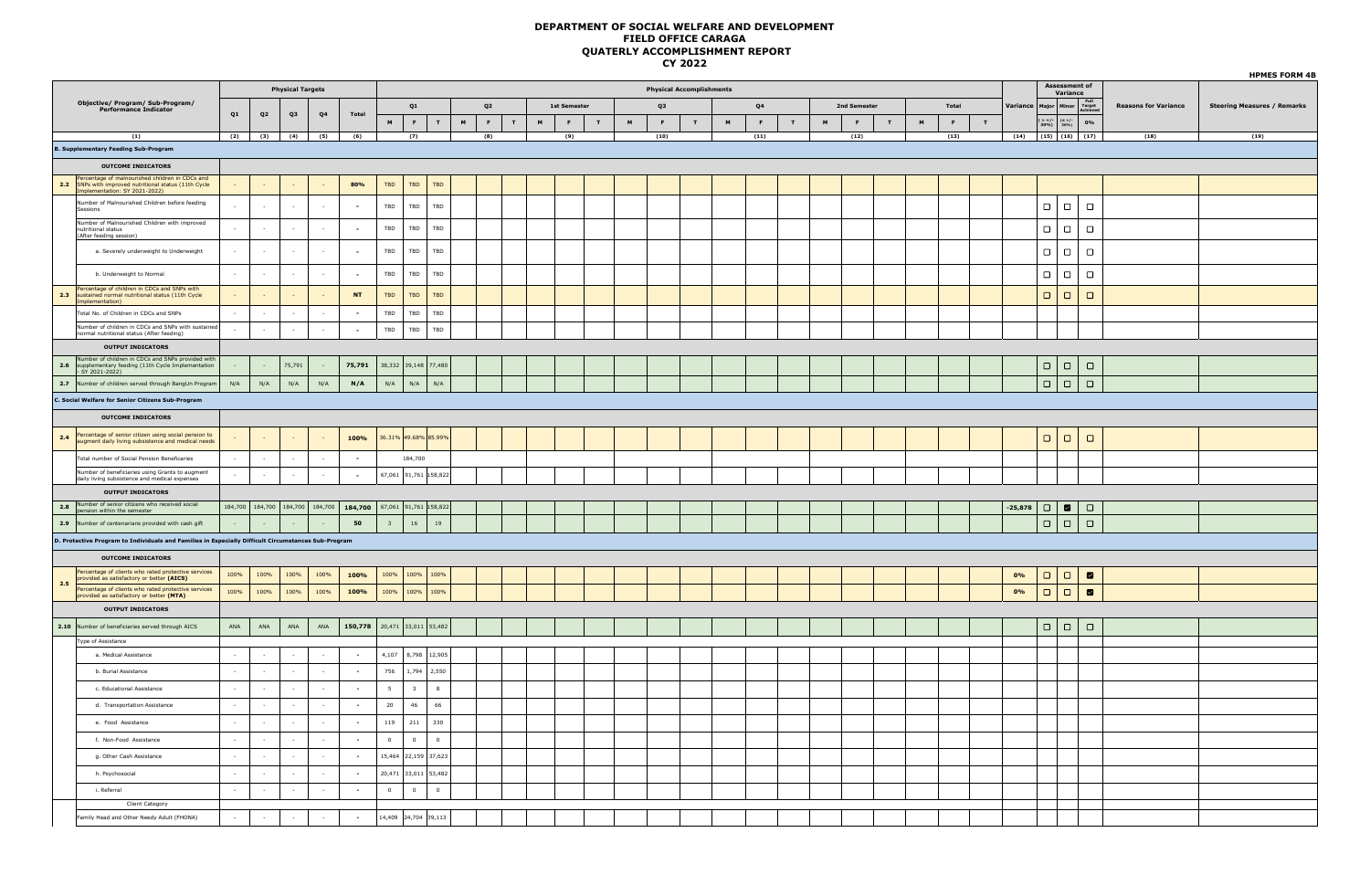|     |                                                                                                                                                            |        |                   |                          |                          |                                         |                         |                         |                            |   |                   |   |                     |   |   |      |                                 |   |                |   |   |              |   |   |       |   |           |                                                     |                                   |                             | <b>HPMES FORM 4B</b>               |
|-----|------------------------------------------------------------------------------------------------------------------------------------------------------------|--------|-------------------|--------------------------|--------------------------|-----------------------------------------|-------------------------|-------------------------|----------------------------|---|-------------------|---|---------------------|---|---|------|---------------------------------|---|----------------|---|---|--------------|---|---|-------|---|-----------|-----------------------------------------------------|-----------------------------------|-----------------------------|------------------------------------|
|     |                                                                                                                                                            |        |                   | <b>Physical Targets</b>  |                          |                                         |                         |                         |                            |   |                   |   |                     |   |   |      | <b>Physical Accomplishments</b> |   |                |   |   |              |   |   |       |   |           |                                                     | <b>Assessment of<br/>Variance</b> |                             |                                    |
|     | Objective/ Program/ Sub-Program/<br>Performance Indicator                                                                                                  |        |                   |                          |                          |                                         |                         | Q1                      |                            |   | Q <sub>2</sub>    |   | <b>1st Semester</b> |   |   | Q3   |                                 |   | Q <sub>4</sub> |   |   | 2nd Semester |   |   | Total |   | Variance  |                                                     | Major Minor Full<br>Achieve       | <b>Reasons for Variance</b> | <b>Steering Measures / Remarks</b> |
|     |                                                                                                                                                            | Q1     | Q <sub>2</sub>    | Q3                       | Q <sub>4</sub>           | Total                                   | M                       | F.                      | T                          | M | F<br>$\mathbf{r}$ | M | F                   | T | M | F    | T                               | M | F              | T | M | F.           | T | M | F     | T |           | $> +/-$<br>30%)                                     | $(\leq$ +/-<br>30%)<br>0%         |                             |                                    |
|     | (1)                                                                                                                                                        |        | $(2)$ $(3)$ $(4)$ |                          | (5)                      | (6)                                     |                         | (7)                     |                            |   | (8)               |   | (9)                 |   |   | (10) |                                 |   | (11)           |   |   | (12)         |   |   | (13)  |   |           |                                                     | $(14)$ $(15)$ $(16)$ $(17)$       | (18)                        | (19)                               |
|     | <b>B. Supplementary Feeding Sub-Program</b>                                                                                                                |        |                   |                          |                          |                                         |                         |                         |                            |   |                   |   |                     |   |   |      |                                 |   |                |   |   |              |   |   |       |   |           |                                                     |                                   |                             |                                    |
|     | <b>OUTCOME INDICATORS</b>                                                                                                                                  |        |                   |                          |                          |                                         |                         |                         |                            |   |                   |   |                     |   |   |      |                                 |   |                |   |   |              |   |   |       |   |           |                                                     |                                   |                             |                                    |
|     | <b>2.2</b> Percentage of malnourished children in CDCs and<br><b>2.2</b> SNPs with improved nutritional status (11th Cycle<br>mplementation: SY 2021-2022) |        |                   | $\sim$                   |                          | 80%                                     | TBD                     | TBD                     | TBD                        |   |                   |   |                     |   |   |      |                                 |   |                |   |   |              |   |   |       |   |           |                                                     |                                   |                             |                                    |
|     | Number of Malnourished Children before feeding<br>Sessions                                                                                                 | $\sim$ | $\cdot$           | $\sim$                   | $\overline{\phantom{a}}$ | $\overline{\phantom{a}}$                | TBD                     | TBD                     | TBD                        |   |                   |   |                     |   |   |      |                                 |   |                |   |   |              |   |   |       |   |           | $\Box$                                              | $\Box$<br>$\Box$                  |                             |                                    |
|     | Number of Malnourished Children with improved<br>nutritional status<br>(After feeding session)                                                             | $\sim$ | $\sim$            | $\sim$                   | $\sim$                   | $\overline{\phantom{a}}$                | TBD                     | TBD                     | TBD                        |   |                   |   |                     |   |   |      |                                 |   |                |   |   |              |   |   |       |   |           | $\Box$ $\Box$                                       | $\Box$                            |                             |                                    |
|     | a. Severely underweight to Underweight                                                                                                                     | $\sim$ | $\sim$            | $\sim$                   | $\sim$                   | $\overline{\phantom{a}}$                | $_{\rm TBD}$            | TBD                     | $_{\rm TBD}$               |   |                   |   |                     |   |   |      |                                 |   |                |   |   |              |   |   |       |   |           | $\overline{\phantom{0}}$                            | $\Box$<br>$\Box$                  |                             |                                    |
|     | b. Underweight to Normal                                                                                                                                   | $\sim$ | $\sim$            | $\sim$                   | $\sim$                   | $\overline{\phantom{a}}$                | TBD                     | TBD                     | TBD                        |   |                   |   |                     |   |   |      |                                 |   |                |   |   |              |   |   |       |   |           | $\left(\begin{array}{c} \square \end{array}\right)$ | $\Box$<br>$\Box$                  |                             |                                    |
| 2.3 | Percentage of children in CDCs and SNPs with<br>sustained normal nutritional status (11th Cycle                                                            |        | $\sim$            | $\sim$                   |                          | <b>NT</b>                               | TBD                     | TBD                     | TBD                        |   |                   |   |                     |   |   |      |                                 |   |                |   |   |              |   |   |       |   |           | $\Box$                                              | $\Box$<br>$\Box$                  |                             |                                    |
|     | mplementation)<br>Total No. of Children in CDCs and SNPs                                                                                                   |        | ÷.                | $\sim$                   | $\sim$                   | $\overline{\phantom{a}}$                | TBD                     | TBD                     | $_{\rm TBD}$               |   |                   |   |                     |   |   |      |                                 |   |                |   |   |              |   |   |       |   |           |                                                     |                                   |                             |                                    |
|     | Number of children in CDCs and SNPs with sustained                                                                                                         | $\sim$ | $\sim$            | $\sim$                   | $\sim$                   | $\sim$                                  | TBD                     | TBD                     | TBD                        |   |                   |   |                     |   |   |      |                                 |   |                |   |   |              |   |   |       |   |           |                                                     |                                   |                             |                                    |
|     | normal nutritional status (After feeding)                                                                                                                  |        |                   |                          |                          |                                         |                         |                         |                            |   |                   |   |                     |   |   |      |                                 |   |                |   |   |              |   |   |       |   |           |                                                     |                                   |                             |                                    |
| 2.6 | <b>OUTPUT INDICATORS</b><br>Number of children in CDCs and SNPs provided with<br>supplementary feeding (11th Cycle Implementation<br>- SY 2021-2022)       |        | $\sim$            | 75,791                   |                          | 75,791                                  |                         |                         | 38,332 39,148 77,480       |   |                   |   |                     |   |   |      |                                 |   |                |   |   |              |   |   |       |   |           | $\Box   \Box$                                       | $\Box$                            |                             |                                    |
| 2.7 | Number of children served through BangUn Program                                                                                                           | N/A    | N/A               | N/A                      | N/A                      | N/A                                     | $\mathsf{N}/\mathsf{A}$ | N/A                     | N/A                        |   |                   |   |                     |   |   |      |                                 |   |                |   |   |              |   |   |       |   |           | $\Box$                                              | $\Box$<br>$\Box$                  |                             |                                    |
|     |                                                                                                                                                            |        |                   |                          |                          |                                         |                         |                         |                            |   |                   |   |                     |   |   |      |                                 |   |                |   |   |              |   |   |       |   |           |                                                     |                                   |                             |                                    |
|     | C. Social Welfare for Senior Citizens Sub-Program                                                                                                          |        |                   |                          |                          |                                         |                         |                         |                            |   |                   |   |                     |   |   |      |                                 |   |                |   |   |              |   |   |       |   |           |                                                     |                                   |                             |                                    |
|     | <b>OUTCOME INDICATORS</b>                                                                                                                                  |        |                   |                          |                          |                                         |                         |                         |                            |   |                   |   |                     |   |   |      |                                 |   |                |   |   |              |   |   |       |   |           |                                                     |                                   |                             |                                    |
| 2.4 | Percentage of senior citizen using social pension to<br>augment daily living subsistence and medical needs                                                 |        | $\sim$            |                          |                          | 100%                                    |                         |                         | 36.31% 49.68% 85.99%       |   |                   |   |                     |   |   |      |                                 |   |                |   |   |              |   |   |       |   |           | $\Box$                                              | $\Box$<br>$\Box$                  |                             |                                    |
|     | Total number of Social Pension Beneficaries                                                                                                                | $\sim$ | $\sim$            | $\sim$                   | $\sim$                   | $\sim$                                  |                         | 184,700                 |                            |   |                   |   |                     |   |   |      |                                 |   |                |   |   |              |   |   |       |   |           |                                                     |                                   |                             |                                    |
|     | Number of beneficiaries using Grants to augment<br>daily living subsistence and medical expenses                                                           | $\sim$ | $\sim$            | $\sim$                   | $\sim$                   | $\sim$                                  |                         |                         | 67,061 91,761 158,822      |   |                   |   |                     |   |   |      |                                 |   |                |   |   |              |   |   |       |   |           |                                                     |                                   |                             |                                    |
|     | <b>OUTPUT INDICATORS</b>                                                                                                                                   |        |                   |                          |                          |                                         |                         |                         |                            |   |                   |   |                     |   |   |      |                                 |   |                |   |   |              |   |   |       |   |           |                                                     |                                   |                             |                                    |
|     | 2.8 Number of senior citizens who received social<br>pension within the semester                                                                           |        |                   |                          |                          | 184,700 184,700 184,700 184,700 184,700 |                         |                         | 67,061 91,761 158,822      |   |                   |   |                     |   |   |      |                                 |   |                |   |   |              |   |   |       |   | $-25,878$ | $\Box$                                              | $\blacksquare$<br>$\Box$          |                             |                                    |
|     | 2.9 Number of centenarians provided with cash gift                                                                                                         |        |                   |                          |                          | 50                                      | $\overline{\mathbf{3}}$ | 16                      | 19                         |   |                   |   |                     |   |   |      |                                 |   |                |   |   |              |   |   |       |   |           | $\Box$                                              | $\Box$<br>$\Box$                  |                             |                                    |
|     | D. Protective Program to Individuals and Families in Especially Difficult Circumstances Sub-Program                                                        |        |                   |                          |                          |                                         |                         |                         |                            |   |                   |   |                     |   |   |      |                                 |   |                |   |   |              |   |   |       |   |           |                                                     |                                   |                             |                                    |
|     |                                                                                                                                                            |        |                   |                          |                          |                                         |                         |                         |                            |   |                   |   |                     |   |   |      |                                 |   |                |   |   |              |   |   |       |   |           |                                                     |                                   |                             |                                    |
|     | <b>OUTCOME INDICATORS</b>                                                                                                                                  |        |                   |                          |                          |                                         |                         |                         |                            |   |                   |   |                     |   |   |      |                                 |   |                |   |   |              |   |   |       |   |           |                                                     |                                   |                             |                                    |
| 2.5 | Percentage of clients who rated protective services<br>provided as satisfactory or better (AICS)                                                           | 100%   | 100%              | 100%                     | 100%                     | 100%                                    | 100%                    |                         | 100% 100%                  |   |                   |   |                     |   |   |      |                                 |   |                |   |   |              |   |   |       |   | 0%        | $\Box$                                              | $\Box$<br>$\blacksquare$          |                             |                                    |
|     | Percentage of clients who rated protective services<br>provided as satisfactory or better (MTA)                                                            | 100%   | 100%              | 100%                     | 100%                     | 100%                                    |                         | 100% 100% 100%          |                            |   |                   |   |                     |   |   |      |                                 |   |                |   |   |              |   |   |       |   | 0%        | $\Box   \Box$                                       | $\blacksquare$                    |                             |                                    |
|     | <b>OUTPUT INDICATORS</b>                                                                                                                                   |        |                   |                          |                          |                                         |                         |                         |                            |   |                   |   |                     |   |   |      |                                 |   |                |   |   |              |   |   |       |   |           |                                                     |                                   |                             |                                    |
|     | 2.10 Number of beneficiaries served through AICS                                                                                                           | ANA    | ANA               | ANA                      | ANA                      | 150,778                                 |                         |                         | 20,471 33,011 53,482       |   |                   |   |                     |   |   |      |                                 |   |                |   |   |              |   |   |       |   |           | $\Box$                                              | $\Box$<br>$\Box$                  |                             |                                    |
|     | Type of Assistance                                                                                                                                         |        |                   |                          |                          |                                         |                         |                         |                            |   |                   |   |                     |   |   |      |                                 |   |                |   |   |              |   |   |       |   |           |                                                     |                                   |                             |                                    |
|     | a. Medical Assistance                                                                                                                                      | $\sim$ | $\sim$            | $\sim$                   | $\sim$                   | $\overline{\phantom{a}}$                |                         | 4,107 8,798 12,905      |                            |   |                   |   |                     |   |   |      |                                 |   |                |   |   |              |   |   |       |   |           |                                                     |                                   |                             |                                    |
|     | b. Burial Assistance                                                                                                                                       | $\sim$ | $\sim$            | $\sim$                   | $\sim$                   | $\sim$                                  | 756                     |                         | 1,794 2,550                |   |                   |   |                     |   |   |      |                                 |   |                |   |   |              |   |   |       |   |           |                                                     |                                   |                             |                                    |
|     | c. Educational Assistance                                                                                                                                  | $\sim$ | ×                 | $\cdot$                  | $\overline{\phantom{a}}$ | $\sim$                                  | $5\phantom{.0}$         | $\overline{\mathbf{3}}$ | $\overline{\mathbf{8}}$    |   |                   |   |                     |   |   |      |                                 |   |                |   |   |              |   |   |       |   |           |                                                     |                                   |                             |                                    |
|     | d. Transportation Assistance                                                                                                                               | ÷.     |                   | $\overline{\phantom{a}}$ |                          | $\sim$                                  | $20\,$                  | 46                      | 66                         |   |                   |   |                     |   |   |      |                                 |   |                |   |   |              |   |   |       |   |           |                                                     |                                   |                             |                                    |
|     | e. Food Assistance                                                                                                                                         | $\sim$ | $\sim$            | $\sim$                   | $\sim$                   | $\sim$                                  | 119                     | 211                     | 330                        |   |                   |   |                     |   |   |      |                                 |   |                |   |   |              |   |   |       |   |           |                                                     |                                   |                             |                                    |
|     | f. Non-Food Assistance                                                                                                                                     | $\sim$ |                   | $\cdot$                  |                          | $\sim$                                  | $\mathbf 0$             | $\overline{0}$          | $\qquad \qquad \textbf{0}$ |   |                   |   |                     |   |   |      |                                 |   |                |   |   |              |   |   |       |   |           |                                                     |                                   |                             |                                    |
|     | g. Other Cash Assistance                                                                                                                                   |        |                   |                          |                          | $\overline{\phantom{a}}$                |                         | 15,464 22,159 37,623    |                            |   |                   |   |                     |   |   |      |                                 |   |                |   |   |              |   |   |       |   |           |                                                     |                                   |                             |                                    |
|     | h. Psychosocial                                                                                                                                            | $\sim$ | $\sim$            | $\sim$                   | $\sim$                   | $\sim$                                  |                         |                         | 20,471 33,011 53,482       |   |                   |   |                     |   |   |      |                                 |   |                |   |   |              |   |   |       |   |           |                                                     |                                   |                             |                                    |
|     | i. Referral                                                                                                                                                | $\sim$ |                   | $\sim$                   |                          | $\sim$                                  | $\overline{0}$          | $\overline{0}$          | $\overline{\mathbf{0}}$    |   |                   |   |                     |   |   |      |                                 |   |                |   |   |              |   |   |       |   |           |                                                     |                                   |                             |                                    |
|     | Client Category                                                                                                                                            |        |                   |                          |                          |                                         |                         |                         |                            |   |                   |   |                     |   |   |      |                                 |   |                |   |   |              |   |   |       |   |           |                                                     |                                   |                             |                                    |
|     | amily Head and Other Needy Adult (FHONA)                                                                                                                   |        | $\sim$            | $\cdot$                  | $\overline{\phantom{a}}$ | $\sim$                                  |                         | 14,409 24,704 39,113    |                            |   |                   |   |                     |   |   |      |                                 |   |                |   |   |              |   |   |       |   |           |                                                     |                                   |                             |                                    |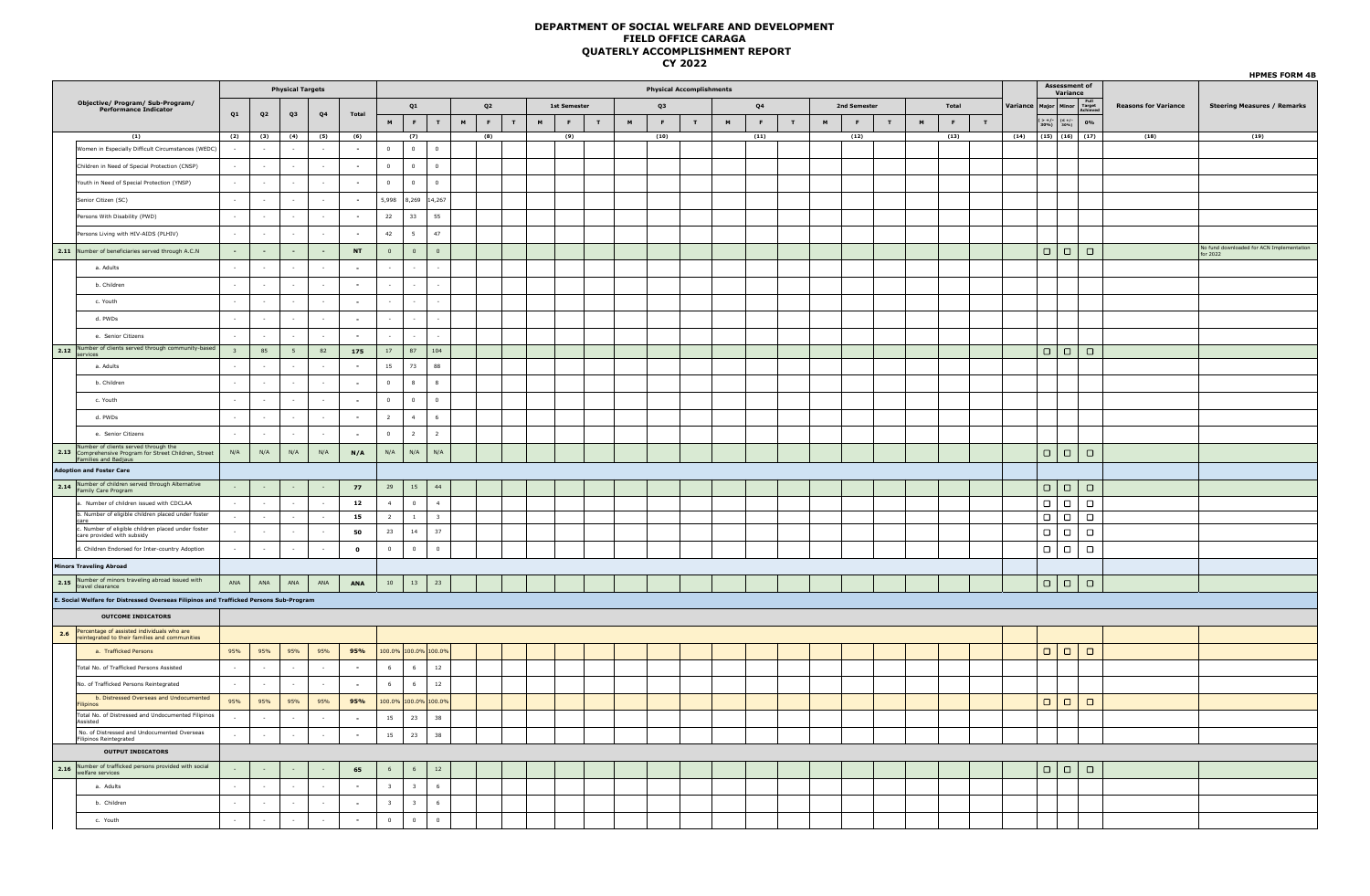|                                                                                                                        |                |                |                         |                |              |                         |                          |                             |   |                |             |                   |             |                |                                 | <u>.</u>    |   |               |   |   |              |             |                |              |             |                 |                                                                  |                            |        |                             | <b>HPMES FORM 4B</b>                                  |
|------------------------------------------------------------------------------------------------------------------------|----------------|----------------|-------------------------|----------------|--------------|-------------------------|--------------------------|-----------------------------|---|----------------|-------------|-------------------|-------------|----------------|---------------------------------|-------------|---|---------------|---|---|--------------|-------------|----------------|--------------|-------------|-----------------|------------------------------------------------------------------|----------------------------|--------|-----------------------------|-------------------------------------------------------|
|                                                                                                                        |                |                | <b>Physical Targets</b> |                |              |                         |                          |                             |   |                |             |                   |             |                | <b>Physical Accomplishments</b> |             |   |               |   |   |              |             |                |              |             |                 | Assessment of                                                    | Variance                   |        |                             |                                                       |
| Objective/ Program/ Sub-Program/<br>Performance Indicator                                                              |                |                |                         |                |              |                         | Q1                       |                             |   | Q <sub>2</sub> |             | 1st Semester      |             |                | Q3                              |             |   | $\mathbf{Q4}$ |   |   | 2nd Semester |             |                | Total        |             | <b>/ariance</b> | Major   Minor                                                    | Full<br>Target<br>Achiever |        | <b>Reasons for Variance</b> | <b>Steering Measures / Remarks</b>                    |
|                                                                                                                        | Q1             | Q <sub>2</sub> | Q3                      | Q <sub>4</sub> | Total        | M                       | F                        | T                           | M | $\mathbf{F}$ . | $\mathbf T$ | M<br>$\mathbf{F}$ | $\mathbf T$ | $\blacksquare$ | F                               | $\mathbf T$ | M | F             | T | M | F            | $\mathbf T$ | $\blacksquare$ | $\mathbf{F}$ | $\mathbf T$ |                 | $\begin{array}{c c} ( > +/- & (\leq +/-30\%) & 30\% \end{array}$ |                            | 0%     |                             |                                                       |
| (1)                                                                                                                    |                | $(2)$ $(3)$    | (4)                     | (5)            | (6)          |                         | (7)                      |                             |   | (8)            |             | (9)               |             |                | (10)                            |             |   | (11)          |   |   | (12)         |             |                | (13)         |             |                 | $(14)$ $(15)$ $(16)$ $(17)$                                      |                            |        | (18)                        | (19)                                                  |
| Women in Especially Difficult Circumstances (WEDC)                                                                     |                | $\sim$         | $\sim$                  | $\sim$         | $\sim$       | $\overline{0}$          | $\overline{\mathbf{0}}$  | $\bullet$                   |   |                |             |                   |             |                |                                 |             |   |               |   |   |              |             |                |              |             |                 |                                                                  |                            |        |                             |                                                       |
| Children in Need of Special Protection (CNSP)                                                                          |                | $\sim$         | $\sim$                  | $\sim$         | $\sim$       | $\overline{0}$          | $\mathbf{0}$             | $\overline{0}$              |   |                |             |                   |             |                |                                 |             |   |               |   |   |              |             |                |              |             |                 |                                                                  |                            |        |                             |                                                       |
| Youth in Need of Special Protection (YNSP)                                                                             |                |                |                         |                | $\sim$       | $\overline{0}$          | $\bullet$                | $\mathbf 0$                 |   |                |             |                   |             |                |                                 |             |   |               |   |   |              |             |                |              |             |                 |                                                                  |                            |        |                             |                                                       |
| Senior Citizen (SC)                                                                                                    |                | $\sim$         | $\sim$                  | $\sim$         | $\sim$       |                         |                          | 5,998 8,269 14,267          |   |                |             |                   |             |                |                                 |             |   |               |   |   |              |             |                |              |             |                 |                                                                  |                            |        |                             |                                                       |
| Persons With Disability (PWD)                                                                                          |                | $\sim$         | $\sim$                  | $\sim$         | $\sim$       | 22                      | 33                       | 55                          |   |                |             |                   |             |                |                                 |             |   |               |   |   |              |             |                |              |             |                 |                                                                  |                            |        |                             |                                                       |
| Persons Living with HIV-AIDS (PLHIV)                                                                                   |                |                |                         |                | $\sim$       | 42                      | 5 <sub>5</sub>           | 47                          |   |                |             |                   |             |                |                                 |             |   |               |   |   |              |             |                |              |             |                 |                                                                  |                            |        |                             |                                                       |
| 2.11 Number of beneficiaries served through A.C.N                                                                      | $\sim$         | $\sim$         | $\sim$                  | $\sim$         | NT           | $\overline{0}$          | $\overline{0}$           | $\mathbf{0}$                |   |                |             |                   |             |                |                                 |             |   |               |   |   |              |             |                |              |             |                 | $\Box   \Box$                                                    |                            | $\Box$ |                             | No fund downloaded for ACN Implementation<br>for 2022 |
| a. Adults                                                                                                              |                |                | $\sim$                  | $\sim$         | $\sim$       |                         |                          |                             |   |                |             |                   |             |                |                                 |             |   |               |   |   |              |             |                |              |             |                 |                                                                  |                            |        |                             |                                                       |
| b. Children                                                                                                            |                |                |                         |                | $\sim$       |                         |                          |                             |   |                |             |                   |             |                |                                 |             |   |               |   |   |              |             |                |              |             |                 |                                                                  |                            |        |                             |                                                       |
| c. Youth                                                                                                               |                | $\sim$         | $\sim$                  | $\sim$         | $\sim$       |                         | $\sim$                   | $\sim$                      |   |                |             |                   |             |                |                                 |             |   |               |   |   |              |             |                |              |             |                 |                                                                  |                            |        |                             |                                                       |
| d. PWDs                                                                                                                |                | $\sim$         | $\sim$                  | $\sim$         | $\sim$       | $\sim$                  | $\overline{\phantom{a}}$ | $\sim$                      |   |                |             |                   |             |                |                                 |             |   |               |   |   |              |             |                |              |             |                 |                                                                  |                            |        |                             |                                                       |
| e. Senior Citizens                                                                                                     |                |                |                         |                | $\sim$       |                         |                          |                             |   |                |             |                   |             |                |                                 |             |   |               |   |   |              |             |                |              |             |                 |                                                                  |                            |        |                             |                                                       |
| 2.12 Number of clients served through community-based                                                                  | 3 <sup>2</sup> | 85             | 5 <sub>5</sub>          | 82             | 175          | 17                      | 87                       | 104                         |   |                |             |                   |             |                |                                 |             |   |               |   |   |              |             |                |              |             |                 | $\Box   \Box   \Box$                                             |                            |        |                             |                                                       |
| a. Adults                                                                                                              |                |                |                         |                | $\sim$       | 15                      | 73                       | 88                          |   |                |             |                   |             |                |                                 |             |   |               |   |   |              |             |                |              |             |                 |                                                                  |                            |        |                             |                                                       |
| b. Children                                                                                                            |                | $\sim$         | $\sim$                  | $\sim$         | $\sim$       | $\overline{0}$          | 8                        | 8                           |   |                |             |                   |             |                |                                 |             |   |               |   |   |              |             |                |              |             |                 |                                                                  |                            |        |                             |                                                       |
| c. Youth                                                                                                               |                | $\sim$         |                         |                | $\sim$       | $\overline{0}$          | $\bullet$                | $\mathbf 0$                 |   |                |             |                   |             |                |                                 |             |   |               |   |   |              |             |                |              |             |                 |                                                                  |                            |        |                             |                                                       |
| d. PWDs                                                                                                                |                |                |                         |                | $\sim$       | $\overline{2}$          | $-4$                     | $6\overline{6}$             |   |                |             |                   |             |                |                                 |             |   |               |   |   |              |             |                |              |             |                 |                                                                  |                            |        |                             |                                                       |
| e. Senior Citizens                                                                                                     |                | $\sim$         | $\sim$                  | $\sim$         | $\sim$       | $\overline{0}$          | $\overline{2}$           | $2^{\circ}$                 |   |                |             |                   |             |                |                                 |             |   |               |   |   |              |             |                |              |             |                 |                                                                  |                            |        |                             |                                                       |
| Number of clients served through the<br>2.13 Comprehensive Program for Street Children, Street<br>Families and Badjaus | N/A            | N/A            | N/A                     | N/A            | N/A          | $\mathsf{N}/\mathsf{A}$ | N/A                      | $\mathsf{N}/\mathsf{A}$     |   |                |             |                   |             |                |                                 |             |   |               |   |   |              |             |                |              |             |                 | $\Box   \Box$                                                    |                            | $\Box$ |                             |                                                       |
| <b>Adoption and Foster Care</b>                                                                                        |                |                |                         |                |              |                         |                          |                             |   |                |             |                   |             |                |                                 |             |   |               |   |   |              |             |                |              |             |                 |                                                                  |                            |        |                             |                                                       |
| 2.14 Number of children served through Alternative<br>Family Care Program                                              |                |                |                         |                | 77           |                         | $29$ 15                  | 44                          |   |                |             |                   |             |                |                                 |             |   |               |   |   |              |             |                |              |             |                 | $\Box   \Box$                                                    |                            | $\Box$ |                             |                                                       |
| a. Number of children issued with CDCLAA                                                                               |                |                | $\sim$                  | $\sim$         | 12           | $\overline{4}$          | $\Omega$                 | $\overline{4}$              |   |                |             |                   |             |                |                                 |             |   |               |   |   |              |             |                |              |             |                 | $\Box   \Box$                                                    |                            | $\Box$ |                             |                                                       |
| b. Number of eligible children placed under foster<br>care                                                             |                |                | $\sim$                  | $\sim$         | 15           | $\overline{2}$          | $\mathbf{1}$             | 3 <sup>7</sup>              |   |                |             |                   |             |                |                                 |             |   |               |   |   |              |             |                |              |             |                 | $\Box   \Box$                                                    |                            | $\Box$ |                             |                                                       |
| c. Number of eligible children placed under foster<br>care provided with subsidy                                       |                | $\sim$         | $\sim$                  | $\sim$         | 50           | 23                      | 14                       | 37                          |   |                |             |                   |             |                |                                 |             |   |               |   |   |              |             |                |              |             |                 | $\Box   \Box$                                                    |                            | $\Box$ |                             |                                                       |
| d. Children Endorsed for Inter-country Adoption                                                                        |                | $\sim$         |                         | $\sim$         | $\mathbf{o}$ | $\overline{0}$          | $\overline{0}$           | $\mathbf{0}$                |   |                |             |                   |             |                |                                 |             |   |               |   |   |              |             |                |              |             |                 | $\Box   \Box$                                                    |                            | $\Box$ |                             |                                                       |
| <b>Minors Traveling Abroad</b>                                                                                         |                |                |                         |                |              |                         |                          |                             |   |                |             |                   |             |                |                                 |             |   |               |   |   |              |             |                |              |             |                 |                                                                  |                            |        |                             |                                                       |
| 2.15 Number of minors traveling abroad issued with<br>travel clearance                                                 | ANA            | ANA            | ANA                     | ANA            | ANA          |                         | $10 \mid 13$             | $\overline{\phantom{0}}$ 23 |   |                |             |                   |             |                |                                 |             |   |               |   |   |              |             |                |              |             |                 | $\Box   \Box$                                                    | $\Box$                     |        |                             |                                                       |
| E. Social Welfare for Distressed Overseas Filipinos and Trafficked Persons Sub-Program                                 |                |                |                         |                |              |                         |                          |                             |   |                |             |                   |             |                |                                 |             |   |               |   |   |              |             |                |              |             |                 |                                                                  |                            |        |                             |                                                       |
| <b>OUTCOME INDICATORS</b>                                                                                              |                |                |                         |                |              |                         |                          |                             |   |                |             |                   |             |                |                                 |             |   |               |   |   |              |             |                |              |             |                 |                                                                  |                            |        |                             |                                                       |
| 2.6 Percentage of assisted individuals who are<br>reintegrated to their families and communities                       |                |                |                         |                |              |                         |                          |                             |   |                |             |                   |             |                |                                 |             |   |               |   |   |              |             |                |              |             |                 |                                                                  |                            |        |                             |                                                       |
| a. Trafficked Persons                                                                                                  | 95%            | 95%            | 95%                     | 95%            | 95%          |                         |                          | 100.0% 100.0% 100.0%        |   |                |             |                   |             |                |                                 |             |   |               |   |   |              |             |                |              |             |                 | $\Box   \Box$                                                    |                            | $\Box$ |                             |                                                       |
| Total No. of Trafficked Persons Assisted                                                                               |                |                | $\sim$                  |                | $\sim$       | $6\overline{6}$         | $6\overline{6}$          | $12\,$                      |   |                |             |                   |             |                |                                 |             |   |               |   |   |              |             |                |              |             |                 |                                                                  |                            |        |                             |                                                       |
| No. of Trafficked Persons Reintegrated                                                                                 | $\sim$         | $\sim$         | $\sim$                  | $\sim$         | $\sim$       | 6                       | 6                        | 12                          |   |                |             |                   |             |                |                                 |             |   |               |   |   |              |             |                |              |             |                 |                                                                  |                            |        |                             |                                                       |
| b. Distressed Overseas and Undocumented<br><b>ilipinos</b>                                                             | 95%            | 95%            | 95%                     | 95%            | 95%          |                         |                          | 100.0% 100.0% 100.0%        |   |                |             |                   |             |                |                                 |             |   |               |   |   |              |             |                |              |             |                 | $\Box   \Box$                                                    |                            | $\Box$ |                             |                                                       |
| Total No. of Distressed and Undocumented Filipinos<br>Assisted                                                         |                | $\sim$         | $\sim$                  | $\sim$         | $\sim$       | 15                      | 23                       | 38                          |   |                |             |                   |             |                |                                 |             |   |               |   |   |              |             |                |              |             |                 |                                                                  |                            |        |                             |                                                       |
| No. of Distressed and Undocumented Overseas<br>Filipinos Reintegrated                                                  | $\sim$         | $\sim$         | $\sim$                  | $\sim$         | $\sim$       | 15                      | 23                       | 38                          |   |                |             |                   |             |                |                                 |             |   |               |   |   |              |             |                |              |             |                 |                                                                  |                            |        |                             |                                                       |
| <b>OUTPUT INDICATORS</b>                                                                                               |                |                |                         |                |              |                         |                          |                             |   |                |             |                   |             |                |                                 |             |   |               |   |   |              |             |                |              |             |                 |                                                                  |                            |        |                             |                                                       |
| 2.16 Number of trafficked persons provided with social<br>welfare services                                             |                |                |                         |                | 65           | 6                       | $\,$ 6 $\,$              | $12\,$                      |   |                |             |                   |             |                |                                 |             |   |               |   |   |              |             |                |              |             |                 | $\Box   \Box$                                                    |                            | $\Box$ |                             |                                                       |
| a. Adults                                                                                                              | $\sim$         | $\sim$         | $\sim$                  | $\sim$         | $\sim$       | 3 <sup>7</sup>          | $3 -$                    | $6\overline{6}$             |   |                |             |                   |             |                |                                 |             |   |               |   |   |              |             |                |              |             |                 |                                                                  |                            |        |                             |                                                       |
| b. Children                                                                                                            |                | $\sim$         |                         | $\sim$         | $\sim$       | $\overline{\mathbf{3}}$ | $\overline{\mathbf{3}}$  | $6\phantom{.0}$             |   |                |             |                   |             |                |                                 |             |   |               |   |   |              |             |                |              |             |                 |                                                                  |                            |        |                             |                                                       |
| c. Youth                                                                                                               |                | $\sim$         | $\sim$                  | $\sim$         | $\sim$       | $\mathbf 0$             | $\mathbf 0$              | $\mathbf 0$                 |   |                |             |                   |             |                |                                 |             |   |               |   |   |              |             |                |              |             |                 |                                                                  |                            |        |                             |                                                       |
|                                                                                                                        |                |                |                         |                |              |                         |                          |                             |   |                |             |                   |             |                |                                 |             |   |               |   |   |              |             |                |              |             |                 |                                                                  |                            |        |                             |                                                       |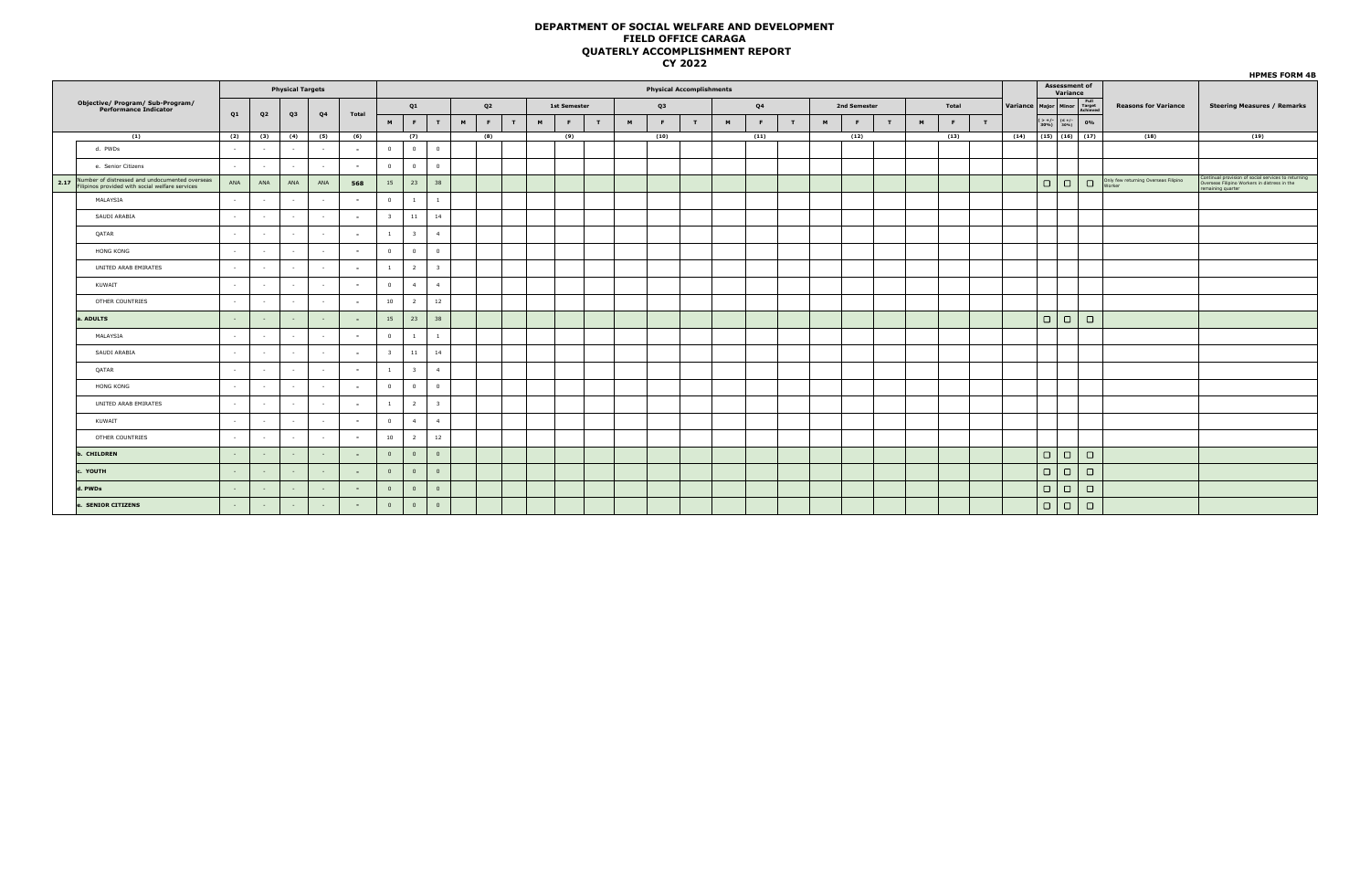| <b>Assessment of</b><br>Variance<br>Variance Major Minor Target<br><b>Reasons for Variance</b><br>0%<br>(15)   (16)   (17)<br>(18) | <b>Steering Measures / Remarks</b><br>(19)                                                                             |
|------------------------------------------------------------------------------------------------------------------------------------|------------------------------------------------------------------------------------------------------------------------|
|                                                                                                                                    |                                                                                                                        |
|                                                                                                                                    |                                                                                                                        |
|                                                                                                                                    |                                                                                                                        |
|                                                                                                                                    |                                                                                                                        |
|                                                                                                                                    |                                                                                                                        |
|                                                                                                                                    |                                                                                                                        |
| Only few returning Overseas Filipino<br>Worker                                                                                     | Continual provision of social services to returning<br>Overseas Filipino Workers in distress in the<br>maining quarter |
|                                                                                                                                    |                                                                                                                        |
|                                                                                                                                    |                                                                                                                        |
|                                                                                                                                    |                                                                                                                        |
|                                                                                                                                    |                                                                                                                        |
|                                                                                                                                    |                                                                                                                        |
|                                                                                                                                    |                                                                                                                        |
|                                                                                                                                    |                                                                                                                        |
|                                                                                                                                    |                                                                                                                        |
|                                                                                                                                    |                                                                                                                        |
|                                                                                                                                    |                                                                                                                        |
|                                                                                                                                    |                                                                                                                        |
|                                                                                                                                    |                                                                                                                        |
|                                                                                                                                    |                                                                                                                        |
|                                                                                                                                    |                                                                                                                        |
|                                                                                                                                    |                                                                                                                        |
|                                                                                                                                    |                                                                                                                        |
|                                                                                                                                    |                                                                                                                        |
|                                                                                                                                    |                                                                                                                        |
|                                                                                                                                    |                                                                                                                        |
|                                                                                                                                    | $\Box$<br>$\Box$<br>$\Box$<br>$\Box$<br>$\Box$<br>$\Box$                                                               |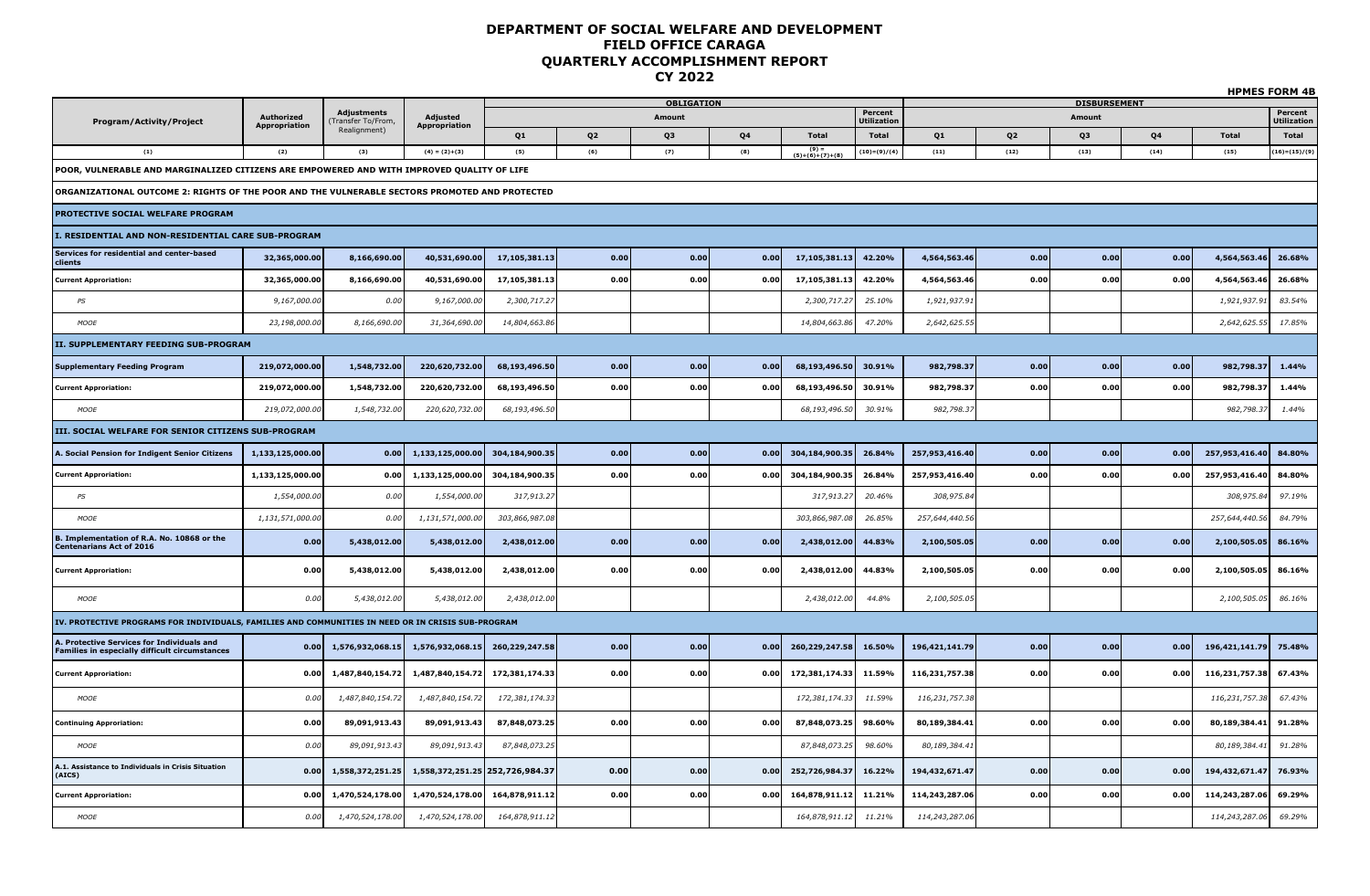|                                                                                                    |                                    |                                  |                                         |                |                |                   |      |                            |                |                |                |                     |      |                | <b>HPMES FORM 4B</b> |
|----------------------------------------------------------------------------------------------------|------------------------------------|----------------------------------|-----------------------------------------|----------------|----------------|-------------------|------|----------------------------|----------------|----------------|----------------|---------------------|------|----------------|----------------------|
|                                                                                                    |                                    | <b>Adjustments</b>               |                                         |                |                | <b>OBLIGATION</b> |      |                            | Percent        |                |                | <b>DISBURSEMENT</b> |      |                | Percent              |
| Program/Activity/Project                                                                           | <b>Authorized</b><br>Appropriation | ransfer To/From,<br>Realignment) | <b>Adjusted</b><br><b>Appropriation</b> |                |                | Amount            |      |                            | Utilization    |                |                | Amount              |      |                | <b>Utilization</b>   |
|                                                                                                    |                                    |                                  |                                         | Q1             | Q <sub>2</sub> | Q3                | Q4   | <b>Total</b>               | <b>Total</b>   | Q1             | Q <sub>2</sub> | Q3                  | Q4   | <b>Total</b>   | <b>Total</b>         |
| (1)                                                                                                | (2)                                | (3)                              | $(4) = (2)+(3)$                         | (5)            | (6)            | (7)               | (8)  | $(9) =$<br>(5)+(6)+(7)+(8) | $(10)=(9)/(4)$ | (11)           | (12)           | (13)                | (14) | (15)           | $(16)=(15)/(9)$      |
| POOR, VULNERABLE AND MARGINALIZED CITIZENS ARE EMPOWERED AND WITH IMPROVED QUALITY OF LIFE         |                                    |                                  |                                         |                |                |                   |      |                            |                |                |                |                     |      |                |                      |
| ORGANIZATIONAL OUTCOME 2: RIGHTS OF THE POOR AND THE VULNERABLE SECTORS PROMOTED AND PROTECTED     |                                    |                                  |                                         |                |                |                   |      |                            |                |                |                |                     |      |                |                      |
| PROTECTIVE SOCIAL WELFARE PROGRAM                                                                  |                                    |                                  |                                         |                |                |                   |      |                            |                |                |                |                     |      |                |                      |
| I. RESIDENTIAL AND NON-RESIDENTIAL CARE SUB-PROGRAM                                                |                                    |                                  |                                         |                |                |                   |      |                            |                |                |                |                     |      |                |                      |
| Services for residential and center-based<br>clients                                               | 32,365,000.00                      | 8,166,690.00                     | 40,531,690.00                           | 17,105,381.13  | 0.00           | 0.00              | 0.00 | 17,105,381.13              | 42.20%         | 4,564,563.46   | 0.00           | 0.00                | 0.00 | 4,564,563.46   | 26.68%               |
| <b>Current Approriation:</b>                                                                       | 32,365,000.00                      | 8,166,690.00                     | 40,531,690.00                           | 17,105,381.13  | 0.00           | 0.00              | 0.00 | 17,105,381.13              | 42.20%         | 4,564,563.46   | 0.00           | 0.00                | 0.00 | 4,564,563.46   | 26.68%               |
| PS                                                                                                 | 9,167,000.00                       | 0.00                             | 9,167,000.00                            | 2,300,717.27   |                |                   |      | 2,300,717.27               | 25.10%         | 1,921,937.91   |                |                     |      | 1,921,937.9    | 83.54%               |
| MOOE                                                                                               | 23,198,000.00                      | 8,166,690.00                     | 31,364,690.00                           | 14,804,663.86  |                |                   |      | 14,804,663.86              | 47.20%         | 2,642,625.55   |                |                     |      | 2,642,625.55   | 17.85%               |
| II. SUPPLEMENTARY FEEDING SUB-PROGRAM                                                              |                                    |                                  |                                         |                |                |                   |      |                            |                |                |                |                     |      |                |                      |
| <b>Supplementary Feeding Program</b>                                                               | 219,072,000.00                     | 1,548,732.00                     | 220,620,732.00                          | 68,193,496.50  | 0.00           | 0.00              | 0.00 | 68,193,496.50              | 30.91%         | 982,798.37     | 0.00           | 0.00                | 0.00 | 982,798.37     | 1.44%                |
| <b>Current Approriation:</b>                                                                       | 219,072,000.00                     | 1,548,732.00                     | 220,620,732.00                          | 68,193,496.50  | 0.00           | 0.00              | 0.00 | 68,193,496.50              | 30.91%         | 982,798.37     | 0.00           | 0.00                | 0.00 | 982,798.3      | 1.44%                |
| MOOE                                                                                               | 219,072,000.00                     | 1,548,732.00                     | 220,620,732.00                          | 68,193,496.50  |                |                   |      | 68,193,496.50              | 30.91%         | 982,798.37     |                |                     |      | 982,798.3.     | 1.44%                |
| III. SOCIAL WELFARE FOR SENIOR CITIZENS SUB-PROGRAM                                                |                                    |                                  |                                         |                |                |                   |      |                            |                |                |                |                     |      |                |                      |
| <b>A. Social Pension for Indigent Senior Citizens</b>                                              | 1,133,125,000.00                   | 0.00                             | 1,133,125,000.00                        | 304,184,900.35 | 0.00           | 0.00              | 0.00 | 304,184,900.35             | 26.84%         | 257,953,416.40 | 0.00           | 0.00                | 0.00 | 257,953,416.40 | 84.80%               |
| <b>Current Approriation:</b>                                                                       | 1,133,125,000.00                   | 0.00                             | 1,133,125,000.00                        | 304,184,900.35 | 0.00           | 0.00              | 0.00 | 304,184,900.35             | 26.84%         | 257,953,416.40 | 0.00           | 0.00                | 0.00 | 257,953,416.40 | 84.80%               |
| PS                                                                                                 | 1,554,000.00                       | 0.00                             | 1,554,000.0                             | 317,913.27     |                |                   |      | 317,913.27                 | 20.46%         | 308,975.84     |                |                     |      | 308,975.8      | 97.19%               |
| <b>MOOF</b>                                                                                        | 1,131,571,000.00                   | 0.00                             | 1,131,571,000.00                        | 303,866,987.08 |                |                   |      | 303,866,987.08             | 26.85%         | 257,644,440.56 |                |                     |      | 257,644,440.56 | 84.79%               |
| 3. Implementation of R.A. No. 10868 or the<br><b>Centenarians Act of 2016</b>                      | 0.00                               | 5,438,012.00                     | 5,438,012.00                            | 2,438,012.00   | 0.00           | 0.00              | 0.00 | 2,438,012.00               | 44.83%         | 2,100,505.05   | 0.00           | 0.00                | 0.00 | 2,100,505.05   | 86.16%               |
| <b>Current Approriation:</b>                                                                       | 0.00                               | 5,438,012.00                     | 5,438,012.00                            | 2,438,012.00   | 0.00           | 0.00              | 0.00 | 2,438,012.00               | 44.83%         | 2,100,505.05   | 0.00           | 0.00                | 0.00 | 2,100,505.05   | 86.16%               |
| <b>MOOE</b>                                                                                        | 0.00                               | 5,438,012.00                     | 5,438,012.00                            | 2,438,012.00   |                |                   |      | 2,438,012.00               | 44.8%          | 2,100,505.05   |                |                     |      | 2,100,505.05   | 86.16%               |
| IV. PROTECTIVE PROGRAMS FOR INDIVIDUALS, FAMILIES AND COMMUNITIES IN NEED OR IN CRISIS SUB-PROGRAM |                                    |                                  |                                         |                |                |                   |      |                            |                |                |                |                     |      |                |                      |
| A. Protective Services for Individuals and<br>Families in especially difficult circumstances       | 0.00                               | 1,576,932,068.15                 | 1,576,932,068.15                        | 260,229,247.58 | 0.00           | 0.00              | 0.00 | 260,229,247.58             | 16.50%         | 196,421,141.79 | 0.00           | 0.00                | 0.00 | 196,421,141.79 | 75.48%               |
| <b>Current Approriation:</b>                                                                       | 0.00                               | 1,487,840,154.72                 | 1,487,840,154.72                        | 172,381,174.33 | 0.00           | 0.00              | 0.00 | 172,381,174.33             | 11.59%         | 116,231,757.38 | 0.00           | 0.00                | 0.00 | 116,231,757.38 | 67.43%               |
| <b>MOOE</b>                                                                                        | 0.00                               | 1,487,840,154.72                 | 1,487,840,154.7.                        | 172,381,174.33 |                |                   |      | 172,381,174.33             | 11.59%         | 116,231,757.38 |                |                     |      | 116,231,757.3  | 67.43%               |
| <b>Continuing Approriation:</b>                                                                    | 0.00                               | 89,091,913.43                    | 89,091,913.43                           | 87,848,073.25  | 0.00           | 0.00              | 0.00 | 87,848,073.25              | 98.60%         | 80,189,384.41  | 0.00           | 0.00                | 0.00 | 80,189,384.41  | 91.28%               |
| <b>MOOE</b>                                                                                        | 0.00                               | 89,091,913.43                    | 89,091,913.43                           | 87,848,073.25  |                |                   |      | 87,848,073.25              | 98.60%         | 80,189,384.41  |                |                     |      | 80,189,384.4.  | 91.28%               |
| A.1. Assistance to Individuals in Crisis Situation<br>(AICS)                                       | 0.00                               | 1,558,372,251.25                 | 1,558,372,251.25 252,726,984.37         |                | 0.00           | 0.00              | 0.00 | 252,726,984.37             | 16.22%         | 194,432,671.47 | 0.00           | 0.00                | 0.00 | 194,432,671.47 | 76.93%               |
| <b>Current Approriation:</b>                                                                       | 0.00                               | 1,470,524,178.00                 | 1,470,524,178.00                        | 164,878,911.12 | 0.00           | 0.00              | 0.00 | 164,878,911.12             | 11.21%         | 114,243,287.06 | 0.00           | 0.00                | 0.00 | 114,243,287.06 | 69.29%               |
| MOOE                                                                                               | 0.00                               | 1,470,524,178.00                 | 1,470,524,178.00                        | 164,878,911.12 |                |                   |      | 164,878,911.12             | 11.21%         | 114,243,287.06 |                |                     |      | 114,243,287.06 | 69.29%               |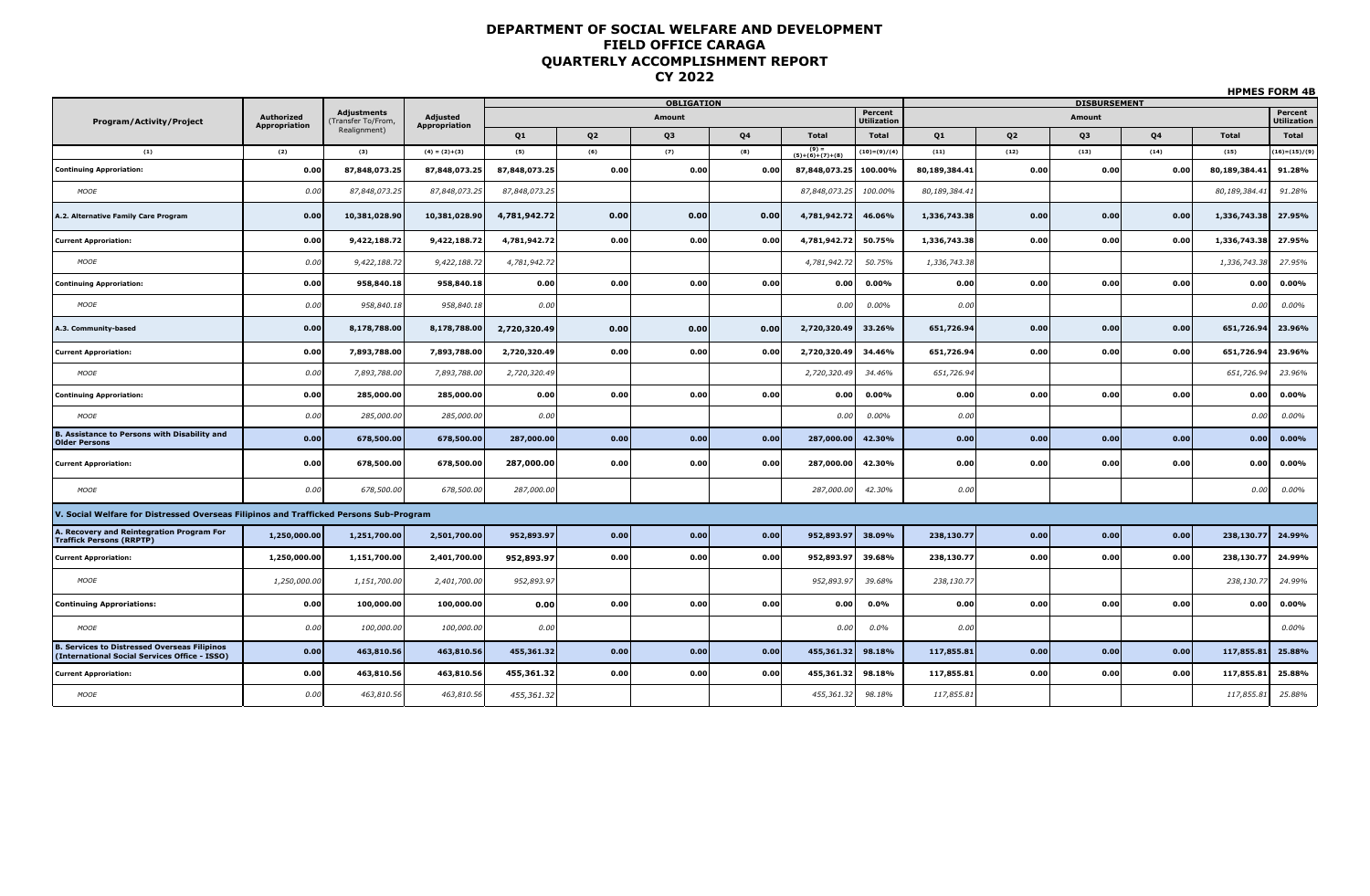|                                                                                              |                                    |                                         |                                  |               |                | <b>OBLIGATION</b> |      |                            |                               |               |                | <b>DISBURSEMENT</b> |           | .             |                        |
|----------------------------------------------------------------------------------------------|------------------------------------|-----------------------------------------|----------------------------------|---------------|----------------|-------------------|------|----------------------------|-------------------------------|---------------|----------------|---------------------|-----------|---------------|------------------------|
| <b>Program/Activity/Project</b>                                                              | Authorized<br><b>Appropriation</b> | <b>Adjustments</b><br>Fransfer To/From, | Adjusted<br><b>Appropriation</b> |               |                | Amount            |      |                            | Percent<br><b>Utilization</b> |               |                | Amount              |           |               | Percent<br>Utilizatior |
|                                                                                              |                                    | Realignment)                            |                                  | Q1            | Q <sub>2</sub> | Q3                | Q4   | <b>Total</b>               | Total                         | Q1            | Q <sub>2</sub> | Q3                  | <b>Q4</b> | <b>Total</b>  | <b>Total</b>           |
| (1)                                                                                          | (2)                                | (3)                                     | $(4) = (2)+(3)$                  | (5)           | (6)            | (7)               | (8)  | $(9) =$<br>(5)+(6)+(7)+(8) | $(10)=(9)/(4)$                | (11)          | (12)           | (13)                | (14)      | (15)          | $(16)=(15)/(9)$        |
| <b>Continuing Approriation:</b>                                                              | 0.00                               | 87,848,073.25                           | 87.848.073.25                    | 87,848,073.25 | 0.00           | 0.00              | 0.00 | 87,848,073.25              | 100.00%                       | 80,189,384.41 | 0.00           | 0.00                | 0.00      | 80,189,384.41 | 91.28%                 |
| MOOE                                                                                         | 0.00                               | 87,848,073.25                           | 87,848,073.25                    | 87,848,073.25 |                |                   |      | 87,848,073.25              | 100.00%                       | 80,189,384.41 |                |                     |           | 80,189,384.41 | 91.28%                 |
| A.2. Alternative Family Care Program                                                         | 0.00                               | 10,381,028.90                           | 10,381,028.90                    | 4,781,942.72  | 0.00           | 0.00              | 0.00 | 4,781,942.72               | 46.06%                        | 1,336,743.38  | 0.00           | 0.00                | 0.00      | 1,336,743.38  | 27.95%                 |
| <b>Current Approriation:</b>                                                                 | 0.00                               | 9,422,188.72                            | 9,422,188.72                     | 4,781,942.72  | 0.00           | 0.00              | 0.00 | 4,781,942.72               | 50.75%                        | 1,336,743.38  | 0.00           | 0.00                | 0.00      | 1,336,743.38  | 27.95%                 |
| <b>MOOE</b>                                                                                  | 0.00                               | 9,422,188.72                            | 9,422,188.72                     | 4,781,942.72  |                |                   |      | 4,781,942.72               | 50.75%                        | 1,336,743.38  |                |                     |           | 1,336,743.38  | 27.95%                 |
| <b>Continuing Approriation:</b>                                                              | 0.00                               | 958,840.18                              | 958,840.18                       | 0.00          | 0.00           | 0.00              | 0.00 | 0.00                       | $0.00\%$                      | 0.00          | 0.00           | 0.00                | 0.00      | 0.00          | 0.00%                  |
| <b>MOOE</b>                                                                                  | 0.00                               | 958,840.18                              | 958,840.18                       | 0.00          |                |                   |      | 0.00                       | 0.00%                         | 0.00          |                |                     |           | 0.00          | $0.00\%$               |
| A.3. Community-based                                                                         | 0.00                               | 8,178,788.00                            | 8,178,788.00                     | 2,720,320.49  | 0.00           | 0.00              | 0.00 | 2,720,320.49               | 33.26%                        | 651,726.94    | 0.00           | 0.00                | 0.00      | 651,726.94    | 23.96%                 |
| <b>Current Approriation:</b>                                                                 | 0.00                               | 7,893,788.00                            | 7,893,788.00                     | 2,720,320.49  | 0.00           | 0.00              | 0.00 | 2,720,320.49               | 34.46%                        | 651,726.94    | 0.00           | 0.00                | 0.00      | 651,726.94    | 23.96%                 |
| MOOE                                                                                         | 0.00                               | 7,893,788.00                            | 7,893,788.00                     | 2,720,320.49  |                |                   |      | 2,720,320.49               | 34.46%                        | 651,726.94    |                |                     |           | 651,726.9     | 23.96%                 |
| <b>Continuing Approriation:</b>                                                              | 0.00                               | 285,000.00                              | 285,000.00                       | 0.00          | 0.00           | 0.00              | 0.00 | 0.00                       | $0.00\%$                      | 0.00          | 0.00           | 0.00                | 0.00      | 0.00          | 0.00%                  |
| <b>MOOE</b>                                                                                  | 0.00                               | 285,000.00                              | 285,000.00                       | 0.00          |                |                   |      | 0.00                       | 0.00%                         | 0.00          |                |                     |           | 0.00          | 0.00%                  |
| <b>B. Assistance to Persons with Disability and</b><br><b>Older Persons</b>                  | 0.00                               | 678,500.00                              | 678,500.00                       | 287,000.00    | 0.00           | 0.00              | 0.00 | 287,000.00                 | 42.30%                        | 0.00          | 0.00           | 0.00                | 0.00      | 0.00          | 0.00%                  |
| <b>Current Approriation:</b>                                                                 | 0.00                               | 678,500.00                              | 678,500.00                       | 287,000.00    | 0.00           | 0.00              | 0.00 | 287,000.00                 | 42.30%                        | 0.00          | 0.00           | 0.00                | 0.00      | 0.00          | 0.00%                  |
| MOOE                                                                                         | 0.00                               | 678,500.00                              | 678,500.00                       | 287,000.00    |                |                   |      | 287,000.00                 | 42.30%                        | 0.00          |                |                     |           | 0.00          | 0.00%                  |
| V. Social Welfare for Distressed Overseas Filipinos and Trafficked Persons Sub-Program       |                                    |                                         |                                  |               |                |                   |      |                            |                               |               |                |                     |           |               |                        |
| A. Recovery and Reintegration Program For<br><b>Traffick Persons (RRPTP)</b>                 | 1,250,000.00                       | 1,251,700.00                            | 2,501,700.00                     | 952,893.97    | 0.00           | 0.00              | 0.00 | 952,893.97                 | 38.09%                        | 238,130.77    | 0.00           | 0.00                | 0.00      | 238,130.77    | 24.99%                 |
| <b>Current Approriation:</b>                                                                 | 1,250,000.00                       | 1,151,700.00                            | 2,401,700.00                     | 952,893.97    | 0.00           | 0.00              | 0.00 | 952,893.97                 | 39.68%                        | 238,130.77    | 0.00           | 0.00                | 0.00      | 238,130.77    | 24.99%                 |
| <b>MOOE</b>                                                                                  | 1,250,000.00                       | 1,151,700.00                            | 2,401,700.00                     | 952,893.97    |                |                   |      | 952,893.97                 | 39.68%                        | 238,130.77    |                |                     |           | 238,130.77    | 24.99%                 |
| <b>Continuing Approriations:</b>                                                             | 0.00                               | 100,000.00                              | 100,000.00                       | 0.00          | 0.00           | 0.00              | 0.00 | 0.00                       | 0.0%                          | 0.00          | 0.00           | 0.00                | 0.00      | 0.00          | 0.00%                  |
| MOOE                                                                                         | 0.00                               | 100,000.00                              | 100,000.00                       | 0.00          |                |                   |      | 0.00                       | 0.0%                          | 0.00          |                |                     |           |               | 0.00%                  |
| . Services to Distressed Overseas Filipinos<br>(International Social Services Office - ISSO) | 0.00                               | 463,810.56                              | 463,810.56                       | 455,361.32    | 0.00           | 0.00              | 0.00 | 455,361.32                 | 98.18%                        | 117,855.81    | 0.00           | 0.00                | 0.00      | 117,855.81    | 25.88%                 |
| <b>Current Approriation:</b>                                                                 | 0.00                               | 463,810.56                              | 463,810.56                       | 455,361.32    | 0.00           | 0.00              | 0.00 | 455,361.32                 | 98.18%                        | 117,855.81    | 0.00           | 0.00                | 0.00      | 117,855.81    | 25.88%                 |
| <b>MOOE</b>                                                                                  | 0.00                               | 463,810.56                              | 463,810.56                       | 455,361.32    |                |                   |      | 455,361.32                 | 98.18%                        | 117,855.81    |                |                     |           | 117,855.81    | 25.88%                 |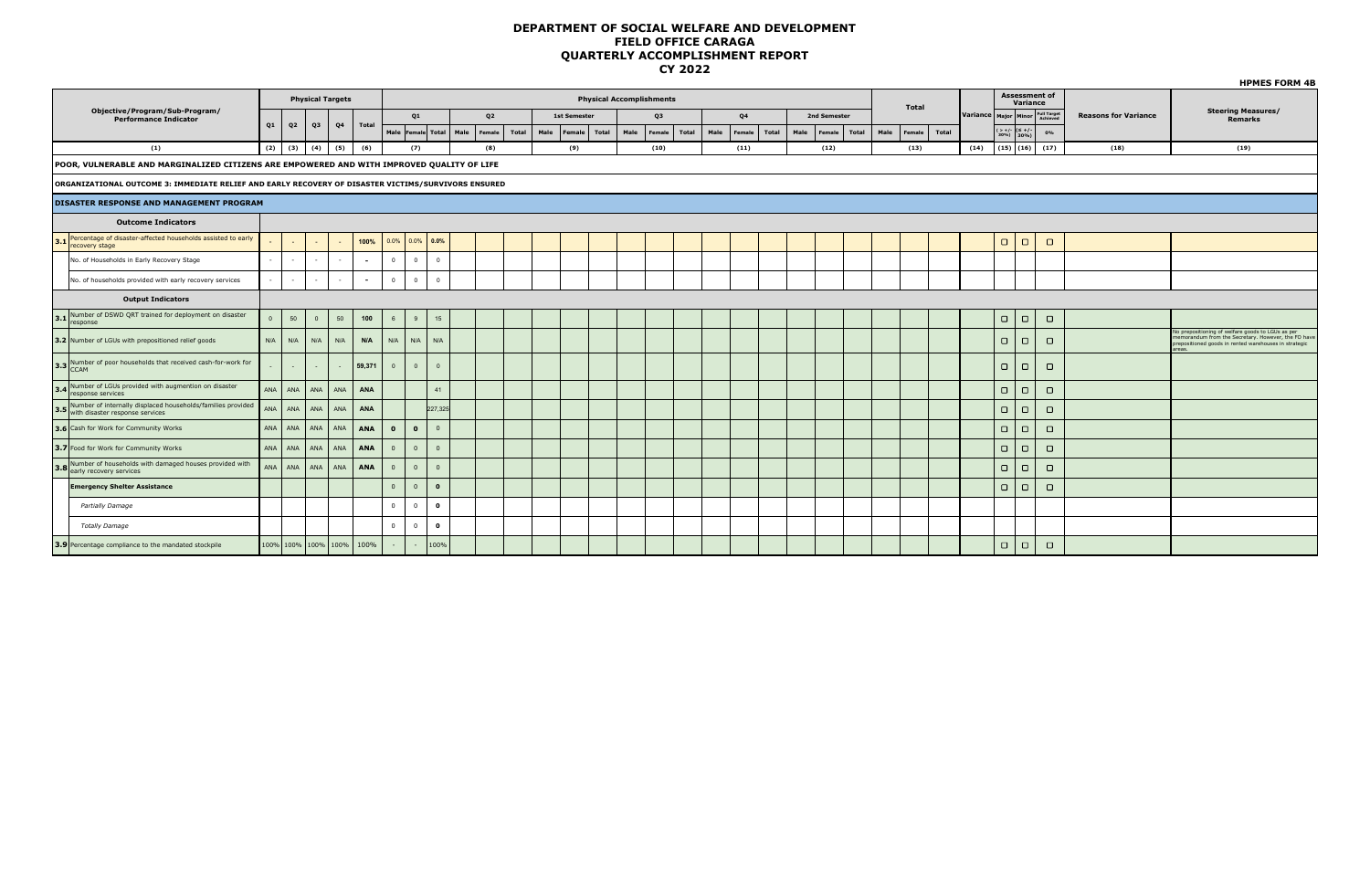|                                                                                                     |                |                |                |                          |                          |                |                |                          |                |       |                     |                                 |      |        |       | ------ |                |       |                |       |      |              |       |      |                                                                                                     |          |                             | <b>HPMES FORM 4B</b>                                                                                                                                                      |
|-----------------------------------------------------------------------------------------------------|----------------|----------------|----------------|--------------------------|--------------------------|----------------|----------------|--------------------------|----------------|-------|---------------------|---------------------------------|------|--------|-------|--------|----------------|-------|----------------|-------|------|--------------|-------|------|-----------------------------------------------------------------------------------------------------|----------|-----------------------------|---------------------------------------------------------------------------------------------------------------------------------------------------------------------------|
|                                                                                                     |                |                |                | <b>Physical Targets</b>  |                          |                |                |                          |                |       |                     | <b>Physical Accomplishments</b> |      |        |       |        |                |       |                |       |      | <b>Total</b> |       |      | <b>Assessment of</b>                                                                                | Variance |                             |                                                                                                                                                                           |
| Objective/Program/Sub-Program/<br><b>Performance Indicator</b>                                      |                |                |                |                          |                          |                | Q1             |                          | Q <sub>2</sub> |       | <b>1st Semester</b> |                                 |      | Q3     |       |        | Q <sub>4</sub> |       | 2nd Semester   |       |      |              |       |      | Variance Major Minor Full Target                                                                    |          | <b>Reasons for Variance</b> | <b>Steering Measures/</b><br><b>Remarks</b>                                                                                                                               |
|                                                                                                     | Q1             | Q <sub>2</sub> | Q3             | Q4                       | Total                    |                |                | Male Female Total   Male | Female         | Total | Male<br>Female      | Total                           | Male | Female | Total | Male   | Female         | Total | Male<br>Female | Total | Male | Female       | Total |      | $\begin{array}{c} ( > +/- \\ 30\% ) \end{array}$ $\begin{array}{c} (\leq +/- \\ 30\% ) \end{array}$ | 0%       |                             |                                                                                                                                                                           |
| (1)                                                                                                 |                |                |                | $(2)$ $(3)$ $(4)$ $(5)$  | (6)                      |                | (7)            |                          | (8)            |       | (9)                 |                                 |      | (10)   |       |        | (11)           |       | (12)           |       |      | (13)         |       | (14) | (15)   (16)   (17)                                                                                  |          | (18)                        | (19)                                                                                                                                                                      |
| POOR, VULNERABLE AND MARGINALIZED CITIZENS ARE EMPOWERED AND WITH IMPROVED QUALITY OF LIFE          |                |                |                |                          |                          |                |                |                          |                |       |                     |                                 |      |        |       |        |                |       |                |       |      |              |       |      |                                                                                                     |          |                             |                                                                                                                                                                           |
| ORGANIZATIONAL OUTCOME 3: IMMEDIATE RELIEF AND EARLY RECOVERY OF DISASTER VICTIMS/SURVIVORS ENSURED |                |                |                |                          |                          |                |                |                          |                |       |                     |                                 |      |        |       |        |                |       |                |       |      |              |       |      |                                                                                                     |          |                             |                                                                                                                                                                           |
| DISASTER RESPONSE AND MANAGEMENT PROGRAM                                                            |                |                |                |                          |                          |                |                |                          |                |       |                     |                                 |      |        |       |        |                |       |                |       |      |              |       |      |                                                                                                     |          |                             |                                                                                                                                                                           |
| <b>Outcome Indicators</b>                                                                           |                |                |                |                          |                          |                |                |                          |                |       |                     |                                 |      |        |       |        |                |       |                |       |      |              |       |      |                                                                                                     |          |                             |                                                                                                                                                                           |
| 3.1 Percentage of disaster-affected households assisted to early                                    |                | $\sim$         | $\sim$         | $\overline{\phantom{a}}$ | 100%                     |                |                | $0.0\%$ 0.0% 0.0%        |                |       |                     |                                 |      |        |       |        |                |       |                |       |      |              |       |      | $\Box$<br>$\Box$                                                                                    | $\Box$   |                             |                                                                                                                                                                           |
| No. of Households in Early Recovery Stage                                                           | $\sim$         | $\sim$         | $\sim$         | $\sim$                   | $\sim$                   | $\circ$        | $\mathbf{0}$   | $\overline{\mathbf{0}}$  |                |       |                     |                                 |      |        |       |        |                |       |                |       |      |              |       |      |                                                                                                     |          |                             |                                                                                                                                                                           |
| No. of households provided with early recovery services                                             |                | $\sim$         | $\sim$         | $\sim$                   | $\sim$                   | $\overline{0}$ | $\overline{0}$ | $\overline{\mathbf{0}}$  |                |       |                     |                                 |      |        |       |        |                |       |                |       |      |              |       |      |                                                                                                     |          |                             |                                                                                                                                                                           |
| <b>Output Indicators</b>                                                                            |                |                |                |                          |                          |                |                |                          |                |       |                     |                                 |      |        |       |        |                |       |                |       |      |              |       |      |                                                                                                     |          |                             |                                                                                                                                                                           |
| 3.1 Number of DSWD QRT trained for deployment on disaster                                           | $\overline{0}$ | 50             | $\overline{0}$ | 50                       | 100                      | 6              | 9              | 15                       |                |       |                     |                                 |      |        |       |        |                |       |                |       |      |              |       |      | $\Box$<br>$\Box$                                                                                    | $\Box$   |                             |                                                                                                                                                                           |
| 3.2 Number of LGUs with prepositioned relief goods                                                  | N/A            | N/A            | N/A            | N/A                      | N/A                      | N/A            | N/A            | N/A                      |                |       |                     |                                 |      |        |       |        |                |       |                |       |      |              |       |      | $\Box$<br>$\Box$                                                                                    | $\Box$   |                             | No prepositioning of welfare goods to LGUs as per<br>memorandum from the Secretary. However, the FO have<br>prepositioned goods in rented warehouses in strategic<br>reas |
| 3.3 Number of poor households that received cash-for-work for                                       |                | $\sim$         | $\sim$         | $\sim$                   | 59,371                   | $\overline{0}$ | $\overline{0}$ | $\overline{0}$           |                |       |                     |                                 |      |        |       |        |                |       |                |       |      |              |       |      | $\Box$<br>$\Box$                                                                                    | $\Box$   |                             |                                                                                                                                                                           |
| 3.4 Number of LGUs provided with augmention on disaster<br>response services                        | ANA            | ANA            | ANA            | ANA                      | ANA                      |                |                | 41                       |                |       |                     |                                 |      |        |       |        |                |       |                |       |      |              |       |      | $\Box$<br>$\Box$                                                                                    | $\Box$   |                             |                                                                                                                                                                           |
| 3.5 Number of internally displaced households/families provided<br>with disaster response services  | ANA            | ANA            | ANA            | ANA                      | ANA                      |                |                | 227,325                  |                |       |                     |                                 |      |        |       |        |                |       |                |       |      |              |       |      | $\Box$<br>$\Box$                                                                                    | $\Box$   |                             |                                                                                                                                                                           |
| 3.6 Cash for Work for Community Works                                                               |                | ANA ANA        | ANA            | ANA                      | ANA                      | $\bullet$      | $\bullet$      | $\overline{0}$           |                |       |                     |                                 |      |        |       |        |                |       |                |       |      |              |       |      | $\Box$<br>$\Box$                                                                                    | $\Box$   |                             |                                                                                                                                                                           |
| 3.7 Food for Work for Community Works                                                               |                | ANA ANA        | ANA            | ANA                      | ANA                      | $\overline{0}$ | $\overline{0}$ | $\overline{0}$           |                |       |                     |                                 |      |        |       |        |                |       |                |       |      |              |       |      | $\Box$<br>$\Box$                                                                                    | $\Box$   |                             |                                                                                                                                                                           |
| 3.8 Number of households with damaged houses provided with<br>early recovery services               |                | ANA ANA        | ANA            | ANA                      | ANA                      | $\overline{0}$ | $\overline{0}$ | $\overline{0}$           |                |       |                     |                                 |      |        |       |        |                |       |                |       |      |              |       |      | $\Box$<br>$\Box$                                                                                    | $\Box$   |                             |                                                                                                                                                                           |
| <b>Emergency Shelter Assistance</b>                                                                 |                |                |                |                          |                          | $\overline{0}$ | $\overline{0}$ | $\bullet$                |                |       |                     |                                 |      |        |       |        |                |       |                |       |      |              |       |      | $\Box$<br>$\Box$                                                                                    | $\Box$   |                             |                                                                                                                                                                           |
| Partially Damage                                                                                    |                |                |                |                          |                          | $\overline{0}$ | $\overline{0}$ | $\mathbf{0}$             |                |       |                     |                                 |      |        |       |        |                |       |                |       |      |              |       |      |                                                                                                     |          |                             |                                                                                                                                                                           |
| <b>Totally Damage</b>                                                                               |                |                |                |                          |                          | $\overline{0}$ | $\overline{0}$ | $\mathbf{0}$             |                |       |                     |                                 |      |        |       |        |                |       |                |       |      |              |       |      |                                                                                                     |          |                             |                                                                                                                                                                           |
| 3.9 Percentage compliance to the mandated stockpile                                                 |                |                |                |                          | 100% 100% 100% 100% 100% |                | $\sim$         | 100%                     |                |       |                     |                                 |      |        |       |        |                |       |                |       |      |              |       |      | $\Box$                                                                                              | $\Box$   |                             |                                                                                                                                                                           |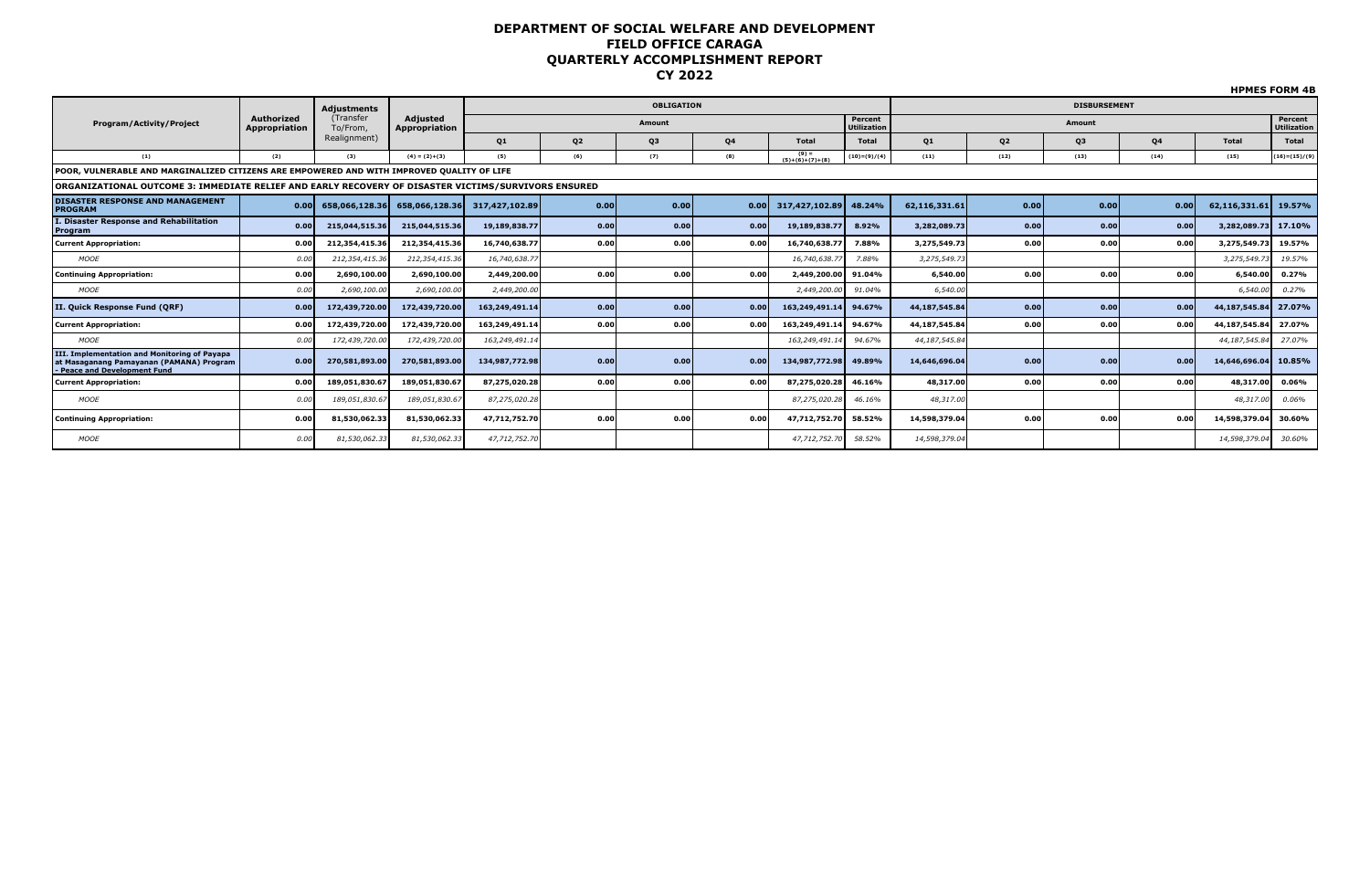|                                                                                                                          |                             |                       |                           |                |                |                   |      |                              |                               |               |           |                     |      |                      | <b>DEMES FUNN 40</b>          |
|--------------------------------------------------------------------------------------------------------------------------|-----------------------------|-----------------------|---------------------------|----------------|----------------|-------------------|------|------------------------------|-------------------------------|---------------|-----------|---------------------|------|----------------------|-------------------------------|
|                                                                                                                          |                             | Adjustments           |                           |                |                | <b>OBLIGATION</b> |      |                              |                               |               |           | <b>DISBURSEMENT</b> |      |                      |                               |
| <b>Program/Activity/Project</b>                                                                                          | Authorized<br>Appropriation | (Transfer<br>To/From, | Adjusted<br>Appropriation |                |                | Amount            |      |                              | Percent<br><b>Utilization</b> |               |           | Amount              |      |                      | Percent<br><b>Utilization</b> |
|                                                                                                                          |                             | Realignment)          |                           | Q1             | Q <sub>2</sub> | Q3                | Q4   | Total                        | <b>Total</b>                  | <b>Q1</b>     | <b>Q2</b> | Q3                  | Q4   | Total                | <b>Total</b>                  |
| (1)                                                                                                                      | (2)                         | (3)                   | $(4) = (2)+(3)$           | (5)            | (6)            | (7)               | (8)  | $(9) =$<br>$(5)+(6)+(7)+(8)$ | $(10)=(9)/(4)$                | (11)          | (12)      | (13)                | (14) | (15)                 | $(16)=(15)/(9)$               |
| POOR, VULNERABLE AND MARGINALIZED CITIZENS ARE EMPOWERED AND WITH IMPROVED QUALITY OF LIFE                               |                             |                       |                           |                |                |                   |      |                              |                               |               |           |                     |      |                      |                               |
| ORGANIZATIONAL OUTCOME 3: IMMEDIATE RELIEF AND EARLY RECOVERY OF DISASTER VICTIMS/SURVIVORS ENSURED                      |                             |                       |                           |                |                |                   |      |                              |                               |               |           |                     |      |                      |                               |
| <b>DISASTER RESPONSE AND MANAGEMENT</b><br><b>PROGRAM</b>                                                                | 0.00                        | 658,066,128.36        | 658,066,128.36            | 317,427,102.89 | 0.00           | 0.00              | 0.00 | 317,427,102.89               | 48.24%                        | 62.116.331.61 | 0.00      | 0.00                | 0.00 | 62,116,331.61 19.57% |                               |
| I. Disaster Response and Rehabilitation<br>Program                                                                       | 0.00                        | 215,044,515.36        | 215,044,515.36            | 19,189,838.77  | 0.00           | 0.00              | 0.00 | 19,189,838.77                | 8.92%                         | 3,282,089.73  | 0.00      | 0.00                | 0.00 | 3,282,089.73         | 17.10%                        |
| <b>Current Appropriation:</b>                                                                                            | 0.00                        | 212,354,415.36        | 212,354,415.36            | 16,740,638.77  | 0.00           | 0.00              | 0.00 | 16,740,638.77                | 7.88%                         | 3,275,549.73  | 0.00      | 0.00                | 0.00 | 3,275,549.73         | 19.57%                        |
| <b>MOOE</b>                                                                                                              | 0.00                        | 212,354,415.30        | 212,354,415.36            | 16,740,638.77  |                |                   |      | 16,740,638.7                 | 7.88%                         | 3,275,549.73  |           |                     |      | 3,275,549.73         | 19.57%                        |
| <b>Continuing Appropriation:</b>                                                                                         | 0.00                        | 2,690,100.00          | 2,690,100.00              | 2,449,200.00   | 0.00           | 0.00              | 0.00 | 2,449,200.00                 | 91.04%                        | 6,540.00      | 0.00      | 0.00                | 0.00 | 6,540.00             | 0.27%                         |
| <b>MOOE</b>                                                                                                              | 0.00                        | 2,690,100.00          | 2,690,100.00              | 2,449,200.00   |                |                   |      | 2,449,200.00                 | 91.04%                        | 6,540.00      |           |                     |      | 6,540.00             | 0.27%                         |
| II. Quick Response Fund (QRF)                                                                                            | 0.00                        | 172,439,720.00        | 172,439,720.00            | 163,249,491.14 | 0.00           | 0.00              | 0.00 | 163,249,491.14               | 94.67%                        | 44,187,545,84 | 0.00      | 0.00                | 0.00 | 44,187,545.84        | 27.07%                        |
| <b>Current Appropriation:</b>                                                                                            | 0.00                        | 172,439,720.00        | 172,439,720.00            | 163,249,491.14 | 0.00           | 0.00              | 0.00 | 163,249,491.1                | 94.67%                        | 44,187,545.84 | 0.00      | 0.00                | 0.00 | 44,187,545.84        | 27.07%                        |
| <b>MOOE</b>                                                                                                              | 0.00                        | 172,439,720.0         | 172,439,720.00            | 163,249,491.14 |                |                   |      | 163,249,491.1                | 94.67%                        | 44,187,545.84 |           |                     |      | 44, 187, 545.84      | 27.07%                        |
| III. Implementation and Monitoring of Payapa<br>at Masaganang Pamayanan (PAMANA) Program<br>- Peace and Development Fund | 0.00                        | 270,581,893.00        | 270,581,893.00            | 134,987,772.98 | 0.00           | 0.00              | 0.00 | 134,987,772.98               | 49.89%                        | 14,646,696.04 | 0.00      | 0.00                | 0.00 | 14,646,696.04        | 10.85%                        |
| <b>Current Appropriation:</b>                                                                                            | 0.00                        | 189.051.830.67        | 189,051,830.67            | 87,275,020.28  | 0.00           | 0.00              | 0.00 | 87,275,020.28                | 46.16%                        | 48,317.00     | 0.00      | 0.00                | 0.00 | 48,317.00            | 0.06%                         |
| <b>MOOE</b>                                                                                                              | 0.00                        | 189,051,830.67        | 189,051,830.67            | 87,275,020.28  |                |                   |      | 87,275,020.28                | 46.16%                        | 48,317.00     |           |                     |      | 48,317.00            | 0.06%                         |
| <b>Continuing Appropriation:</b>                                                                                         | 0.00                        | 81,530,062.33         | 81,530,062.33             | 47,712,752.70  | 0.00           | 0.00              | 0.00 | 47,712,752.70 58.52%         |                               | 14,598,379.04 | 0.00      | 0.00                | 0.00 | 14,598,379.04        | 30.60%                        |
| <b>MOOE</b>                                                                                                              | 0.00                        | 81,530,062.33         | 81,530,062.33             | 47,712,752.70  |                |                   |      | 47,712,752.70                | 58.52%                        | 14,598,379.04 |           |                     |      | 14,598,379.04        | 30.60%                        |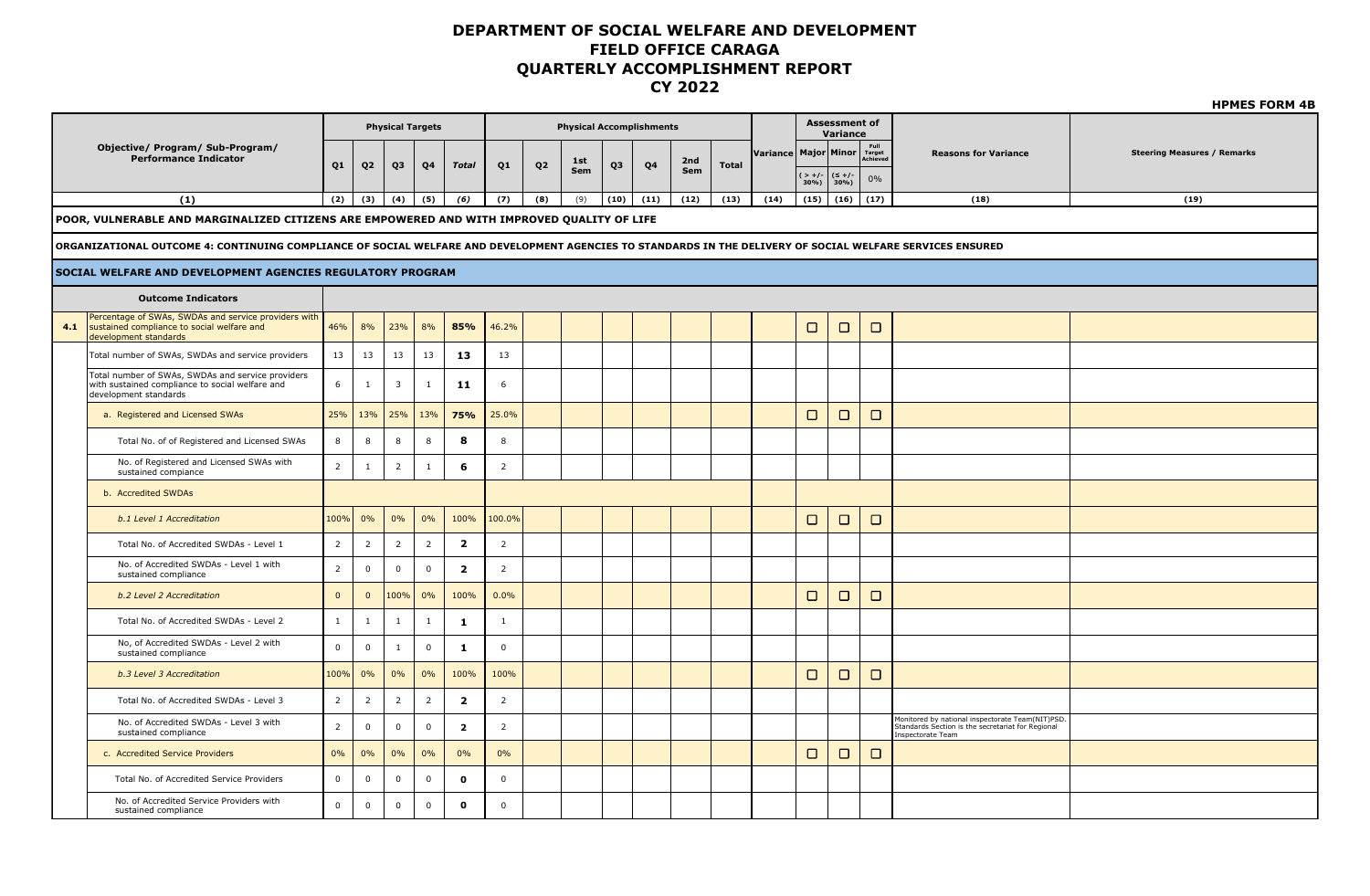|     |                                                                                                                                                            |                |                     |                         |                |                         |                |                |                                 |      |                |            |              |                          |             |                                  |                            |                                                                                                                            | <b>HPMES FORM 4B</b>               |
|-----|------------------------------------------------------------------------------------------------------------------------------------------------------------|----------------|---------------------|-------------------------|----------------|-------------------------|----------------|----------------|---------------------------------|------|----------------|------------|--------------|--------------------------|-------------|----------------------------------|----------------------------|----------------------------------------------------------------------------------------------------------------------------|------------------------------------|
|     |                                                                                                                                                            |                |                     | <b>Physical Targets</b> |                |                         |                |                | <b>Physical Accomplishments</b> |      |                |            |              |                          |             | <b>Assessment of</b><br>Variance |                            |                                                                                                                            |                                    |
|     | Objective/ Program/ Sub-Program/                                                                                                                           |                |                     |                         |                |                         |                |                |                                 |      |                |            |              | Variance   Major   Minor |             |                                  | Full<br>Target<br>Achieved | <b>Reasons for Variance</b>                                                                                                | <b>Steering Measures / Remarks</b> |
|     | <b>Performance Indicator</b>                                                                                                                               | Q <sub>1</sub> | Q <sub>2</sub>      | Q3                      | Q <sub>4</sub> | <b>Total</b>            | Q <sub>1</sub> | Q <sub>2</sub> | 1st<br>Sem                      | Q3   | Q <sub>4</sub> | 2nd<br>Sem | <b>Total</b> |                          | (>+/-│(≤+/- |                                  | $0\%$                      |                                                                                                                            |                                    |
|     | (1)                                                                                                                                                        | (2)            | (3)                 | (4)                     | (5)            | (6)                     | (7)            | (8)            | (9)                             | (10) | (11)           | (12)       | (13)         | (14)                     | 30%<br>(15) | $30\%$<br>(16)                   | (17)                       | (18)                                                                                                                       | (19)                               |
|     | POOR, VULNERABLE AND MARGINALIZED CITIZENS ARE EMPOWERED AND WITH IMPROVED QUALITY OF LIFE                                                                 |                |                     |                         |                |                         |                |                |                                 |      |                |            |              |                          |             |                                  |                            |                                                                                                                            |                                    |
|     |                                                                                                                                                            |                |                     |                         |                |                         |                |                |                                 |      |                |            |              |                          |             |                                  |                            |                                                                                                                            |                                    |
|     | ORGANIZATIONAL OUTCOME 4: CONTINUING COMPLIANCE OF SOCIAL WELFARE AND DEVELOPMENT AGENCIES TO STANDARDS IN THE DELIVERY OF SOCIAL WELFARE SERVICES ENSURED |                |                     |                         |                |                         |                |                |                                 |      |                |            |              |                          |             |                                  |                            |                                                                                                                            |                                    |
|     | <b>SOCIAL WELFARE AND DEVELOPMENT AGENCIES REGULATORY PROGRAM</b>                                                                                          |                |                     |                         |                |                         |                |                |                                 |      |                |            |              |                          |             |                                  |                            |                                                                                                                            |                                    |
|     | <b>Outcome Indicators</b>                                                                                                                                  |                |                     |                         |                |                         |                |                |                                 |      |                |            |              |                          |             |                                  |                            |                                                                                                                            |                                    |
| 4.1 | Percentage of SWAs, SWDAs and service providers with<br>sustained compliance to social welfare and<br>development standards                                | 46%            | 8%                  | 23%                     | 8%             | 85%                     | 46.2%          |                |                                 |      |                |            |              |                          | $\Box$      | $\Box$                           | $\Box$                     |                                                                                                                            |                                    |
|     | Total number of SWAs, SWDAs and service providers                                                                                                          | 13             | 13                  | 13                      | 13             | 13                      | 13             |                |                                 |      |                |            |              |                          |             |                                  |                            |                                                                                                                            |                                    |
|     | Total number of SWAs, SWDAs and service providers<br>with sustained compliance to social welfare and<br>development standards                              | 6              | $\mathbf{1}$        | 3                       | $\mathbf{1}$   | 11                      | 6              |                |                                 |      |                |            |              |                          |             |                                  |                            |                                                                                                                            |                                    |
|     | a. Registered and Licensed SWAs                                                                                                                            | 25%            | 13%                 | 25%                     | 13%            | 75%                     | 25.0%          |                |                                 |      |                |            |              |                          | $\Box$      | $\Box$                           | $\Box$                     |                                                                                                                            |                                    |
|     | Total No. of of Registered and Licensed SWAs                                                                                                               | 8              | 8                   | 8                       | 8              | 8                       | 8              |                |                                 |      |                |            |              |                          |             |                                  |                            |                                                                                                                            |                                    |
|     | No. of Registered and Licensed SWAs with<br>sustained compiance                                                                                            | $\overline{2}$ | $\mathbf{1}$        | $\overline{2}$          | $\mathbf{1}$   | 6                       | $\overline{2}$ |                |                                 |      |                |            |              |                          |             |                                  |                            |                                                                                                                            |                                    |
|     | b. Accredited SWDAs                                                                                                                                        |                |                     |                         |                |                         |                |                |                                 |      |                |            |              |                          |             |                                  |                            |                                                                                                                            |                                    |
|     | b.1 Level 1 Accreditation                                                                                                                                  | 100%           | 0%                  | 0%                      | 0%             | 100%                    | 100.0%         |                |                                 |      |                |            |              |                          | $\Box$      | $\Box$                           | $\Box$                     |                                                                                                                            |                                    |
|     | Total No. of Accredited SWDAs - Level 1                                                                                                                    | $\overline{2}$ | $\overline{2}$      | $\overline{2}$          | $\overline{2}$ | $\overline{\mathbf{2}}$ | $\overline{2}$ |                |                                 |      |                |            |              |                          |             |                                  |                            |                                                                                                                            |                                    |
|     | No. of Accredited SWDAs - Level 1 with<br>sustained compliance                                                                                             | $\overline{2}$ | $\mathbf 0$         | $\mathsf 0$             | $\mathbf 0$    | $\overline{2}$          | $\overline{2}$ |                |                                 |      |                |            |              |                          |             |                                  |                            |                                                                                                                            |                                    |
|     | b.2 Level 2 Accreditation                                                                                                                                  | $\mathbf{0}$   | $\mathbf{0}$        | 100%                    | 0%             | 100%                    | 0.0%           |                |                                 |      |                |            |              |                          | $\Box$      | $\Box$                           | $\Box$                     |                                                                                                                            |                                    |
|     | Total No. of Accredited SWDAs - Level 2                                                                                                                    | $\mathbf{1}$   | $\mathbf{1}$        | $\mathbf{1}$            | $\mathbf{1}$   | $\mathbf{1}$            | $\mathbf{1}$   |                |                                 |      |                |            |              |                          |             |                                  |                            |                                                                                                                            |                                    |
|     | No, of Accredited SWDAs - Level 2 with<br>sustained compliance                                                                                             | $\mathbf 0$    | $\mathbf 0$         | $\mathbf{1}$            | $\mathsf 0$    | $\mathbf 1$             | $\mathbf 0$    |                |                                 |      |                |            |              |                          |             |                                  |                            |                                                                                                                            |                                    |
|     | b.3 Level 3 Accreditation                                                                                                                                  | 100%           | 0%                  | 0%                      | 0%             | 100%                    | 100%           |                |                                 |      |                |            |              |                          | $\Box$      | $\Box$                           | $\Box$                     |                                                                                                                            |                                    |
|     | Total No. of Accredited SWDAs - Level 3                                                                                                                    | $\overline{2}$ | $\overline{2}$      | $\overline{2}$          | $\overline{2}$ | $\overline{2}$          | $\overline{2}$ |                |                                 |      |                |            |              |                          |             |                                  |                            |                                                                                                                            |                                    |
|     | No. of Accredited SWDAs - Level 3 with<br>sustained compliance                                                                                             | $\overline{2}$ | $\mathsf{O}\xspace$ | $\mathsf{O}\xspace$     | $\mathbf 0$    | $\overline{\mathbf{2}}$ | $\overline{2}$ |                |                                 |      |                |            |              |                          |             |                                  |                            | Monitored by national inspectorate Team(NIT)PSD.<br>Standards Section is the secretariat for Regional<br>Inspectorate Team |                                    |
|     | c. Accredited Service Providers                                                                                                                            | 0%             | 0%                  | 0%                      | 0%             | 0%                      | 0%             |                |                                 |      |                |            |              |                          | $\Box$      | $\Box$                           | $\Box$                     |                                                                                                                            |                                    |
|     | Total No. of Accredited Service Providers                                                                                                                  | $\mathbf 0$    | $\mathbf 0$         | $\mathbf 0$             | $\mathbf 0$    | $\mathbf{o}$            | $\mathbf 0$    |                |                                 |      |                |            |              |                          |             |                                  |                            |                                                                                                                            |                                    |
|     | No. of Accredited Service Providers with<br>sustained compliance                                                                                           | $\mathbf 0$    | $\mathbf 0$         | $\mathbf 0$             | $\mathbf 0$    | $\mathbf{o}$            | $\mathbf 0$    |                |                                 |      |                |            |              |                          |             |                                  |                            |                                                                                                                            |                                    |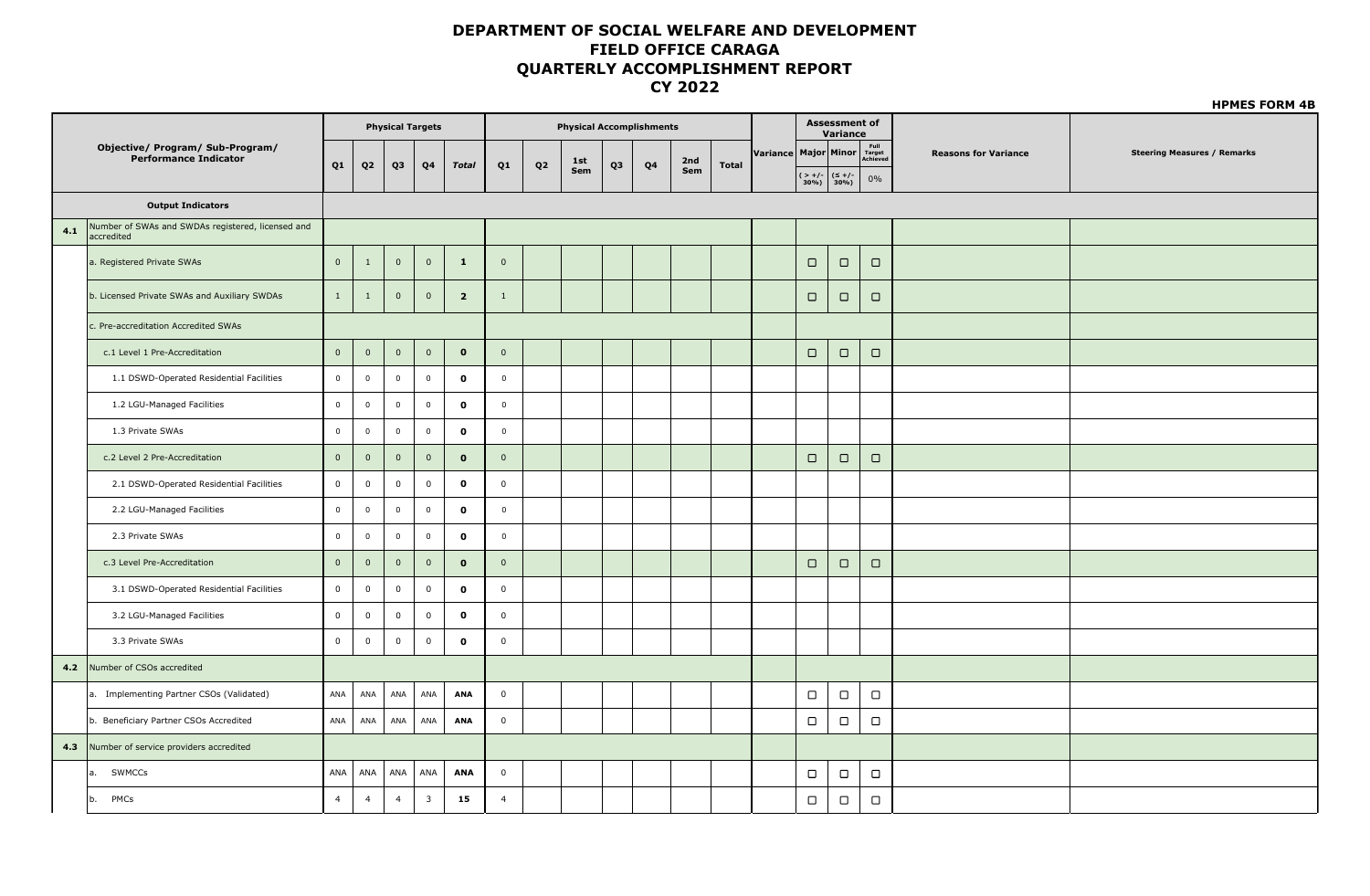|     |                                                                  |                |                |                         | <b>Physical Targets</b> |                         |                |    | <b>Physical Accomplishments</b> |                |                |     |              |                             |                  | <b>Assessment of</b><br>Variance        |                  |                             |                                    |
|-----|------------------------------------------------------------------|----------------|----------------|-------------------------|-------------------------|-------------------------|----------------|----|---------------------------------|----------------|----------------|-----|--------------|-----------------------------|------------------|-----------------------------------------|------------------|-----------------------------|------------------------------------|
|     | <b>Objective/ Program/ Sub-Program/</b><br>Performance Indicator |                |                |                         |                         |                         |                |    | 1st                             |                |                | 2nd |              | Variance Major Minor Target |                  |                                         |                  | <b>Reasons for Variance</b> | <b>Steering Measures / Remarks</b> |
|     |                                                                  | Q <sub>1</sub> | $\mathbf{Q2}$  | Q3                      | Q4                      | <b>Total</b>            | Q <sub>1</sub> | Q2 | Sem                             | Q <sub>3</sub> | Q <sub>4</sub> | Sem | <b>Total</b> |                             |                  | $($ > +/- $ $ ( $\leq$ +/-<br>30%) 30%) | $0\%$            |                             |                                    |
|     | <b>Output Indicators</b>                                         |                |                |                         |                         |                         |                |    |                                 |                |                |     |              |                             |                  |                                         |                  |                             |                                    |
| 4.1 | Number of SWAs and SWDAs registered, licensed and<br>accredited  |                |                |                         |                         |                         |                |    |                                 |                |                |     |              |                             |                  |                                         |                  |                             |                                    |
|     | a. Registered Private SWAs                                       | $\mathbf{0}$   | $\mathbf{1}$   | $\mathbf 0$             | $\overline{0}$          | $\mathbf{1}$            | $\overline{0}$ |    |                                 |                |                |     |              |                             | $\Box$           | $\Box$                                  | $\Box$           |                             |                                    |
|     | b. Licensed Private SWAs and Auxiliary SWDAs                     | 1              | $\mathbf{1}$   | $\mathbf 0$             | $\overline{0}$          | $\overline{\mathbf{2}}$ | 1              |    |                                 |                |                |     |              |                             | $\Box$           | $\Box$                                  | $\Box$           |                             |                                    |
|     | c. Pre-accreditation Accredited SWAs                             |                |                |                         |                         |                         |                |    |                                 |                |                |     |              |                             |                  |                                         |                  |                             |                                    |
|     | c.1 Level 1 Pre-Accreditation                                    | $\mathbf 0$    | $\mathsf 0$    | $\mathbf 0$             | $\mathbf 0$             | $\mathbf{o}$            | $\overline{0}$ |    |                                 |                |                |     |              |                             | $\Box$           | $\Box$                                  | $\Box$           |                             |                                    |
|     | 1.1 DSWD-Operated Residential Facilities                         | $\overline{0}$ | $\overline{0}$ | $\overline{\mathbf{0}}$ | $\mathbf 0$             | $\pmb{0}$               | $\overline{0}$ |    |                                 |                |                |     |              |                             |                  |                                         |                  |                             |                                    |
|     | 1.2 LGU-Managed Facilities                                       | $\overline{0}$ | $\mathbf 0$    | $\overline{\mathbf{0}}$ | $\overline{0}$          | $\mathbf{o}$            | $\mathbf 0$    |    |                                 |                |                |     |              |                             |                  |                                         |                  |                             |                                    |
|     | 1.3 Private SWAs                                                 | $\mathbf 0$    | $\overline{0}$ | $\mathbf 0$             | $\mathbf 0$             | $\mathbf{o}$            | $\mathbb O$    |    |                                 |                |                |     |              |                             |                  |                                         |                  |                             |                                    |
|     | c.2 Level 2 Pre-Accreditation                                    | $\mathbf 0$    | $\mathbf 0$    | $\mathbf 0$             | $\overline{0}$          | $\mathbf{o}$            | $\mathbf 0$    |    |                                 |                |                |     |              |                             | $\Box$           | $\Box$                                  | $\hfill \square$ |                             |                                    |
|     | 2.1 DSWD-Operated Residential Facilities                         | $\mathbf 0$    | $\mathbf 0$    | $\mathbf 0$             | $\mathbf 0$             | $\mathbf{o}$            | $\mathbf 0$    |    |                                 |                |                |     |              |                             |                  |                                         |                  |                             |                                    |
|     | 2.2 LGU-Managed Facilities                                       | $\mathbf 0$    | $\overline{0}$ | $\mathsf 0$             | $\mathbf 0$             | $\mathbf{o}$            | $\mathbf 0$    |    |                                 |                |                |     |              |                             |                  |                                         |                  |                             |                                    |
|     | 2.3 Private SWAs                                                 | $\mathbf 0$    | $\mathbf 0$    | $\overline{0}$          | $\mathbf 0$             | $\mathbf{o}$            | $\mathbf 0$    |    |                                 |                |                |     |              |                             |                  |                                         |                  |                             |                                    |
|     | c.3 Level Pre-Accreditation                                      | $\mathbf 0$    | $\mathbf 0$    | $\mathbf 0$             | $\overline{\mathbf{0}}$ | $\mathbf{o}$            | $\overline{0}$ |    |                                 |                |                |     |              |                             | $\hfill \square$ | $\hfill \square$                        | $\Box$           |                             |                                    |
|     | 3.1 DSWD-Operated Residential Facilities                         | $\overline{0}$ | $\mathbf 0$    | $\overline{0}$          | $\mathbf 0$             | $\mathbf{o}$            | $\mathbf 0$    |    |                                 |                |                |     |              |                             |                  |                                         |                  |                             |                                    |
|     | 3.2 LGU-Managed Facilities                                       | $\mathbf 0$    | $\mathbf 0$    | $\mathbf 0$             | $\mathbf 0$             | $\mathbf{o}$            | $\mathbf 0$    |    |                                 |                |                |     |              |                             |                  |                                         |                  |                             |                                    |
|     | 3.3 Private SWAs                                                 | $\mathbf 0$    | $\mathbf{0}$   | $\mathbf 0$             | $\mathbf 0$             | $\mathbf 0$             | $\mathbf 0$    |    |                                 |                |                |     |              |                             |                  |                                         |                  |                             |                                    |
| 4.2 | Number of CSOs accredited                                        |                |                |                         |                         |                         |                |    |                                 |                |                |     |              |                             |                  |                                         |                  |                             |                                    |
|     | a. Implementing Partner CSOs (Validated)                         | ANA            | ANA            | ANA                     | ANA                     | ANA                     | $\mathsf 0$    |    |                                 |                |                |     |              |                             | $\hfill\square$  | $\hfill \Box$                           | $\hfill\square$  |                             |                                    |
|     | b. Beneficiary Partner CSOs Accredited                           | ANA            | ANA            | ANA                     | ANA                     | ANA                     | $\mathsf 0$    |    |                                 |                |                |     |              |                             | $\Box$           | $\Box$                                  | $\hfill\square$  |                             |                                    |
| 4.3 | Number of service providers accredited                           |                |                |                         |                         |                         |                |    |                                 |                |                |     |              |                             |                  |                                         |                  |                             |                                    |
|     | a. SWMCCs                                                        | ANA            | ANA            | ANA                     | ANA                     | <b>ANA</b>              | $\mathsf 0$    |    |                                 |                |                |     |              |                             | $\Box$           | $\Box$                                  | $\hfill\square$  |                             |                                    |
|     | PMCs<br>b.                                                       | $\overline{4}$ | $\overline{4}$ | $\overline{4}$          | $\overline{\mathbf{3}}$ | 15                      | $\overline{4}$ |    |                                 |                |                |     |              |                             | $\Box$           | $\Box$                                  | $\Box$           |                             |                                    |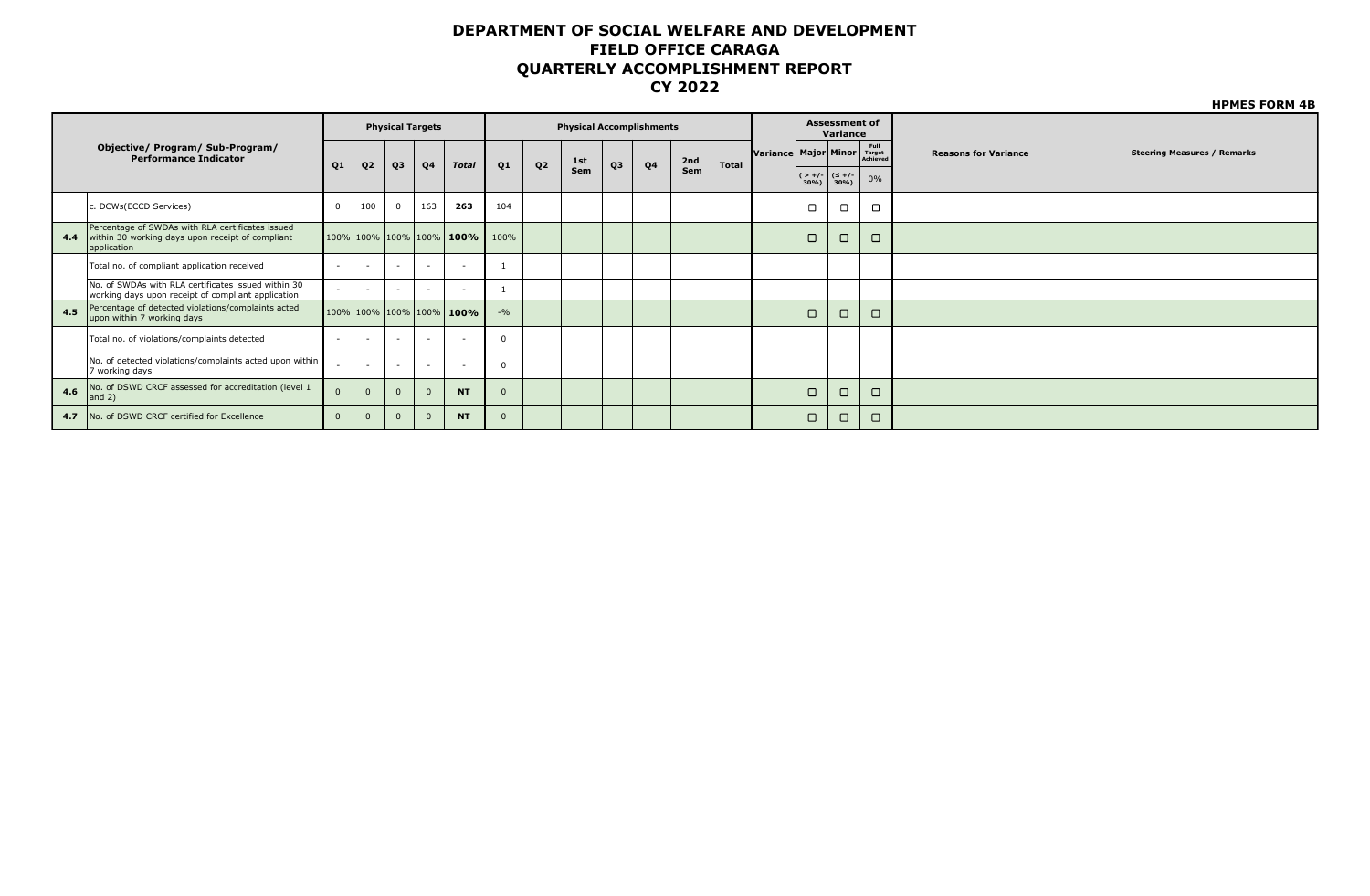|     |                                                                                                                     |                          |                          |                          |                         |                                  |          |                |                                 |                |                |     |              |                      |                                             |                                  |                            |                             | <b>HPMES FORM 4B</b>               |
|-----|---------------------------------------------------------------------------------------------------------------------|--------------------------|--------------------------|--------------------------|-------------------------|----------------------------------|----------|----------------|---------------------------------|----------------|----------------|-----|--------------|----------------------|---------------------------------------------|----------------------------------|----------------------------|-----------------------------|------------------------------------|
|     |                                                                                                                     |                          |                          |                          | <b>Physical Targets</b> |                                  |          |                | <b>Physical Accomplishments</b> |                |                |     |              |                      |                                             | <b>Assessment of</b><br>Variance |                            |                             |                                    |
|     | Objective/ Program/ Sub-Program/<br><b>Performance Indicator</b>                                                    | Q <sub>1</sub>           |                          |                          | Q4                      | <b>Total</b>                     | Q1       | Q <sub>2</sub> | 1st                             | Q <sub>3</sub> | Q <sub>4</sub> | 2nd | <b>Total</b> | Variance Major Minor |                                             |                                  | Full<br>Target<br>Achieved | <b>Reasons for Variance</b> | <b>Steering Measures / Remarks</b> |
|     |                                                                                                                     |                          | Q <sub>2</sub>           | Q3                       |                         |                                  |          |                | Sem                             |                |                | Sem |              |                      | $($ > +/- $ $ ( $\leq$ +/-<br>$30\%$ ) 30%) |                                  | 0%                         |                             |                                    |
|     | c. DCWs(ECCD Services)                                                                                              | $\Omega$                 | 100                      | $\mathbf{0}$             | 163                     | 263                              | 104      |                |                                 |                |                |     |              |                      | $\Box$                                      | $\Box$                           | □                          |                             |                                    |
| 4.4 | Percentage of SWDAs with RLA certificates issued<br>within 30 working days upon receipt of compliant<br>application |                          |                          |                          |                         | $100\%$ 100% 100% 100% 100% 100% | 100%     |                |                                 |                |                |     |              |                      | $\Box$                                      | $\Box$                           | $\Box$                     |                             |                                    |
|     | Total no. of compliant application received                                                                         | $\overline{\phantom{a}}$ |                          | $\overline{\phantom{0}}$ | $\sim$                  | $\sim$                           |          |                |                                 |                |                |     |              |                      |                                             |                                  |                            |                             |                                    |
|     | No. of SWDAs with RLA certificates issued within 30<br>working days upon receipt of compliant application           |                          | $\overline{\phantom{a}}$ | $\sim$                   | $\sim$                  | $\sim$                           |          |                |                                 |                |                |     |              |                      |                                             |                                  |                            |                             |                                    |
| 4.5 | Percentage of detected violations/complaints acted<br>upon within 7 working days                                    |                          |                          |                          |                         | 100% 100% 100% 100% 100%         | $-9/0$   |                |                                 |                |                |     |              |                      | $\Box$                                      | $\Box$                           | $\Box$                     |                             |                                    |
|     | Total no. of violations/complaints detected                                                                         | $\blacksquare$           | $\overline{\phantom{a}}$ |                          | $\sim$                  | $\sim$                           |          |                |                                 |                |                |     |              |                      |                                             |                                  |                            |                             |                                    |
|     | No. of detected violations/complaints acted upon within<br>7 working days                                           |                          | $\overline{\phantom{a}}$ |                          | $\sim$                  |                                  | $\Omega$ |                |                                 |                |                |     |              |                      |                                             |                                  |                            |                             |                                    |
| 4.6 | No. of DSWD CRCF assessed for accreditation (level 1<br>and $2)$                                                    | $\Omega$                 | $\Omega$                 | $\Omega$                 | $\Omega$                | <b>NT</b>                        |          |                |                                 |                |                |     |              |                      | $\Box$                                      | $\Box$                           | $\Box$                     |                             |                                    |
| 4.7 | No. of DSWD CRCF certified for Excellence                                                                           | $\mathbf{0}$             |                          | $\mathbf{0}$             | $\mathbf{0}$            | <b>NT</b>                        |          |                |                                 |                |                |     |              |                      | $\Box$                                      | $\Box$                           | $\Box$                     |                             |                                    |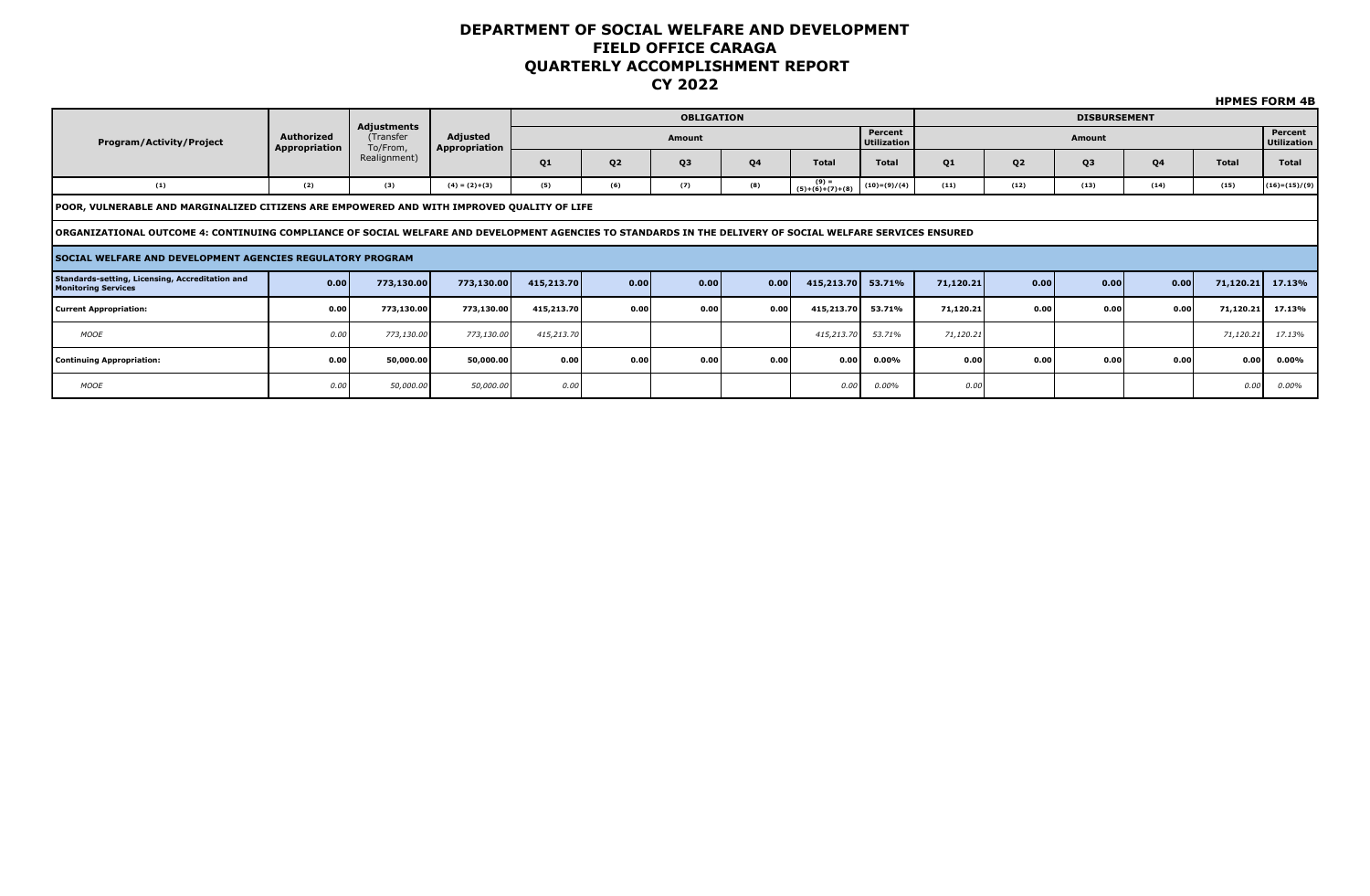|                                                                                                                                                            |                                    |                                      |                           |                |                |                   |                |                            |                        |           |                |                     |      |              | <b>HPMES FORM 4B</b>          |
|------------------------------------------------------------------------------------------------------------------------------------------------------------|------------------------------------|--------------------------------------|---------------------------|----------------|----------------|-------------------|----------------|----------------------------|------------------------|-----------|----------------|---------------------|------|--------------|-------------------------------|
|                                                                                                                                                            |                                    |                                      |                           |                |                | <b>OBLIGATION</b> |                |                            |                        |           |                | <b>DISBURSEMENT</b> |      |              |                               |
| <b>Program/Activity/Project</b>                                                                                                                            | <b>Authorized</b><br>Appropriation | Adjustments<br>(Transfer<br>To/From, | Adjusted<br>Appropriation |                |                | <b>Amount</b>     |                |                            | Percent<br>Utilization |           |                | Amount              |      |              | Percent<br><b>Utilization</b> |
|                                                                                                                                                            |                                    | Realignment)                         |                           | Q <sub>1</sub> | Q <sub>2</sub> | Q <sub>3</sub>    | Q <sub>4</sub> | <b>Total</b>               | <b>Total</b>           | Q1        | Q <sub>2</sub> | Q3                  | Q4   | <b>Total</b> | Total                         |
| (1)                                                                                                                                                        | (2)                                | (3)                                  | $(4) = (2)+(3)$           | (5)            | (6)            | (7)               | (8)            | $(9) =$<br>(5)+(6)+(7)+(8) | $(10)=(9)/(4)$         | (11)      | (12)           | (13)                | (14) | (15)         | $(16)=(15)/(9)$               |
| POOR, VULNERABLE AND MARGINALIZED CITIZENS ARE EMPOWERED AND WITH IMPROVED QUALITY OF LIFE                                                                 |                                    |                                      |                           |                |                |                   |                |                            |                        |           |                |                     |      |              |                               |
| ORGANIZATIONAL OUTCOME 4: CONTINUING COMPLIANCE OF SOCIAL WELFARE AND DEVELOPMENT AGENCIES TO STANDARDS IN THE DELIVERY OF SOCIAL WELFARE SERVICES ENSURED |                                    |                                      |                           |                |                |                   |                |                            |                        |           |                |                     |      |              |                               |
| <b>SOCIAL WELFARE AND DEVELOPMENT AGENCIES REGULATORY PROGRAM</b>                                                                                          |                                    |                                      |                           |                |                |                   |                |                            |                        |           |                |                     |      |              |                               |
| Standards-setting, Licensing, Accreditation and<br><b>Monitoring Services</b>                                                                              | 0.00                               | 773,130.00                           | 773,130.00                | 415,213.70     | 0.00           | 0.00              | 0.00           | 415,213.70                 | 53.71%                 | 71,120.21 | 0.00           | 0.00                | 0.00 | 71,120.21    | 17.13%                        |
| <b>Current Appropriation:</b>                                                                                                                              | 0.00                               | 773,130.00                           | 773,130.00                | 415,213.70     | 0.00           | 0.00              | 0.00           | 415,213.70                 | 53.71%                 | 71,120.21 | 0.00           | 0.00                | 0.00 | 71,120.21    | 17.13%                        |
| <b>MOOE</b>                                                                                                                                                | 0.00                               | 773,130.00                           | 773,130.00                | 415,213.70     |                |                   |                | 415,213.70                 | 53.71%                 | 71,120.21 |                |                     |      | 71,120.21    | 17.13%                        |
| <b>Continuing Appropriation:</b>                                                                                                                           | 0.00                               | 50,000.00                            | 50,000.00                 | 0.00           | 0.00           | 0.00              | 0.00           | 0.00                       | 0.00%                  | 0.00      | 0.00           | 0.00                | 0.00 | 0.00         | $0.00\%$                      |
| <b>MOOE</b>                                                                                                                                                | 0.00                               | 50,000.00                            | 50,000.00                 | 0.00           |                |                   |                | 0.00                       | 0.00%                  | 0.00      |                |                     |      | 0.00         | $0.00\%$                      |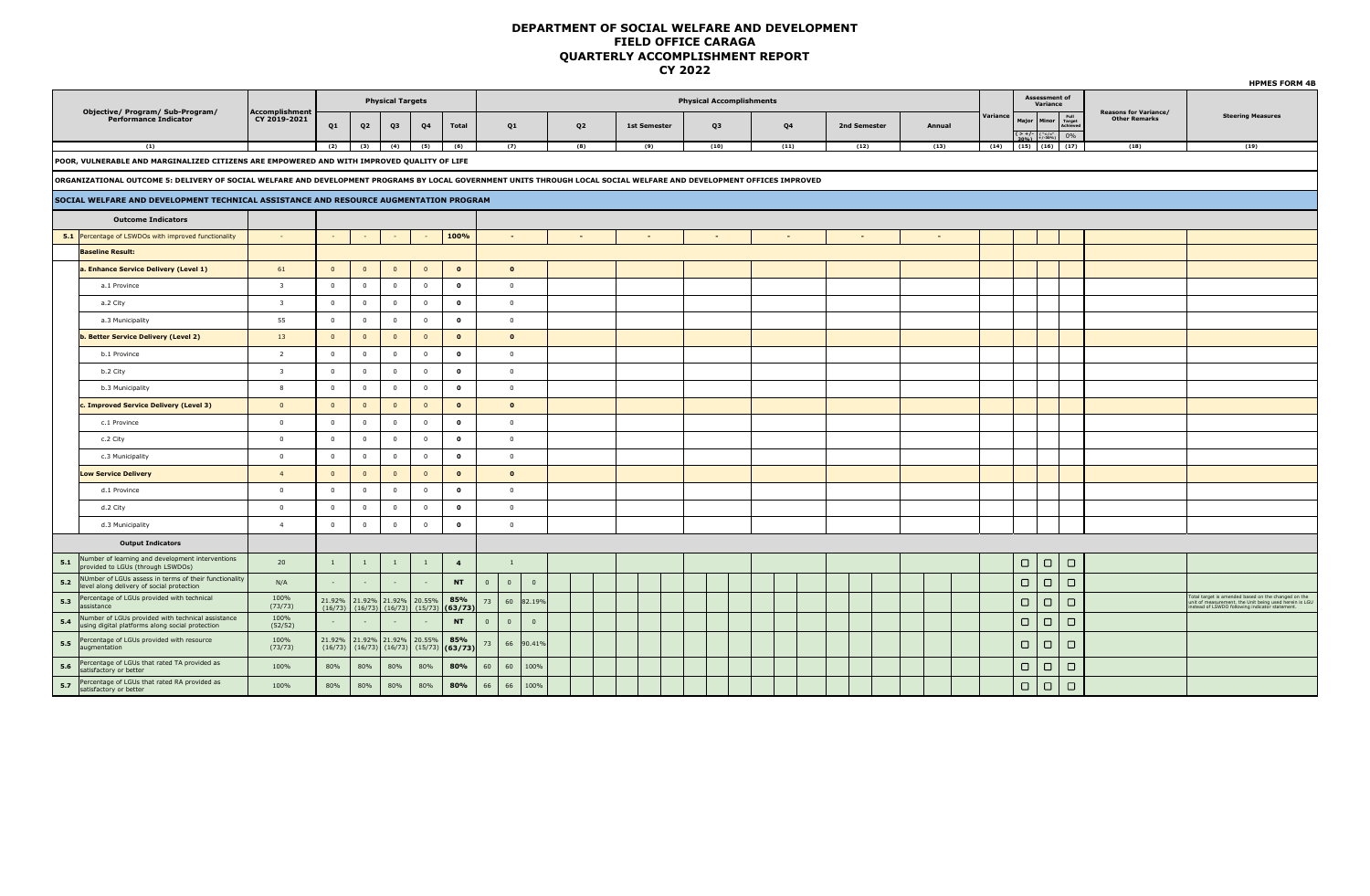|                |                                                                                                                                                                       |                         |                         |                         |                         |                                                   |                |              |                                                    |                |              |                                 |      |                          |        |          |                                                                                           |                           |                                                      | <b>HPMES FORM 4B</b>                                                                                                                                     |
|----------------|-----------------------------------------------------------------------------------------------------------------------------------------------------------------------|-------------------------|-------------------------|-------------------------|-------------------------|---------------------------------------------------|----------------|--------------|----------------------------------------------------|----------------|--------------|---------------------------------|------|--------------------------|--------|----------|-------------------------------------------------------------------------------------------|---------------------------|------------------------------------------------------|----------------------------------------------------------------------------------------------------------------------------------------------------------|
|                | Objective/ Program/ Sub-Program/                                                                                                                                      | <b>Accomplishment</b>   |                         |                         | <b>Physical Targets</b> |                                                   |                |              |                                                    |                |              | <b>Physical Accomplishments</b> |      |                          |        |          | <b>Assessment of</b><br>Variance                                                          |                           |                                                      |                                                                                                                                                          |
|                | <b>Performance Indicator</b>                                                                                                                                          | CY 2019-2021            | Q1                      | Q <sub>2</sub>          | Q3                      | Q <sub>4</sub>                                    | <b>Total</b>   |              | Q1                                                 | Q <sub>2</sub> | 1st Semester | Q <sub>3</sub>                  | Q4   | 2nd Semester             | Annual | Variance | Major<br><b>Minor</b><br>$\frac{2+1}{200\%}\left[\frac{(-1)^{1/2}}{1+(1-30\%)}\right]$ 0% | Full<br>Target<br>Achieve | <b>Reasons for Variance/</b><br><b>Other Remarks</b> | <b>Steering Measures</b>                                                                                                                                 |
|                | (1)                                                                                                                                                                   |                         | (2)                     | (3)                     | (4)                     | (5)                                               | (6)            |              | (7)                                                | (8)            | (9)          | (10)                            | (11) | (12)                     | (13)   | (14)     | $(15)$ $(16)$ $(17)$                                                                      |                           | (18)                                                 | (19)                                                                                                                                                     |
|                | POOR, VULNERABLE AND MARGINALIZED CITIZENS ARE EMPOWERED AND WITH IMPROVED QUALITY OF LIFE                                                                            |                         |                         |                         |                         |                                                   |                |              |                                                    |                |              |                                 |      |                          |        |          |                                                                                           |                           |                                                      |                                                                                                                                                          |
|                | ORGANIZATIONAL OUTCOME 5: DELIVERY OF SOCIAL WELFARE AND DEVELOPMENT PROGRAMS BY LOCAL GOVERNMENT UNITS THROUGH LOCAL SOCIAL WELFARE AND DEVELOPMENT OFFICES IMPROVED |                         |                         |                         |                         |                                                   |                |              |                                                    |                |              |                                 |      |                          |        |          |                                                                                           |                           |                                                      |                                                                                                                                                          |
|                | SOCIAL WELFARE AND DEVELOPMENT TECHNICAL ASSISTANCE AND RESOURCE AUGMENTATION PROGRAM                                                                                 |                         |                         |                         |                         |                                                   |                |              |                                                    |                |              |                                 |      |                          |        |          |                                                                                           |                           |                                                      |                                                                                                                                                          |
|                | <b>Outcome Indicators</b>                                                                                                                                             |                         |                         |                         |                         |                                                   |                |              |                                                    |                |              |                                 |      |                          |        |          |                                                                                           |                           |                                                      |                                                                                                                                                          |
|                | 5.1 Percentage of LSWDOs with improved functionality                                                                                                                  | $\sim$                  |                         |                         |                         |                                                   | 100%           |              | $\overline{\phantom{a}}$                           |                |              | $\overline{\phantom{a}}$        |      | $\overline{\phantom{a}}$ |        |          |                                                                                           |                           |                                                      |                                                                                                                                                          |
|                | <b>Baseline Result:</b>                                                                                                                                               |                         |                         |                         |                         |                                                   |                |              |                                                    |                |              |                                 |      |                          |        |          |                                                                                           |                           |                                                      |                                                                                                                                                          |
|                | a. Enhance Service Delivery (Level 1)                                                                                                                                 | 61                      | $\overline{0}$          | $\overline{\mathbf{0}}$ | $\overline{\mathbf{0}}$ | $\mathbf{0}$                                      | $\mathbf{o}$   |              | $\mathbf{o}$                                       |                |              |                                 |      |                          |        |          |                                                                                           |                           |                                                      |                                                                                                                                                          |
|                | a.1 Province                                                                                                                                                          | $\overline{\mathbf{3}}$ | $\overline{0}$          | $\overline{\mathbf{0}}$ | $\mathbf{0}$            | $\overline{0}$                                    | $\mathbf{o}$   |              | $\overline{0}$                                     |                |              |                                 |      |                          |        |          |                                                                                           |                           |                                                      |                                                                                                                                                          |
|                | a.2 City                                                                                                                                                              | $\overline{\mathbf{3}}$ | $\overline{0}$          | $\mathbf{0}$            | $\mathbf{0}$            | $\overline{0}$                                    | $\mathbf{o}$   |              | $\overline{0}$                                     |                |              |                                 |      |                          |        |          |                                                                                           |                           |                                                      |                                                                                                                                                          |
|                | a.3 Municipality                                                                                                                                                      | 55                      | $\overline{0}$          | $\overline{0}$          | $\overline{0}$          | $\overline{0}$                                    | $\mathbf{o}$   |              | $\overline{0}$                                     |                |              |                                 |      |                          |        |          |                                                                                           |                           |                                                      |                                                                                                                                                          |
|                | b. Better Service Delivery (Level 2)                                                                                                                                  | 13                      | $\overline{0}$          | $\overline{0}$          | $\overline{0}$          | $\overline{0}$                                    | $\mathbf{o}$   |              | $\mathbf{o}$                                       |                |              |                                 |      |                          |        |          |                                                                                           |                           |                                                      |                                                                                                                                                          |
|                | b.1 Province                                                                                                                                                          | $\overline{2}$          | $\overline{0}$          | $\overline{0}$          | $\mathbf{0}$            | $\overline{0}$                                    | $\mathbf{o}$   |              | $\overline{0}$                                     |                |              |                                 |      |                          |        |          |                                                                                           |                           |                                                      |                                                                                                                                                          |
|                | b.2 City                                                                                                                                                              | $\overline{\mathbf{3}}$ | $\overline{0}$          | $\overline{0}$          | $\overline{0}$          | $\overline{0}$                                    | $\Omega$       |              | $\overline{0}$                                     |                |              |                                 |      |                          |        |          |                                                                                           |                           |                                                      |                                                                                                                                                          |
|                | b.3 Municipality                                                                                                                                                      | $\mathbf{R}$            | $\overline{0}$          | $\overline{0}$          | $\overline{0}$          | $\overline{0}$                                    | $\mathbf{o}$   |              | $\overline{0}$                                     |                |              |                                 |      |                          |        |          |                                                                                           |                           |                                                      |                                                                                                                                                          |
|                | c. Improved Service Delivery (Level 3)                                                                                                                                | $\overline{0}$          | $\overline{\mathbf{0}}$ | $\overline{\mathbf{0}}$ | $\overline{0}$          | $\mathbf{0}$                                      | $\mathbf{o}$   |              | $\Omega$                                           |                |              |                                 |      |                          |        |          |                                                                                           |                           |                                                      |                                                                                                                                                          |
|                | c.1 Province                                                                                                                                                          | $\overline{0}$          | $\overline{0}$          | $\mathbf{0}$            | $\mathbf{0}$            | $\mathbf{0}$                                      | $\mathbf{o}$   |              | $\overline{0}$                                     |                |              |                                 |      |                          |        |          |                                                                                           |                           |                                                      |                                                                                                                                                          |
|                | c.2 City                                                                                                                                                              | $\overline{0}$          | $\overline{0}$          | $\overline{0}$          | $\mathbf{0}$            | $\mathbf{0}$                                      | $\Omega$       |              | $\overline{0}$                                     |                |              |                                 |      |                          |        |          |                                                                                           |                           |                                                      |                                                                                                                                                          |
|                | c.3 Municipality                                                                                                                                                      | $\circ$                 | $\overline{0}$          | $\overline{0}$          | $\mathbf{0}$            | $\overline{0}$                                    | $\Omega$       |              | $\overline{0}$                                     |                |              |                                 |      |                          |        |          |                                                                                           |                           |                                                      |                                                                                                                                                          |
|                | <b>Low Service Delivery</b>                                                                                                                                           | $\overline{4}$          | $\overline{0}$          | $\overline{0}$          | $\overline{0}$          | $\mathbf{0}$                                      | $\mathbf{o}$   |              | $\Omega$                                           |                |              |                                 |      |                          |        |          |                                                                                           |                           |                                                      |                                                                                                                                                          |
|                | d.1 Province                                                                                                                                                          | $\overline{0}$          | $\overline{0}$          | $\mathbf{0}$            | $\mathbf{0}$            | $\mathbf{0}$                                      | $\mathbf{o}$   |              | $\overline{0}$                                     |                |              |                                 |      |                          |        |          |                                                                                           |                           |                                                      |                                                                                                                                                          |
|                | d.2 City                                                                                                                                                              | $\overline{0}$          | $\overline{0}$          | $\overline{0}$          | $\mathbf{0}$            | $\overline{0}$                                    | $\mathbf{o}$   |              | $\overline{0}$                                     |                |              |                                 |      |                          |        |          |                                                                                           |                           |                                                      |                                                                                                                                                          |
|                | d.3 Municipality                                                                                                                                                      | $\overline{4}$          | $\overline{0}$          | $\overline{0}$          | $\overline{0}$          | $\overline{0}$                                    | $\mathbf{o}$   |              | $\overline{0}$                                     |                |              |                                 |      |                          |        |          |                                                                                           |                           |                                                      |                                                                                                                                                          |
|                | <b>Output Indicators</b>                                                                                                                                              |                         |                         |                         |                         |                                                   |                |              |                                                    |                |              |                                 |      |                          |        |          |                                                                                           |                           |                                                      |                                                                                                                                                          |
| $\mathbf{5.1}$ | Number of learning and development interventions<br>provided to LGUs (through LSWDOs)                                                                                 | 20                      | <sup>1</sup>            | 1                       | $\mathbf{1}$            | $\overline{1}$                                    | $\overline{4}$ |              | $\mathbf{1}$                                       |                |              |                                 |      |                          |        |          | $\Box$<br>$\Box$                                                                          | $\Box$                    |                                                      |                                                                                                                                                          |
| 5.2            | NUmber of LGUs assess in terms of their functionality<br>level along delivery of social protection                                                                    | N/A                     | $\sim$                  | $\sim$                  | $\sim$                  |                                                   | <b>NT</b>      | $\mathbf{0}$ | $\overline{\mathbf{0}}$<br>$\overline{\mathbf{0}}$ |                |              |                                 |      |                          |        |          | $\Box$<br>$\Box$                                                                          | $\Box$                    |                                                      |                                                                                                                                                          |
| 5.3            | Percentage of LGUs provided with technical<br>assistance                                                                                                              | 100%<br>(73/73)         | (16/73)                 | 21.92% 21.92% 21.92%    |                         | 20.55%<br>$(16/73)$ $(16/73)$ $(15/73)$ $(63/73)$ | 85%            | 73           | 60 82.19%                                          |                |              |                                 |      |                          |        |          | $\Box$<br>$\Box$                                                                          | $\Box$                    |                                                      | Fotal target is amended based on the changed on the<br>out anyon to the Unit being used herein is LGU<br>instead of LSWDO following indicator statement. |
| $5.4$          | Number of LGUs provided with technical assistance<br>using digital platforms along social protection                                                                  | 100%<br>(52/52)         |                         |                         |                         |                                                   | <b>NT</b>      | $\mathbf{0}$ | $\overline{0}$<br>$\overline{0}$                   |                |              |                                 |      |                          |        |          | $\Box$<br>$\Box$                                                                          | $\Box$                    |                                                      |                                                                                                                                                          |
| $5.5$          | Percentage of LGUs provided with resource<br>augmentation                                                                                                             | 100%<br>(73/73)         | 21.92%<br>(16/73)       |                         | $(16/73)$ $(16/73)$     | 21.92% 21.92% 20.55%<br>$(15/73)$ (63/73          | 85%            | 73           | 66<br>90.41%                                       |                |              |                                 |      |                          |        |          | $\Box$<br>$\Box$                                                                          | $\Box$                    |                                                      |                                                                                                                                                          |
| 5.6            | Percentage of LGUs that rated TA provided as<br>satisfactory or better                                                                                                | 100%                    | 80%                     | 80%                     | 80%                     | 80%                                               | 80%            | 60           | 60<br>100%                                         |                |              |                                 |      |                          |        |          | $\Box$<br>$\Box$                                                                          | $\Box$                    |                                                      |                                                                                                                                                          |
| 5.7            | Percentage of LGUs that rated RA provided as<br>satisfactory or better                                                                                                | 100%                    | 80%                     | 80%                     | 80%                     | 80%                                               | 80%            | 66           | 66<br>100%                                         |                |              |                                 |      |                          |        |          | $\Box$<br>$\Box$                                                                          | $\Box$                    |                                                      |                                                                                                                                                          |
|                |                                                                                                                                                                       |                         |                         |                         |                         |                                                   |                |              |                                                    |                |              |                                 |      |                          |        |          |                                                                                           |                           |                                                      |                                                                                                                                                          |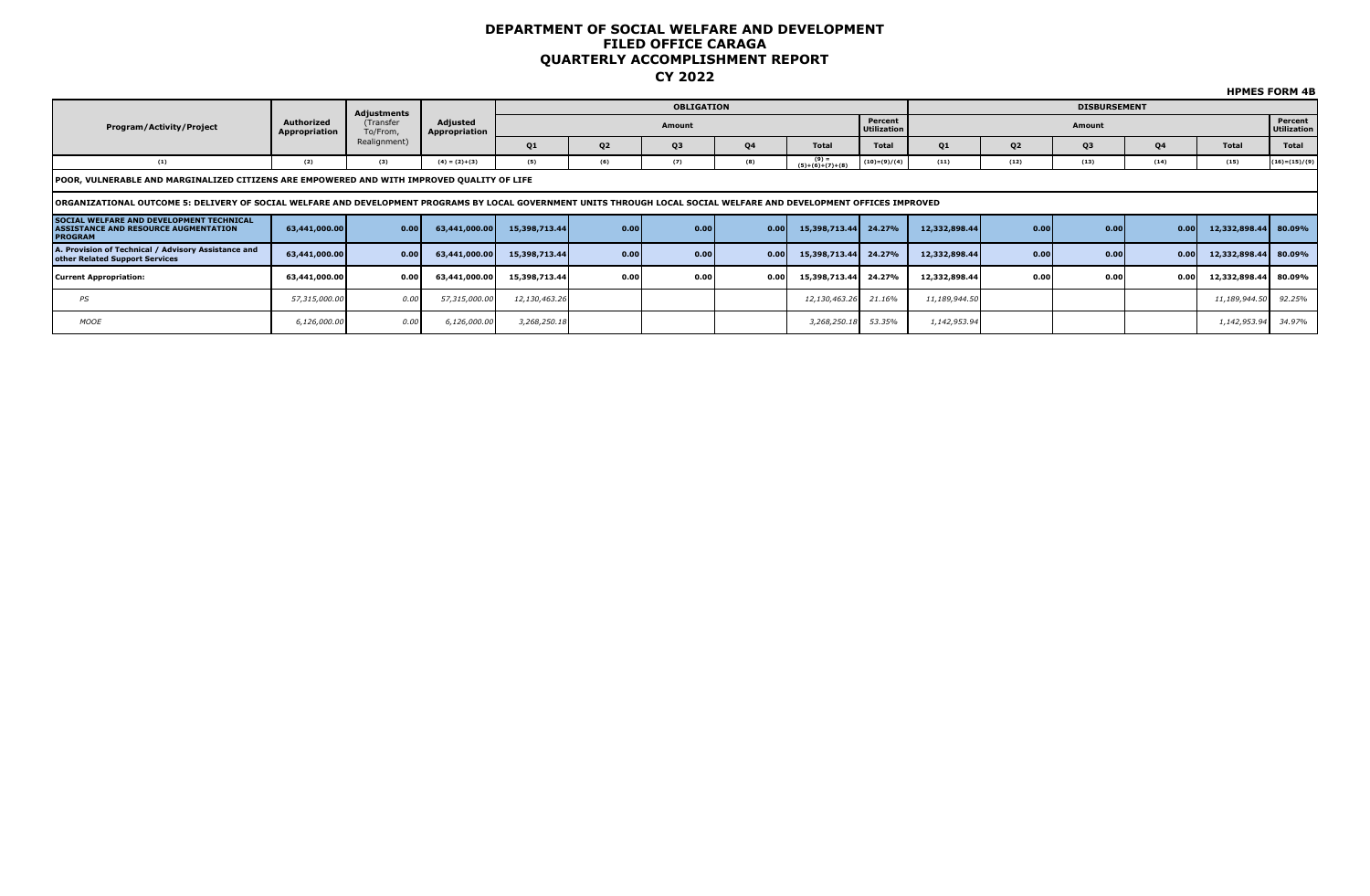| Program/Activity/Project                                                                                  | Authorized<br>Appropriation                                                                                                                                                                                                                                                                                                                                                                                                                                                                                                                                                                                                                                                                                                                                                                                                                                                                                                                                                                                                                                                                   | (Transfer<br>To/From, | Adjusted<br>Appropriation |                |                | Amount         |           |                              | Percent        |              |                | Amount         |           |              | Percent           |
|-----------------------------------------------------------------------------------------------------------|-----------------------------------------------------------------------------------------------------------------------------------------------------------------------------------------------------------------------------------------------------------------------------------------------------------------------------------------------------------------------------------------------------------------------------------------------------------------------------------------------------------------------------------------------------------------------------------------------------------------------------------------------------------------------------------------------------------------------------------------------------------------------------------------------------------------------------------------------------------------------------------------------------------------------------------------------------------------------------------------------------------------------------------------------------------------------------------------------|-----------------------|---------------------------|----------------|----------------|----------------|-----------|------------------------------|----------------|--------------|----------------|----------------|-----------|--------------|-------------------|
|                                                                                                           |                                                                                                                                                                                                                                                                                                                                                                                                                                                                                                                                                                                                                                                                                                                                                                                                                                                                                                                                                                                                                                                                                               | Realignment)          |                           | Q <sub>1</sub> | Q <sub>2</sub> | Q <sub>3</sub> | <b>Q4</b> | <b>Total</b>                 | <b>Total</b>   | Q1           | Q <sub>2</sub> | Q <sub>3</sub> | <b>Q4</b> | <b>Total</b> | <b>Total</b>      |
| (1)                                                                                                       | (2)                                                                                                                                                                                                                                                                                                                                                                                                                                                                                                                                                                                                                                                                                                                                                                                                                                                                                                                                                                                                                                                                                           | (3)                   | $(4) = (2)+(3)$           | (5)            | (6)            | (7)            | (8)       | $(9) =$<br>$(5)+(6)+(7)+(8)$ | $(10)=(9)/(4)$ | (11)         | (12)           | (13)           | (14)      | (15)         | $(16) = (15)/(9)$ |
|                                                                                                           |                                                                                                                                                                                                                                                                                                                                                                                                                                                                                                                                                                                                                                                                                                                                                                                                                                                                                                                                                                                                                                                                                               |                       |                           |                |                |                |           |                              |                |              |                |                |           |              |                   |
|                                                                                                           | <b>HPMES FORM 4B</b><br><b>OBLIGATION</b><br><b>DISBURSEMENT</b><br>Adjustments<br>Utilization<br>Utilization<br>POOR, VULNERABLE AND MARGINALIZED CITIZENS ARE EMPOWERED AND WITH IMPROVED QUALITY OF LIFE<br>lORGANIZATIONAL OUTCOME 5: DELIVERY OF SOCIAL WELFARE AND DEVELOPMENT PROGRAMS BY LOCAL GOVERNMENT UNITS THROUGH LOCAL SOCIAL WELFARE AND DEVELOPMENT OFFICES IMPROVED<br>12,332,898.44<br>15,398,713.44<br>0.00<br>0.00<br>15,398,713.44 24.27%<br>0.00<br>12,332,898.44 80.09%<br>0.00 <sub>l</sub><br>0.00<br>0.00<br>63,441,000.00<br>63,441,000.00<br>0.00<br>15,398,713.44<br>0.00<br>0.00<br>12,332,898.44<br>0.00<br>12,332,898.44 80.09%<br>63,441,000.00<br>0.00 <sub>l</sub><br>0.00<br>15,398,713.44 24.27%<br>0.00<br>63,441,000.00<br>0.00<br>0.00<br>15,398,713.44<br>0.00<br>0.00<br>15,398,713.44 24.27%<br>12,332,898.44<br>0.00<br>0.00<br>0.00<br>12,332,898.44 80.09%<br>63,441,000.00<br>0.00 l<br>63,441,000.00<br>12,130,463.26<br>21.16%<br>92.25%<br>PS<br>57,315,000.00<br>0.00<br>57,315,000.00<br>12,130,463.26<br>11,189,944.50<br>11,189,944.50 |                       |                           |                |                |                |           |                              |                |              |                |                |           |              |                   |
| SOCIAL WELFARE AND DEVELOPMENT TECHNICAL<br><b>ASSISTANCE AND RESOURCE AUGMENTATION</b><br><b>PROGRAM</b> |                                                                                                                                                                                                                                                                                                                                                                                                                                                                                                                                                                                                                                                                                                                                                                                                                                                                                                                                                                                                                                                                                               |                       |                           |                |                |                |           |                              |                |              |                |                |           |              |                   |
| A. Provision of Technical / Advisory Assistance and<br>other Related Support Services                     |                                                                                                                                                                                                                                                                                                                                                                                                                                                                                                                                                                                                                                                                                                                                                                                                                                                                                                                                                                                                                                                                                               |                       |                           |                |                |                |           |                              |                |              |                |                |           |              |                   |
| <b>Current Appropriation:</b>                                                                             |                                                                                                                                                                                                                                                                                                                                                                                                                                                                                                                                                                                                                                                                                                                                                                                                                                                                                                                                                                                                                                                                                               |                       |                           |                |                |                |           |                              |                |              |                |                |           |              |                   |
|                                                                                                           |                                                                                                                                                                                                                                                                                                                                                                                                                                                                                                                                                                                                                                                                                                                                                                                                                                                                                                                                                                                                                                                                                               |                       |                           |                |                |                |           |                              |                |              |                |                |           |              |                   |
| <b>MOOE</b>                                                                                               | 6,126,000.00                                                                                                                                                                                                                                                                                                                                                                                                                                                                                                                                                                                                                                                                                                                                                                                                                                                                                                                                                                                                                                                                                  | 0.00                  | 6,126,000.00              | 3,268,250.18   |                |                |           | 3,268,250.18                 | 53.35%         | 1,142,953.94 |                |                |           | 1,142,953.94 | 34.97%            |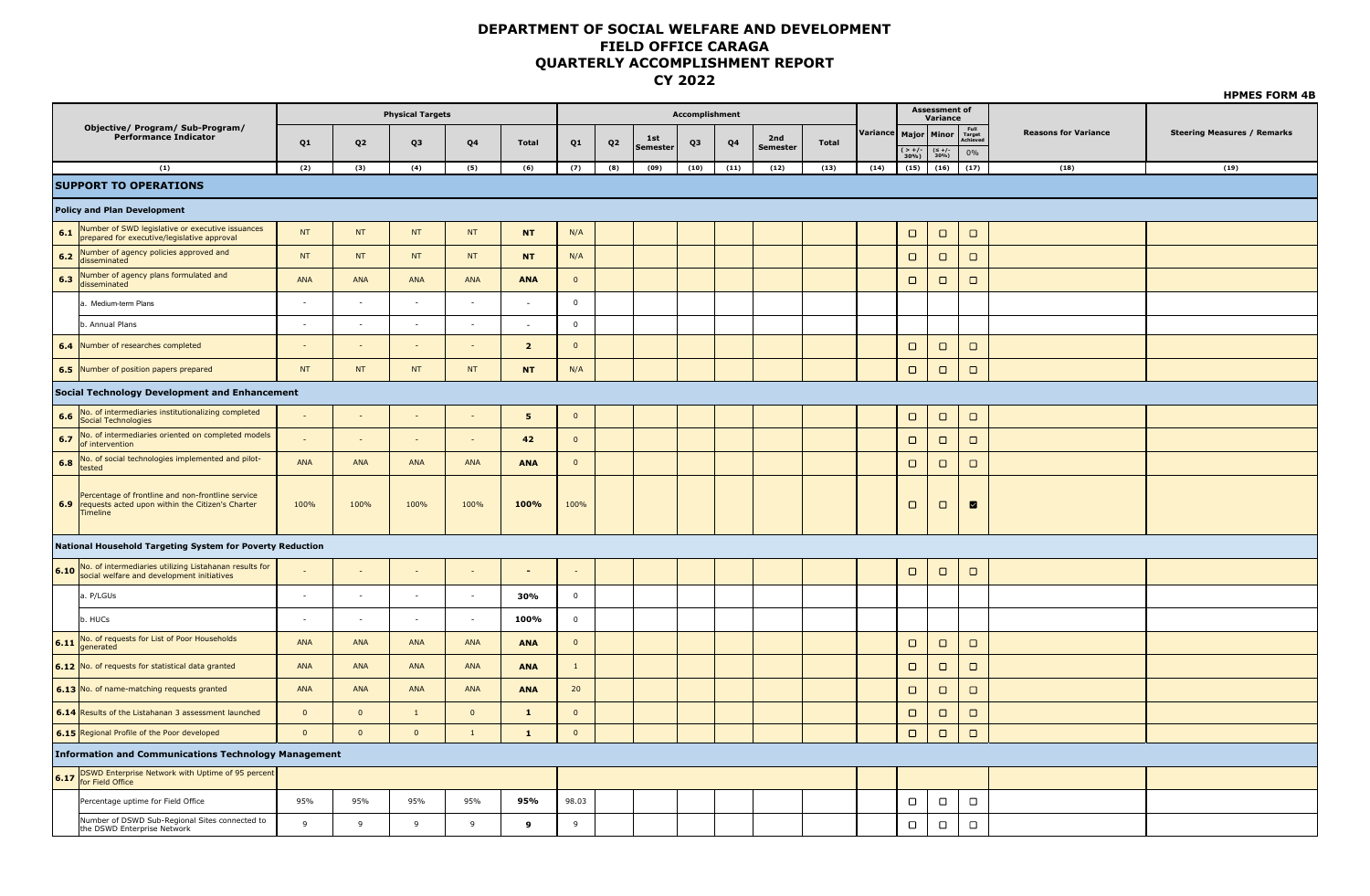|         |                                                                                                                              |                          |                | <b>Physical Targets</b>  |                          |                          |                     |                |                 | <b>Accomplishment</b> |      |                 |              |                          |                         | <b>Assessment of</b><br>Variance |                            |                             |                                    |
|---------|------------------------------------------------------------------------------------------------------------------------------|--------------------------|----------------|--------------------------|--------------------------|--------------------------|---------------------|----------------|-----------------|-----------------------|------|-----------------|--------------|--------------------------|-------------------------|----------------------------------|----------------------------|-----------------------------|------------------------------------|
|         | Objective/ Program/ Sub-Program/<br><b>Performance Indicator</b>                                                             |                          |                |                          |                          |                          |                     |                | 1st             |                       |      | 2nd             |              | Variance   Major   Minor |                         |                                  | Full<br>Target<br>Achieved | <b>Reasons for Variance</b> | <b>Steering Measures / Remarks</b> |
|         |                                                                                                                              | Q1                       | Q <sub>2</sub> | Q3                       | Q4                       | <b>Total</b>             | Q1                  | Q <sub>2</sub> | <b>Semester</b> | Q3                    | Q4   | <b>Semester</b> | <b>Total</b> |                          | $\frac{(-1)^{2}}{30\%}$ | $(\leq +/-$<br>30%)              | $0\%$                      |                             |                                    |
|         | (1)                                                                                                                          | (2)                      | (3)            | (4)                      | (5)                      | (6)                      | (7)                 | (8)            | (09)            | (10)                  | (11) | (12)            | (13)         | (14)                     | (15)                    | (16)                             | (17)                       | (18)                        | (19)                               |
|         | <b>SUPPORT TO OPERATIONS</b>                                                                                                 |                          |                |                          |                          |                          |                     |                |                 |                       |      |                 |              |                          |                         |                                  |                            |                             |                                    |
|         | <b>Policy and Plan Development</b>                                                                                           |                          |                |                          |                          |                          |                     |                |                 |                       |      |                 |              |                          |                         |                                  |                            |                             |                                    |
|         | <b>6.1</b> Number of SWD legislative or executive issuances<br>prepared for executive/legislative approval                   | <b>NT</b>                | <b>NT</b>      | <b>NT</b>                | NT                       | <b>NT</b>                | N/A                 |                |                 |                       |      |                 |              |                          | $\Box$                  | $\Box$                           | $\Box$                     |                             |                                    |
| 6.2     | Number of agency policies approved and<br>disseminated                                                                       | <b>NT</b>                | NT             | <b>NT</b>                | NT                       | <b>NT</b>                | N/A                 |                |                 |                       |      |                 |              |                          | $\Box$                  | $\Box$                           | $\Box$                     |                             |                                    |
| 6.3     | Number of agency plans formulated and<br>disseminated                                                                        | ANA                      | ANA            | ANA                      | <b>ANA</b>               | <b>ANA</b>               | $\mathbf{0}$        |                |                 |                       |      |                 |              |                          | $\Box$                  | $\Box$                           | $\Box$                     |                             |                                    |
|         | a. Medium-term Plans                                                                                                         | $\overline{\phantom{a}}$ | $\sim$         | $\overline{\phantom{a}}$ | $\overline{\phantom{a}}$ | $\overline{\phantom{a}}$ | $\mathbf 0$         |                |                 |                       |      |                 |              |                          |                         |                                  |                            |                             |                                    |
|         | b. Annual Plans                                                                                                              | $\sim$                   | $\sim$         | $\sim$                   | $\sim$                   | $\sim$                   | $\overline{0}$      |                |                 |                       |      |                 |              |                          |                         |                                  |                            |                             |                                    |
|         | 6.4 Number of researches completed                                                                                           |                          | $\sim$         | $\overline{\phantom{a}}$ | $\overline{\phantom{a}}$ | $\overline{2}$           | $\overline{0}$      |                |                 |                       |      |                 |              |                          | $\Box$                  | $\Box$                           | $\Box$                     |                             |                                    |
|         | 6.5 Number of position papers prepared                                                                                       | <b>NT</b>                | <b>NT</b>      | <b>NT</b>                | NT                       | <b>NT</b>                | N/A                 |                |                 |                       |      |                 |              |                          | $\Box$                  | $\Box$                           | $\Box$                     |                             |                                    |
|         | Social Technology Development and Enhancement                                                                                |                          |                |                          |                          |                          |                     |                |                 |                       |      |                 |              |                          |                         |                                  |                            |                             |                                    |
| $6.6\,$ | No. of intermediaries institutionalizing completed<br>Social Technologies                                                    | $\sim$                   | $\sim$         |                          | $\sim$                   | 5                        | $\mathbf 0$         |                |                 |                       |      |                 |              |                          | $\Box$                  | $\Box$                           | $\Box$                     |                             |                                    |
| 6.7     | No. of intermediaries oriented on completed models<br>of intervention                                                        | $\sim$                   | $\sim$         | $\sim$                   | $\sim$                   | 42                       | $\mathbf{0}$        |                |                 |                       |      |                 |              |                          | $\Box$                  | $\Box$                           | $\Box$                     |                             |                                    |
| 6.8     | No. of social technologies implemented and pilot-<br>tested                                                                  | ANA                      | ANA            | ANA                      | ANA                      | <b>ANA</b>               | $\mathbf{0}$        |                |                 |                       |      |                 |              |                          | $\Box$                  | $\Box$                           | $\Box$                     |                             |                                    |
|         | Percentage of frontline and non-frontline service<br>6.9 requests acted upon within the Citizen's Charter<br><b>Timeline</b> | 100%                     | 100%           | 100%                     | 100%                     | 100%                     | 100%                |                |                 |                       |      |                 |              |                          | $\Box$                  | $\Box$                           | $\blacksquare$             |                             |                                    |
|         | National Household Targeting System for Poverty Reduction                                                                    |                          |                |                          |                          |                          |                     |                |                 |                       |      |                 |              |                          |                         |                                  |                            |                             |                                    |
|         | 6.10 No. of intermediaries utilizing Listahanan results for social welfare and development initiatives                       |                          |                |                          |                          | $\sim$                   |                     |                |                 |                       |      |                 |              |                          | $\Box$                  | $\Box$                           | $\Box$                     |                             |                                    |
|         | a. P/LGUs                                                                                                                    | $\sim$                   | $\sim$         | $\sim$                   | $\overline{\phantom{a}}$ | 30%                      | $\mathbf 0$         |                |                 |                       |      |                 |              |                          |                         |                                  |                            |                             |                                    |
|         | b. HUCs                                                                                                                      |                          | $\sim$         | $\sim$                   | $\sim$                   | 100%                     | $\mathsf{O}\xspace$ |                |                 |                       |      |                 |              |                          |                         |                                  |                            |                             |                                    |
|         | 6.11 No. of requests for List of Poor Households                                                                             | ANA                      | ANA            | ANA                      | ANA                      | <b>ANA</b>               | $\overline{0}$      |                |                 |                       |      |                 |              |                          | $\Box$                  | $\Box$                           | $\Box$                     |                             |                                    |
|         | 6.12 No. of requests for statistical data granted                                                                            | ANA                      | <b>ANA</b>     | ANA                      | ANA                      | <b>ANA</b>               | $\,$ 1 $\,$         |                |                 |                       |      |                 |              |                          | $\Box$                  | $\Box$                           | $\Box$                     |                             |                                    |
|         | 6.13 No. of name-matching requests granted                                                                                   | ANA                      | ANA            | ANA                      | ANA                      | <b>ANA</b>               | 20                  |                |                 |                       |      |                 |              |                          | $\Box$                  | $\Box$                           | $\Box$                     |                             |                                    |
|         | 6.14 Results of the Listahanan 3 assessment launched                                                                         | $\mathbf{0}$             | $\mathbf 0$    | $\mathbf{1}$             | $\mathbf 0$              | $\mathbf{1}$             | $\mathbf 0$         |                |                 |                       |      |                 |              |                          | $\Box$                  | $\Box$                           | $\Box$                     |                             |                                    |
|         | 6.15 Regional Profile of the Poor developed                                                                                  | $\overline{0}$           | $\mathbf{0}$   | $\mathbf{0}$             | $\mathbf{1}$             | $\mathbf{1}$             | $\mathbf{0}$        |                |                 |                       |      |                 |              |                          | $\hfill\square$         | $\Box$                           | $\Box$                     |                             |                                    |
|         | <b>Information and Communications Technology Management</b>                                                                  |                          |                |                          |                          |                          |                     |                |                 |                       |      |                 |              |                          |                         |                                  |                            |                             |                                    |
|         | 6.17 DSWD Enterprise Network with Uptime of 95 percent                                                                       |                          |                |                          |                          |                          |                     |                |                 |                       |      |                 |              |                          |                         |                                  |                            |                             |                                    |
|         | Percentage uptime for Field Office                                                                                           | 95%                      | 95%            | 95%                      | 95%                      | 95%                      | 98.03               |                |                 |                       |      |                 |              |                          | $\Box$                  | $\Box$                           | $\Box$                     |                             |                                    |
|         | Number of DSWD Sub-Regional Sites connected to<br>the DSWD Enterprise Network                                                | $\mathbf{q}$             | 9              | 9                        | 9                        | 9                        | 9                   |                |                 |                       |      |                 |              |                          | $\Box$                  | $\Box$                           | $\Box$                     |                             |                                    |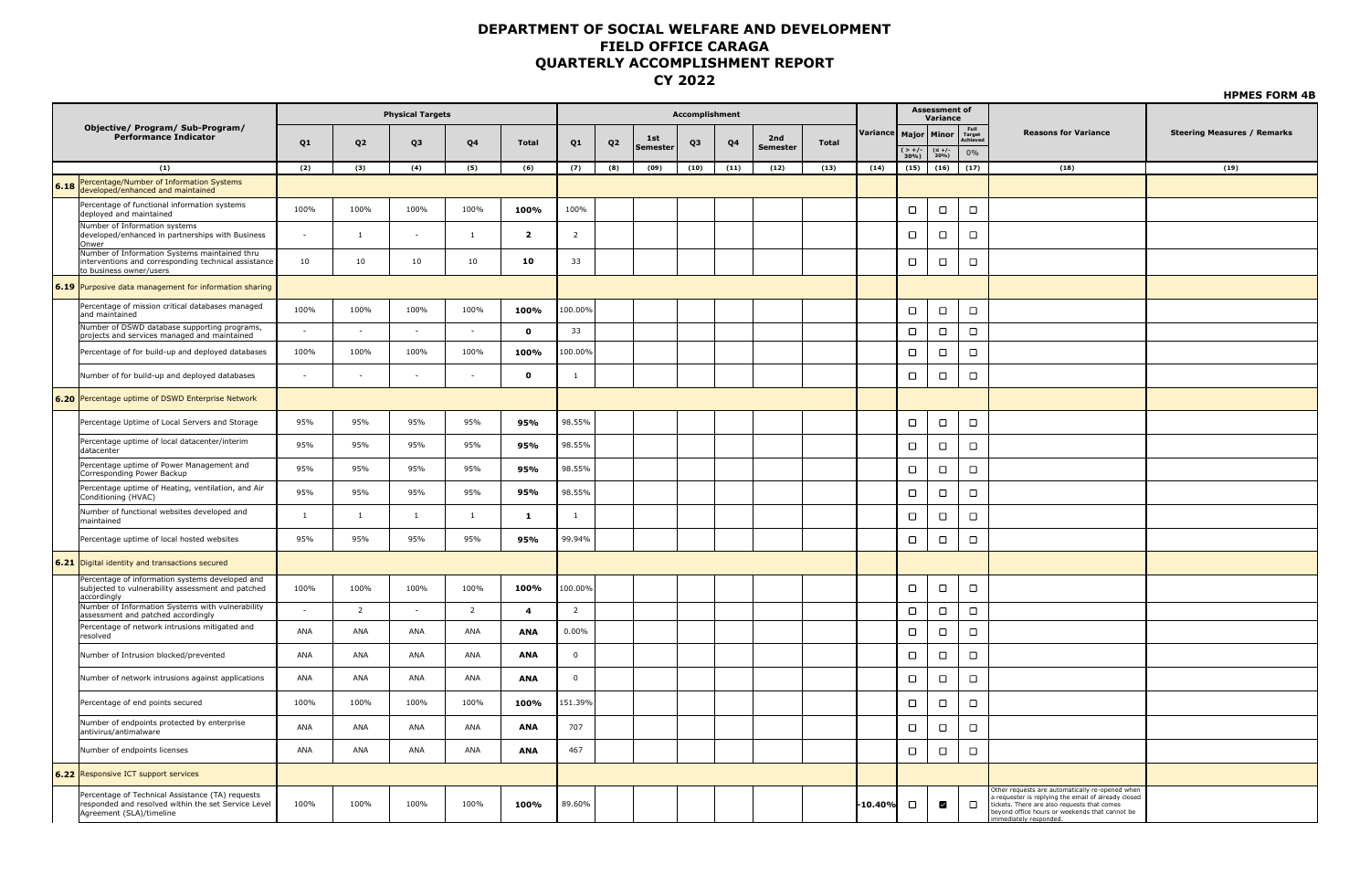|      |                                                                                                                                     |                |                | <b>Physical Targets</b> |                |                |                         |                |                 | Accomplishment |      |                        |              |                          |             | <b>Assessment of</b><br>Variance |                |                                                                                                                                                                                                                              |                                    |
|------|-------------------------------------------------------------------------------------------------------------------------------------|----------------|----------------|-------------------------|----------------|----------------|-------------------------|----------------|-----------------|----------------|------|------------------------|--------------|--------------------------|-------------|----------------------------------|----------------|------------------------------------------------------------------------------------------------------------------------------------------------------------------------------------------------------------------------------|------------------------------------|
|      | <b>Objective/ Program/ Sub-Program/</b><br><b>Performance Indicator</b>                                                             | Q1             | Q <sub>2</sub> | Q3                      | Q4             | Total          | Q1                      | Q <sub>2</sub> | 1st<br>Semester | Q3             | Q4   | 2nd<br><b>Semester</b> | <b>Total</b> | Variance   Major   Minor | $( > +/- )$ |                                  | Full<br>Target | <b>Reasons for Variance</b>                                                                                                                                                                                                  | <b>Steering Measures / Remarks</b> |
|      |                                                                                                                                     |                |                |                         |                |                |                         |                |                 |                |      |                        |              |                          | $30%$ )     | $(\leq +/-$<br>30%)              | 0%             |                                                                                                                                                                                                                              | (19)                               |
|      | (1)<br>Percentage/Number of Information Systems                                                                                     | (2)            | (3)            | (4)                     | (5)            | (6)            | (7)                     | (8)            | (09)            | (10)           | (11) | (12)                   | (13)         | (14)                     | (15)        | (16)                             | (17)           | (18)                                                                                                                                                                                                                         |                                    |
| 6.18 | developed/enhanced and maintained                                                                                                   |                |                |                         |                |                |                         |                |                 |                |      |                        |              |                          |             |                                  |                |                                                                                                                                                                                                                              |                                    |
|      | Percentage of functional information systems<br>deployed and maintained                                                             | 100%           | 100%           | 100%                    | 100%           | 100%           | 100%                    |                |                 |                |      |                        |              |                          | $\Box$      | $\Box$                           | $\Box$         |                                                                                                                                                                                                                              |                                    |
|      | Number of Information systems<br>developed/enhanced in partnerships with Business<br>Onwer                                          |                | 1              |                         | $\overline{1}$ | $\overline{2}$ | $\overline{2}$          |                |                 |                |      |                        |              |                          | $\Box$      | $\Box$                           | $\Box$         |                                                                                                                                                                                                                              |                                    |
|      | Number of Information Systems maintained thru<br>interventions and corresponding technical assistance<br>to business owner/users    | 10             | 10             | 10                      | 10             | 10             | 33                      |                |                 |                |      |                        |              |                          | $\Box$      | $\Box$                           | $\Box$         |                                                                                                                                                                                                                              |                                    |
|      | 6.19 Purposive data management for information sharing                                                                              |                |                |                         |                |                |                         |                |                 |                |      |                        |              |                          |             |                                  |                |                                                                                                                                                                                                                              |                                    |
|      | Percentage of mission critical databases managed<br>and maintained                                                                  | 100%           | 100%           | 100%                    | 100%           | 100%           | 100.00%                 |                |                 |                |      |                        |              |                          | $\Box$      | $\Box$                           | $\Box$         |                                                                                                                                                                                                                              |                                    |
|      | Number of DSWD database supporting programs,<br>projects and services managed and maintained                                        | $\sim$         | $\sim$         | $\sim$                  | $\sim$         | $\mathbf{o}$   | 33                      |                |                 |                |      |                        |              |                          | $\Box$      | $\Box$                           | $\Box$         |                                                                                                                                                                                                                              |                                    |
|      | Percentage of for build-up and deployed databases                                                                                   | 100%           | 100%           | 100%                    | 100%           | 100%           | 100.00%                 |                |                 |                |      |                        |              |                          | $\Box$      | $\Box$                           | $\Box$         |                                                                                                                                                                                                                              |                                    |
|      | Number of for build-up and deployed databases                                                                                       | ä,             | $\sim$         |                         |                | $\mathbf{o}$   | $\mathbf{1}$            |                |                 |                |      |                        |              |                          | $\Box$      | $\Box$                           | $\Box$         |                                                                                                                                                                                                                              |                                    |
|      | 6.20 Percentage uptime of DSWD Enterprise Network                                                                                   |                |                |                         |                |                |                         |                |                 |                |      |                        |              |                          |             |                                  |                |                                                                                                                                                                                                                              |                                    |
|      | Percentage Uptime of Local Servers and Storage                                                                                      | 95%            | 95%            | 95%                     | 95%            | 95%            | 98.55%                  |                |                 |                |      |                        |              |                          | $\Box$      | $\Box$                           | $\Box$         |                                                                                                                                                                                                                              |                                    |
|      | Percentage uptime of local datacenter/interim<br>datacenter                                                                         | 95%            | 95%            | 95%                     | 95%            | 95%            | 98.55%                  |                |                 |                |      |                        |              |                          | $\Box$      | $\Box$                           | $\Box$         |                                                                                                                                                                                                                              |                                    |
|      | Percentage uptime of Power Management and<br>Corresponding Power Backup                                                             | 95%            | 95%            | 95%                     | 95%            | 95%            | 98.55%                  |                |                 |                |      |                        |              |                          | $\Box$      | $\Box$                           | $\Box$         |                                                                                                                                                                                                                              |                                    |
|      | Percentage uptime of Heating, ventilation, and Air<br>Conditioning (HVAC)                                                           | 95%            | 95%            | 95%                     | 95%            | 95%            | 98.55%                  |                |                 |                |      |                        |              |                          | $\Box$      | $\Box$                           | $\Box$         |                                                                                                                                                                                                                              |                                    |
|      | Number of functional websites developed and<br>maintained                                                                           | $\overline{1}$ | 1              | -1                      | $\overline{1}$ | 1              | -1                      |                |                 |                |      |                        |              |                          | $\Box$      | $\Box$                           | $\Box$         |                                                                                                                                                                                                                              |                                    |
|      | Percentage uptime of local hosted websites                                                                                          | 95%            | 95%            | 95%                     | 95%            | 95%            | 99.94%                  |                |                 |                |      |                        |              |                          | $\Box$      | $\Box$                           | $\Box$         |                                                                                                                                                                                                                              |                                    |
|      | 6.21 Digital identity and transactions secured                                                                                      |                |                |                         |                |                |                         |                |                 |                |      |                        |              |                          |             |                                  |                |                                                                                                                                                                                                                              |                                    |
|      | Percentage of information systems developed and<br>subjected to vulnerability assessment and patched<br>accordingly                 | 100%           | 100%           | 100%                    | 100%           | 100%           | 100.00%                 |                |                 |                |      |                        |              |                          | $\Box$      | $\Box$                           | $\Box$         |                                                                                                                                                                                                                              |                                    |
|      | Number of Information Systems with vulnerability<br>assessment and patched accordingly                                              | $\sim$         | $\overline{2}$ | $\sim$                  | $\overline{2}$ | $\overline{4}$ | $\overline{2}$          |                |                 |                |      |                        |              |                          | $\Box$      | $\Box$                           | $\Box$         |                                                                                                                                                                                                                              |                                    |
|      | Percentage of network intrusions mitigated and<br>resolved                                                                          | ANA            | ANA            | ANA                     | ANA            | ANA            | 0.00%                   |                |                 |                |      |                        |              |                          | $\Box$      | $\Box$                           | $\Box$         |                                                                                                                                                                                                                              |                                    |
|      | Number of Intrusion blocked/prevented                                                                                               | ANA            | ANA            | ANA                     | ANA            | <b>ANA</b>     | $\overline{0}$          |                |                 |                |      |                        |              |                          | $\Box$      | $\Box$                           | $\Box$         |                                                                                                                                                                                                                              |                                    |
|      | Number of network intrusions against applications                                                                                   | ANA            | ANA            | ANA                     | ANA            | ANA            | $\overline{\mathbf{0}}$ |                |                 |                |      |                        |              |                          | $\Box$      | $\Box$                           | $\Box$         |                                                                                                                                                                                                                              |                                    |
|      | Percentage of end points secured                                                                                                    | 100%           | 100%           | 100%                    | 100%           | 100%           | 151.39%                 |                |                 |                |      |                        |              |                          | $\Box$      | $\Box$                           | $\Box$         |                                                                                                                                                                                                                              |                                    |
|      | Number of endpoints protected by enterprise<br>antivirus/antimalware                                                                | ANA            | ANA            | ANA                     | ANA            | ANA            | 707                     |                |                 |                |      |                        |              |                          | $\Box$      | $\Box$                           | $\Box$         |                                                                                                                                                                                                                              |                                    |
|      | Number of endpoints licenses                                                                                                        | ANA            | <b>ANA</b>     | ANA                     | ANA            | <b>ANA</b>     | 467                     |                |                 |                |      |                        |              |                          | $\Box$      | $\Box$                           | $\Box$         |                                                                                                                                                                                                                              |                                    |
|      | 6.22 Responsive ICT support services                                                                                                |                |                |                         |                |                |                         |                |                 |                |      |                        |              |                          |             |                                  |                |                                                                                                                                                                                                                              |                                    |
|      | Percentage of Technical Assistance (TA) requests<br>responded and resolved within the set Service Level<br>Agreement (SLA)/timeline | 100%           | 100%           | 100%                    | 100%           | 100%           | 89.60%                  |                |                 |                |      |                        |              | -10.40%                  | $\Box$      | ☑                                | $\Box$         | ther requests are automatically re-opened when<br>requester is replying the email of already closed<br>tickets. There are also requests that comes<br>beyond office hours or weekends that cannot be<br>mediately responded. |                                    |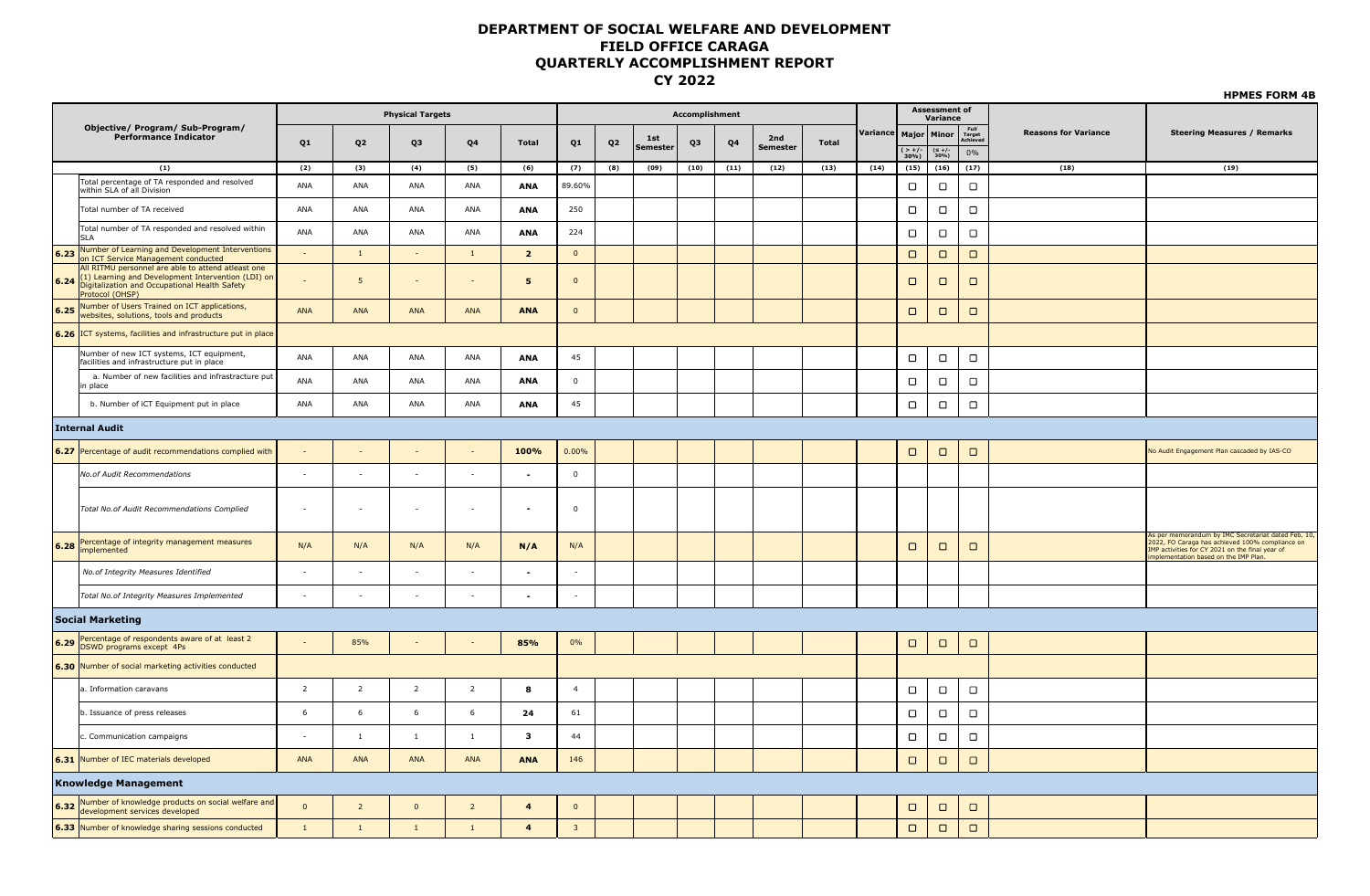|                                                                                                                                                                                      |                |                | <b>Physical Targets</b> |                          |                         |                         |                |                 | Accomplishment |      |                        |              |                          |                   | <b>Assessment of</b> |                            |                             |                                                                                                                                                                                                    |
|--------------------------------------------------------------------------------------------------------------------------------------------------------------------------------------|----------------|----------------|-------------------------|--------------------------|-------------------------|-------------------------|----------------|-----------------|----------------|------|------------------------|--------------|--------------------------|-------------------|----------------------|----------------------------|-----------------------------|----------------------------------------------------------------------------------------------------------------------------------------------------------------------------------------------------|
| Objective/ Program/ Sub-Program/                                                                                                                                                     |                |                |                         |                          |                         |                         |                |                 |                |      |                        |              | Variance   Major   Minor |                   | Variance             | Full<br>Target<br>Achiever | <b>Reasons for Variance</b> | <b>Steering Measures / Remarks</b>                                                                                                                                                                 |
| <b>Performance Indicator</b>                                                                                                                                                         | Q1             | Q <sub>2</sub> | Q3                      | Q4                       | Total                   | Q1                      | Q <sub>2</sub> | 1st<br>Semester | Q3             | Q4   | 2nd<br><b>Semester</b> | <b>Total</b> |                          | $( > +/-$<br>30%) | $(\leq +/-$<br>30%)  | 0%                         |                             |                                                                                                                                                                                                    |
| (1)                                                                                                                                                                                  | (2)            | (3)            | (4)                     | (5)                      | (6)                     | (7)                     | (8)            | (09)            | (10)           | (11) | (12)                   | (13)         | (14)                     | (15)              | (16)                 | (17)                       | (18)                        | (19)                                                                                                                                                                                               |
| Total percentage of TA responded and resolved<br>within SLA of all Division                                                                                                          | ANA            | ANA            | ANA                     | ANA                      | <b>ANA</b>              | 89.60%                  |                |                 |                |      |                        |              |                          | $\Box$            | $\Box$               | $\Box$                     |                             |                                                                                                                                                                                                    |
| Total number of TA received                                                                                                                                                          | ANA            | ANA            | ANA                     | ANA                      | ANA                     | 250                     |                |                 |                |      |                        |              |                          | $\Box$            | $\Box$               | $\Box$                     |                             |                                                                                                                                                                                                    |
| Total number of TA responded and resolved within<br><b>SLA</b>                                                                                                                       | ANA            | ANA            | ANA                     | ANA                      | ANA                     | 224                     |                |                 |                |      |                        |              |                          | $\Box$            | $\Box$               | $\Box$                     |                             |                                                                                                                                                                                                    |
| Number of Learning and Development Interventions<br>6.23<br>on ICT Service Management conducted                                                                                      |                | $\mathbf{1}$   | $\sim$                  | 1                        | $\overline{2}$          | $\overline{\mathbf{0}}$ |                |                 |                |      |                        |              |                          | $\Box$            | $\Box$               | $\Box$                     |                             |                                                                                                                                                                                                    |
| All RITMU personnel are able to attend atleast one<br>(1) Learning and Development Intervention (LDI) on<br>6.24<br>Digitalization and Occupational Health Safety<br>Protocol (OHSP) |                | 5              | $\sim$                  | $\overline{\phantom{a}}$ | 5                       | $\overline{0}$          |                |                 |                |      |                        |              |                          | $\Box$            | $\Box$               | $\Box$                     |                             |                                                                                                                                                                                                    |
| Number of Users Trained on ICT applications,<br>6.25<br>websites, solutions, tools and products                                                                                      | ANA            | ANA            | ANA                     | <b>ANA</b>               | <b>ANA</b>              | $\overline{0}$          |                |                 |                |      |                        |              |                          | $\Box$            | $\Box$               | $\Box$                     |                             |                                                                                                                                                                                                    |
| 6.26 ICT systems, facilities and infrastructure put in place                                                                                                                         |                |                |                         |                          |                         |                         |                |                 |                |      |                        |              |                          |                   |                      |                            |                             |                                                                                                                                                                                                    |
| Number of new ICT systems, ICT equipment,<br>facilities and infrastructure put in place                                                                                              | ANA            | ANA            | ANA                     | ANA                      | ANA                     | 45                      |                |                 |                |      |                        |              |                          | $\Box$            | $\Box$               | $\Box$                     |                             |                                                                                                                                                                                                    |
| a. Number of new facilities and infrastracture put<br>in place                                                                                                                       | ANA            | ANA            | ANA                     | ANA                      | <b>ANA</b>              | $\overline{0}$          |                |                 |                |      |                        |              |                          | $\Box$            | $\Box$               | $\Box$                     |                             |                                                                                                                                                                                                    |
| b. Number of iCT Equipment put in place                                                                                                                                              | ANA            | ANA            | ANA                     | ANA                      | <b>ANA</b>              | 45                      |                |                 |                |      |                        |              |                          | $\Box$            | $\Box$               | $\Box$                     |                             |                                                                                                                                                                                                    |
| <b>Internal Audit</b>                                                                                                                                                                |                |                |                         |                          |                         |                         |                |                 |                |      |                        |              |                          |                   |                      |                            |                             |                                                                                                                                                                                                    |
| 6.27 Percentage of audit recommendations complied with                                                                                                                               |                |                |                         | $\sim$                   | 100%                    | 0.00%                   |                |                 |                |      |                        |              |                          | $\Box$            | $\Box$               | $\Box$                     |                             | No Audit Engagement Plan cascaded by IAS-CO                                                                                                                                                        |
| No.of Audit Recommendations                                                                                                                                                          | $\sim$         | $\sim$         | $\sim$                  | $\sim$                   | ٠                       | $\mathsf 0$             |                |                 |                |      |                        |              |                          |                   |                      |                            |                             |                                                                                                                                                                                                    |
| Total No.of Audit Recommendations Complied                                                                                                                                           |                | $\sim$         | $\sim$                  | $\sim$                   | $\overline{a}$          | $\overline{\mathbf{0}}$ |                |                 |                |      |                        |              |                          |                   |                      |                            |                             |                                                                                                                                                                                                    |
| Percentage of integrity management measures<br>6.28<br>implemented                                                                                                                   | N/A            | N/A            | N/A                     | N/A                      | N/A                     | N/A                     |                |                 |                |      |                        |              |                          | $\Box$            | $\Box$               | $\Box$                     |                             | As per memorandum by IMC Secretariat dated Feb. 10,<br>2022, FO Caraga has achieved 100% compliance on<br>IMP activities for CY 2021 on the final year of<br>implementation based on the IMP Plan. |
| No.of Integrity Measures Identified                                                                                                                                                  | $\sim$         | $\sim$         | $\sim$                  | $\sim$                   |                         | $\sim$                  |                |                 |                |      |                        |              |                          |                   |                      |                            |                             |                                                                                                                                                                                                    |
| Total No.of Integrity Measures Implemented                                                                                                                                           |                |                |                         |                          |                         |                         |                |                 |                |      |                        |              |                          |                   |                      |                            |                             |                                                                                                                                                                                                    |
| Social Marketing                                                                                                                                                                     |                |                |                         |                          |                         |                         |                |                 |                |      |                        |              |                          |                   |                      |                            |                             |                                                                                                                                                                                                    |
| 6.29 Percentage of respondents aware of at least 2<br>DSWD programs except 4Ps                                                                                                       |                | 85%            |                         |                          | 85%                     | 0%                      |                |                 |                |      |                        |              |                          | $\Box$            | $\Box$               | $\Box$                     |                             |                                                                                                                                                                                                    |
| 6.30 Number of social marketing activities conducted                                                                                                                                 |                |                |                         |                          |                         |                         |                |                 |                |      |                        |              |                          |                   |                      |                            |                             |                                                                                                                                                                                                    |
| a. Information caravans                                                                                                                                                              | $\overline{2}$ | $\overline{2}$ | $\overline{2}$          | $\overline{2}$           | 8                       | $\overline{4}$          |                |                 |                |      |                        |              |                          | $\Box$            | $\Box$               | $\Box$                     |                             |                                                                                                                                                                                                    |
| b. Issuance of press releases                                                                                                                                                        | 6              | 6              | $6\phantom{.}6$         | 6                        | 24                      | 61                      |                |                 |                |      |                        |              |                          | $\Box$            | $\Box$               | $\Box$                     |                             |                                                                                                                                                                                                    |
| c. Communication campaigns                                                                                                                                                           |                | $\overline{1}$ | $\mathbf{1}$            | $\overline{1}$           | $\mathbf{3}$            | 44                      |                |                 |                |      |                        |              |                          | $\Box$            | $\Box$               | $\Box$                     |                             |                                                                                                                                                                                                    |
| 6.31 Number of IEC materials developed                                                                                                                                               | ANA            | ANA            | ANA                     | <b>ANA</b>               | ANA                     | 146                     |                |                 |                |      |                        |              |                          | $\Box$            | $\Box$               | $\Box$                     |                             |                                                                                                                                                                                                    |
| Knowledge Management                                                                                                                                                                 |                |                |                         |                          |                         |                         |                |                 |                |      |                        |              |                          |                   |                      |                            |                             |                                                                                                                                                                                                    |
| 6.32 Number of knowledge products on social welfare and<br>development services developed                                                                                            | $\mathbf 0$    | $\overline{2}$ | $\overline{0}$          | $\overline{2}$           | $\overline{\mathbf{4}}$ | $\overline{0}$          |                |                 |                |      |                        |              |                          | $\Box$            | $\Box$               | $\Box$                     |                             |                                                                                                                                                                                                    |
| 6.33 Number of knowledge sharing sessions conducted                                                                                                                                  | $\mathbf{1}$   | $\mathbf{1}$   | <sup>1</sup>            | $\overline{1}$           | $\overline{a}$          | $\overline{3}$          |                |                 |                |      |                        |              |                          | $\Box$            | $\Box$               | $\Box$                     |                             |                                                                                                                                                                                                    |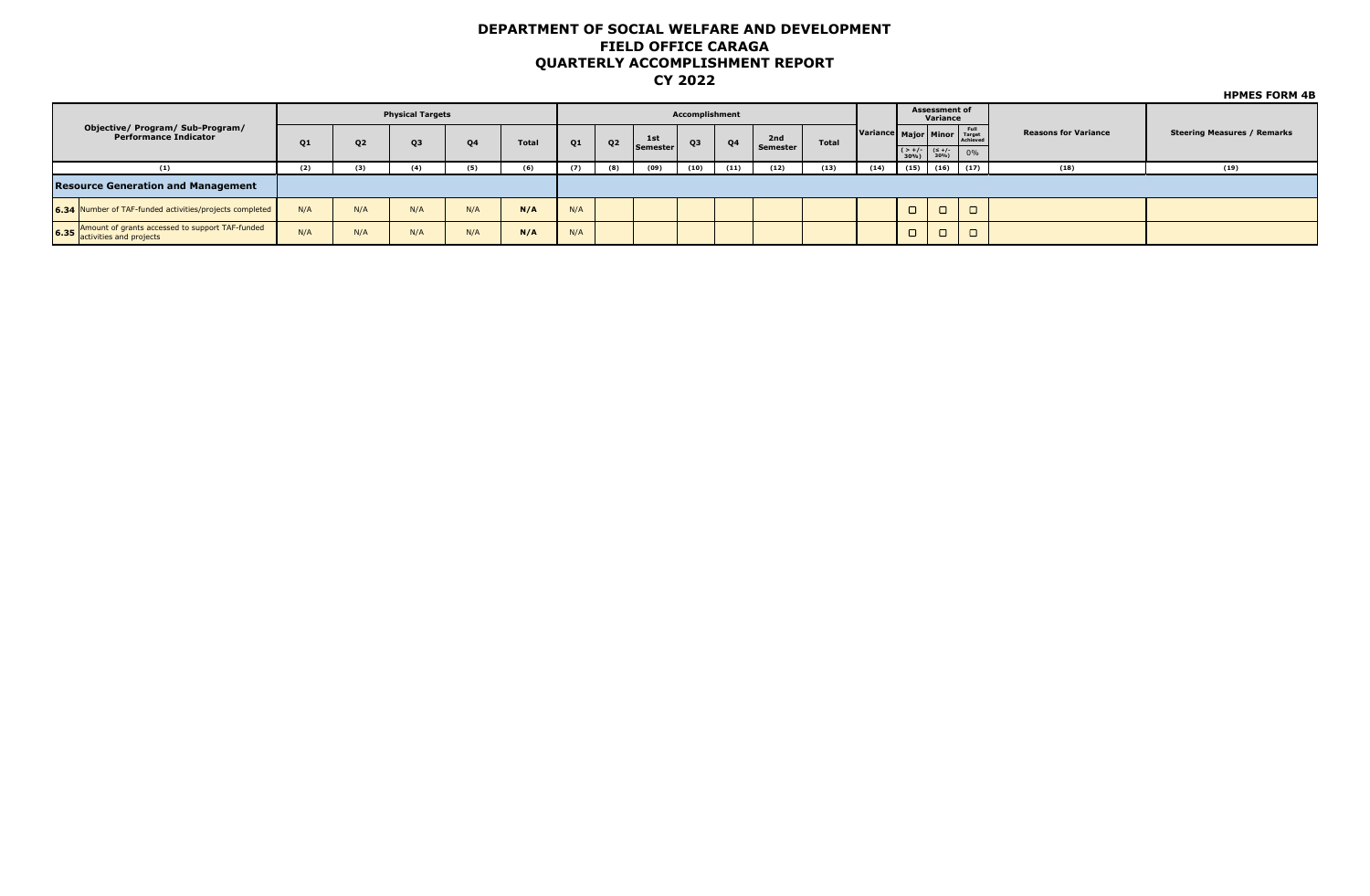|                                                                                 |     |                | <b>Physical Targets</b> |           |              |     |                |          | Accomplishment |                |          |       |                           |                                                                                                         | <b>Assessment of</b><br>Variance |        |                             |                                    |
|---------------------------------------------------------------------------------|-----|----------------|-------------------------|-----------|--------------|-----|----------------|----------|----------------|----------------|----------|-------|---------------------------|---------------------------------------------------------------------------------------------------------|----------------------------------|--------|-----------------------------|------------------------------------|
| Objective/ Program/ Sub-Program/<br><b>Performance Indicator</b>                | 01  | Q <sub>2</sub> | Q3                      | <b>O4</b> | <b>Total</b> | Q1  | Q <sub>2</sub> | 1st      | Q3             | Q <sub>4</sub> | 2nd      | Total | Variance Major Minor Full |                                                                                                         |                                  |        | <b>Reasons for Variance</b> | <b>Steering Measures / Remarks</b> |
|                                                                                 |     |                |                         |           |              |     |                | Semester |                |                | Semester |       |                           | $\begin{array}{ c c c c }\n & & & & \text{(} & & \text{+}/\text{-} \\  & & & 30\% & & 30\% \end{array}$ |                                  | 0%     |                             |                                    |
| (1)                                                                             | (2) | (3)            |                         | (5)       | (6)          | (7) | (8)            | (09)     | (10)           | (11)           | (12)     | (13)  | (14)                      | (15)                                                                                                    | (16)                             | (17)   | (18)                        | (19)                               |
| <b>Resource Generation and Management</b>                                       |     |                |                         |           |              |     |                |          |                |                |          |       |                           |                                                                                                         |                                  |        |                             |                                    |
| 6.34 Number of TAF-funded activities/projects completed                         | N/A | N/A            | N/A                     | N/A       | N/A          | N/A |                |          |                |                |          |       |                           |                                                                                                         | $\overline{\phantom{0}}$         | $\Box$ |                             |                                    |
| 6.35 Amount of grants accessed to support TAF-funded<br>activities and projects | N/A | N/A            | N/A                     | N/A       | N/A          | N/A |                |          |                |                |          |       |                           |                                                                                                         | $\overline{\phantom{0}}$         |        |                             |                                    |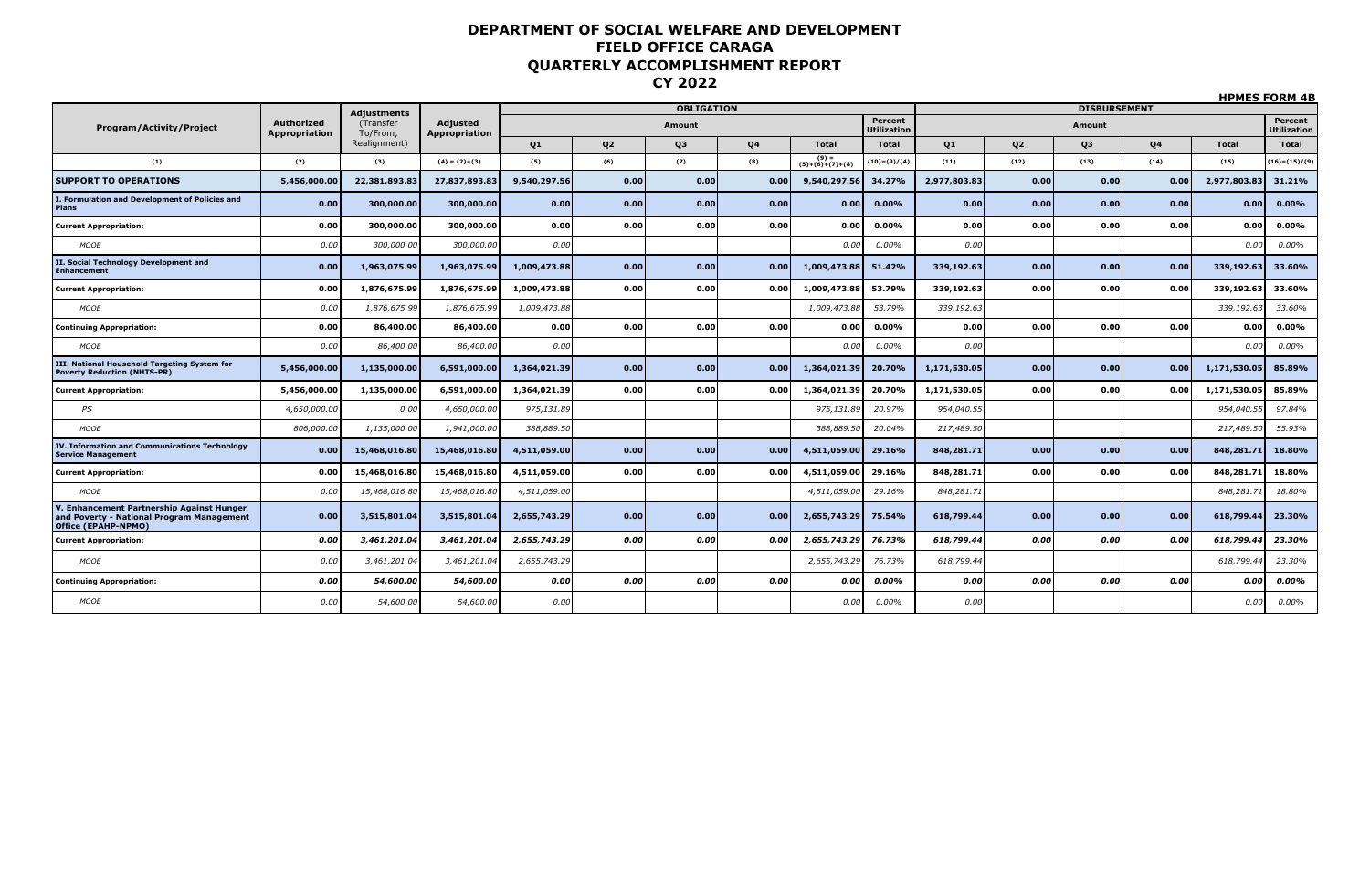|                                                                                                               |                             |                       |                                  |                |                |                   |           |                            |                               |              |      |                     |           |              | <b>HPMES FORM 4B</b>          |
|---------------------------------------------------------------------------------------------------------------|-----------------------------|-----------------------|----------------------------------|----------------|----------------|-------------------|-----------|----------------------------|-------------------------------|--------------|------|---------------------|-----------|--------------|-------------------------------|
|                                                                                                               |                             | <b>Adjustments</b>    |                                  |                |                | <b>OBLIGATION</b> |           |                            |                               |              |      | <b>DISBURSEMENT</b> |           |              |                               |
| <b>Program/Activity/Project</b>                                                                               | Authorized<br>Appropriation | (Transfer<br>To/From, | <b>Adjusted</b><br>Appropriation |                |                | Amount            |           |                            | Percent<br><b>Utilization</b> |              |      | Amount              |           |              | Percent<br><b>Utilization</b> |
|                                                                                                               |                             | Realignment)          |                                  | Q <sub>1</sub> | Q <sub>2</sub> | Q3                | <b>Q4</b> | <b>Total</b>               | <b>Total</b>                  | Q1           | 02   | Q3                  | <b>Q4</b> | Total        | <b>Total</b>                  |
| (1)                                                                                                           | (2)                         | (3)                   | $(4) = (2)+(3)$                  | (5)            | (6)            | (7)               | (8)       | $(9) =$<br>(5)+(6)+(7)+(8) | $(10)=(9)/(4)$                | (11)         | (12) | (13)                | (14)      | (15)         | $(16)=(15)/(9)$               |
| <b>SUPPORT TO OPERATIONS</b>                                                                                  | 5,456,000.00                | 22,381,893.83         | 27,837,893.83                    | 9,540,297.56   | 0.00           | 0.00              | 0.00      | 9,540,297.56               | 34.27%                        | 2,977,803.83 | 0.00 | 0.00                | 0.00      | 2,977,803.83 | 31.21%                        |
| I. Formulation and Development of Policies and<br>Plans                                                       | 0.00                        | 300,000.00            | 300,000.00                       | 0.00           | 0.00           | 0.00              | 0.00      | 0.00                       | 0.00%                         | 0.00         | 0.00 | 0.00                | 0.00      | 0.00         | 0.00%                         |
| <b>Current Appropriation:</b>                                                                                 | 0.00                        | 300,000,00            | 300,000,00                       | 0.00           | 0.00           | 0.00              | 0.00      | 0.00                       | 0.00%                         | 0.00         | 0.00 | 0.00                | 0.00      | 0.00         | $0.00\%$                      |
| <b>MOOE</b>                                                                                                   | 0.00                        | 300,000.00            | 300,000.00                       | 0.00           |                |                   |           | 0.00                       | 0.00%                         | 0.00         |      |                     |           | 0.00         | 0.00%                         |
| II. Social Technology Development and<br><b>Enhancement</b>                                                   | 0.00                        | 1,963,075.99          | 1,963,075.99                     | 1,009,473.88   | 0.00           | 0.00              | 0.00      | 1,009,473.88               | 51.42%                        | 339,192.63   | 0.00 | 0.00                | 0.00      | 339,192.63   | 33.60%                        |
| <b>Current Appropriation:</b>                                                                                 | 0.00                        | 1,876,675.99          | 1,876,675.99                     | 1,009,473.88   | 0.00           | 0.00              | 0.00      | 1,009,473.88               | 53.79%                        | 339,192.63   | 0.00 | 0.00                | 0.00      | 339,192.63   | 33.60%                        |
| <b>MOOE</b>                                                                                                   | 0.00                        | 1,876,675.99          | 1,876,675.99                     | 1,009,473.88   |                |                   |           | 1,009,473.88               | 53.79%                        | 339,192.63   |      |                     |           | 339,192.63   | 33.60%                        |
| <b>Continuing Appropriation:</b>                                                                              | 0.00                        | 86,400.00             | 86,400.00                        | 0.00           | 0.00           | 0.00              | 0.00      | 0.00                       | $0.00\%$                      | 0.00         | 0.00 | 0.00                | 0.00      | 0.00         | 0.00%                         |
| <b>MOOE</b>                                                                                                   | 0.00                        | 86,400.00             | 86,400.00                        | 0.00           |                |                   |           | 0.00                       | 0.00%                         | 0.00         |      |                     |           | 0.00         | 0.00%                         |
| III. National Household Targeting System for<br><b>Poverty Reduction (NHTS-PR)</b>                            | 5,456,000.00                | 1,135,000.00          | 6,591,000.00                     | 1,364,021.39   | 0.00           | 0.00              | 0.00      | 1,364,021.39               | 20.70%                        | 1,171,530.05 | 0.00 | 0.00                | 0.00      | 1,171,530.05 | 85.89%                        |
| <b>Current Appropriation:</b>                                                                                 | 5,456,000.00                | 1,135,000.00          | 6,591,000.00                     | 1,364,021.39   | 0.00           | 0.00              | 0.00      | 1,364,021.39               | 20.70%                        | 1,171,530.05 | 0.00 | 0.00                | 0.00      | 1,171,530.05 | 85.89%                        |
| PS                                                                                                            | 4,650,000.00                | 0.00                  | 4,650,000.00                     | 975,131.89     |                |                   |           | 975,131.89                 | 20.97%                        | 954,040.55   |      |                     |           | 954,040.55   | 97.84%                        |
| <b>MOOE</b>                                                                                                   | 806,000.00                  | 1,135,000.00          | 1,941,000.00                     | 388,889.50     |                |                   |           | 388,889.50                 | 20.04%                        | 217,489.50   |      |                     |           | 217,489.50   | 55.93%                        |
| <b>IV. Information and Communications Technology</b><br><b>Service Management</b>                             | 0.00                        | 15,468,016.80         | 15,468,016.80                    | 4,511,059.00   | 0.00           | 0.00              | 0.00      | 4,511,059.00               | 29.16%                        | 848,281.71   | 0.00 | 0.00                | 0.00      | 848,281.71   | 18.80%                        |
| <b>Current Appropriation:</b>                                                                                 | 0.00                        | 15,468,016.80         | 15,468,016.80                    | 4,511,059.00   | 0.00           | 0.00              | 0.00      | 4,511,059.00               | 29.16%                        | 848,281.71   | 0.00 | 0.00                | 0.00      | 848,281.71   | 18.80%                        |
| <b>MOOE</b>                                                                                                   | 0.00                        | 15,468,016.80         | 15,468,016.80                    | 4,511,059.00   |                |                   |           | 4,511,059.00               | 29.16%                        | 848,281.71   |      |                     |           | 848,281.71   | 18.80%                        |
| V. Enhancement Partnership Against Hunger<br>and Poverty - National Program Management<br>Office (EPAHP-NPMO) | 0.00                        | 3,515,801.04          | 3,515,801.04                     | 2,655,743.29   | 0.00           | 0.00              | 0.00      | 2,655,743.29               | 75.54%                        | 618,799.44   | 0.00 | 0.00                | 0.00      | 618,799.44   | 23.30%                        |
| <b>Current Appropriation:</b>                                                                                 | 0.00                        | 3,461,201.04          | 3,461,201.04                     | 2,655,743.29   | 0.00           | 0.00              | 0.00      | 2,655,743.29               | 76.73%                        | 618,799,44   | 0.00 | 0.00                | 0.00      | 618,799.44   | 23.30%                        |
| <b>MOOE</b>                                                                                                   | 0.00                        | 3,461,201.04          | 3,461,201.04                     | 2,655,743.29   |                |                   |           | 2,655,743.29               | 76.73%                        | 618,799.44   |      |                     |           | 618,799.44   | 23.30%                        |
| <b>Continuing Appropriation:</b>                                                                              | 0.00                        | 54,600.00             | 54,600.00                        | 0.00           | 0.00           | 0.00              | 0.00      | 0.00                       | 0.00%                         | 0.00         | 0.00 | 0.00                | 0.00      | 0.00         | 0.00%                         |
| <b>MOOE</b>                                                                                                   | 0.00                        | 54,600.00             | 54,600.00                        | 0.00           |                |                   |           | 0.00                       | 0.00%                         | 0.00         |      |                     |           | 0.00         | 0.00%                         |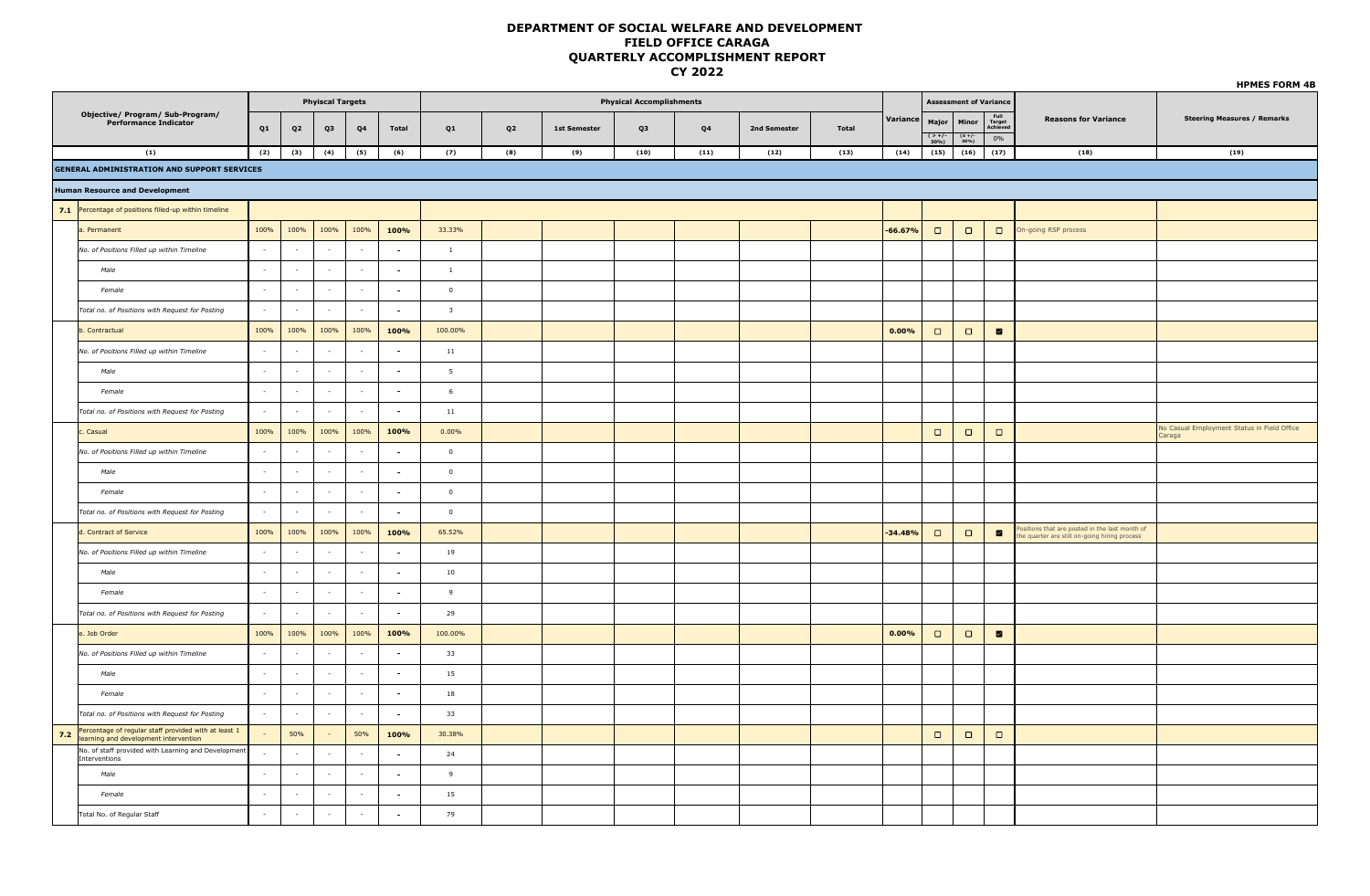|     |                                                                                               |          |                          |                          |                |                          |                         |                |                     |                                 |                |              |       |           |                                  |                                |                                  |                                                                                              | <b>HPMES FORM 4B</b>                                 |
|-----|-----------------------------------------------------------------------------------------------|----------|--------------------------|--------------------------|----------------|--------------------------|-------------------------|----------------|---------------------|---------------------------------|----------------|--------------|-------|-----------|----------------------------------|--------------------------------|----------------------------------|----------------------------------------------------------------------------------------------|------------------------------------------------------|
|     |                                                                                               |          |                          | <b>Phyiscal Targets</b>  |                |                          |                         |                |                     | <b>Physical Accomplishments</b> |                |              |       |           |                                  | <b>Assessment of Variance</b>  |                                  |                                                                                              |                                                      |
|     | Objective/ Program/ Sub-Program/<br><b>Performance Indicator</b>                              | Q1       | Q <sub>2</sub>           | Q3                       | Q <sub>4</sub> | <b>Total</b>             | Q1                      | Q <sub>2</sub> | <b>1st Semester</b> | Q3                              | Q <sub>4</sub> | 2nd Semester | Total | Variance  | Major<br>$\frac{(-1)^{2}}{30\%}$ | Minor<br>$\frac{(5+/-)}{30\%}$ | Full<br>Target<br>Achieved<br>0% | <b>Reasons for Variance</b>                                                                  | <b>Steering Measures / Remarks</b>                   |
|     | (1)                                                                                           | (2)      | (3)                      | (4)                      | (5)            | (6)                      | (7)                     | (8)            | (9)                 | (10)                            | (11)           | (12)         | (13)  | (14)      | (15)                             | (16)                           | (17)                             | (18)                                                                                         | (19)                                                 |
|     | <b>GENERAL ADMINISTRATION AND SUPPORT SERVICES</b>                                            |          |                          |                          |                |                          |                         |                |                     |                                 |                |              |       |           |                                  |                                |                                  |                                                                                              |                                                      |
|     | <b>Human Resource and Development</b>                                                         |          |                          |                          |                |                          |                         |                |                     |                                 |                |              |       |           |                                  |                                |                                  |                                                                                              |                                                      |
|     | 7.1 Percentage of positions filled-up within timeline                                         |          |                          |                          |                |                          |                         |                |                     |                                 |                |              |       |           |                                  |                                |                                  |                                                                                              |                                                      |
|     | a. Permanent                                                                                  | 100%     | 100%                     | 100%                     | 100%           | 100%                     | 33.33%                  |                |                     |                                 |                |              |       | $-66.67%$ | $\Box$                           | $\Box$                         | $\Box$                           | On-going RSP process                                                                         |                                                      |
|     | No. of Positions Filled up within Timeline                                                    | $\sim$   | $\sim$                   | $\overline{\phantom{a}}$ | $\sim$         | $\sim$                   | $\mathbf{1}$            |                |                     |                                 |                |              |       |           |                                  |                                |                                  |                                                                                              |                                                      |
|     | Male                                                                                          | $\sim$   | $\sim$                   | $\sim$                   | $\sim$         | $\sim$                   | $\mathbf{1}$            |                |                     |                                 |                |              |       |           |                                  |                                |                                  |                                                                                              |                                                      |
|     | Female                                                                                        | $\sim$   | $\sim$                   | $\sim$                   | $\sim$         | $\sim$                   | $\circ$                 |                |                     |                                 |                |              |       |           |                                  |                                |                                  |                                                                                              |                                                      |
|     | Total no. of Positions with Request for Posting                                               | $\sim$   | $\sim$                   | $\sim$                   | $\sim$         | $\sim$                   | $\overline{\mathbf{3}}$ |                |                     |                                 |                |              |       |           |                                  |                                |                                  |                                                                                              |                                                      |
|     | b. Contractual                                                                                | 100%     | 100%                     | 100%                     | 100%           | 100%                     | 100.00%                 |                |                     |                                 |                |              |       | 0.00%     | $\Box$                           | $\Box$                         | $\blacksquare$                   |                                                                                              |                                                      |
|     | No. of Positions Filled up within Timeline                                                    | $\sim$   |                          | $\sim$                   | $\sim$         | $\sim$                   | $11\,$                  |                |                     |                                 |                |              |       |           |                                  |                                |                                  |                                                                                              |                                                      |
|     | Male                                                                                          | $\sim$   | $\sim$                   | $\sim$                   | $\sim$         | $\sim$                   | 5                       |                |                     |                                 |                |              |       |           |                                  |                                |                                  |                                                                                              |                                                      |
|     | Female                                                                                        | $\sim$   | $\overline{\phantom{a}}$ | $\sim$                   | $\sim$         | $\sim$                   | 6                       |                |                     |                                 |                |              |       |           |                                  |                                |                                  |                                                                                              |                                                      |
|     | Total no. of Positions with Request for Posting                                               | $\sim$   | $\sim$                   | $\sim$                   | $\sim$         | $\sim$                   | 11                      |                |                     |                                 |                |              |       |           |                                  |                                |                                  |                                                                                              |                                                      |
|     | c. Casual                                                                                     | 100%     | 100%                     | 100%                     | 100%           | 100%                     | $0.00\%$                |                |                     |                                 |                |              |       |           | $\Box$                           | $\Box$                         | $\Box$                           |                                                                                              | No Casual Employment Status in Field Office<br>araga |
|     | No. of Positions Filled up within Timeline                                                    | $\sim$   |                          | $\overline{\phantom{a}}$ | $\sim$         | $\sim$                   | $\overline{0}$          |                |                     |                                 |                |              |       |           |                                  |                                |                                  |                                                                                              |                                                      |
|     | Male                                                                                          | $\sim$   |                          | $\sim$                   | $\sim$         | $\sim$                   | $\overline{0}$          |                |                     |                                 |                |              |       |           |                                  |                                |                                  |                                                                                              |                                                      |
|     | Female                                                                                        | $\sim$   | $\overline{\phantom{a}}$ | $\overline{\phantom{a}}$ | $\sim$         | $\sim$                   | $\overline{0}$          |                |                     |                                 |                |              |       |           |                                  |                                |                                  |                                                                                              |                                                      |
|     | Total no. of Positions with Request for Posting                                               | $\sim$   | $\sim$                   | $\sim$                   | $\sim$         | $\sim$                   | $\overline{0}$          |                |                     |                                 |                |              |       |           |                                  |                                |                                  |                                                                                              |                                                      |
|     | d. Contract of Service                                                                        | 100%     | 100%                     | 100%                     | 100%           | 100%                     | 65.52%                  |                |                     |                                 |                |              |       | $-34.48%$ | $\Box$                           | $\Box$                         | $\blacksquare$                   | ositions that are posted in the last month of<br>e quarter are still on-going hiring process |                                                      |
|     | No. of Positions Filled up within Timeline                                                    | $\sim$   | $\sim$                   | $\overline{\phantom{a}}$ | $\sim$         | $\sim$                   | 19                      |                |                     |                                 |                |              |       |           |                                  |                                |                                  |                                                                                              |                                                      |
|     | Male                                                                                          | $\sim$   | $\sim$                   | $\sim$                   | $\sim$         | $\overline{\phantom{a}}$ | 10                      |                |                     |                                 |                |              |       |           |                                  |                                |                                  |                                                                                              |                                                      |
|     | Female                                                                                        | $\sim$   | $\sim$                   | $\sim$                   | $\sim$         | $\overline{\phantom{a}}$ | 9                       |                |                     |                                 |                |              |       |           |                                  |                                |                                  |                                                                                              |                                                      |
|     | Total no. of Positions with Request for Posting                                               | $\sim$   | $\sim$                   | $\sim$                   | $\sim$         | $\sim$                   | 29                      |                |                     |                                 |                |              |       |           |                                  |                                |                                  |                                                                                              |                                                      |
|     | e. Job Order                                                                                  | 100%     | 100%                     | 100%                     | 100%           | 100%                     | 100.00%                 |                |                     |                                 |                |              |       | 0.00%     | $\Box$                           | $\Box$                         | $\blacksquare$                   |                                                                                              |                                                      |
|     | No. of Positions Filled up within Timeline                                                    | $\sim$   | $\sim$                   | $\sim$                   | $\sim$         | $\sim$                   | 33                      |                |                     |                                 |                |              |       |           |                                  |                                |                                  |                                                                                              |                                                      |
|     | Male                                                                                          | $\sim$   | $\sim$                   | $\sim$                   | $\sim$         | $\sim$                   | 15                      |                |                     |                                 |                |              |       |           |                                  |                                |                                  |                                                                                              |                                                      |
|     | Female                                                                                        | $\sim$   | $\sim$                   | $\sim$                   | $\sim$         | $\overline{a}$           | $18\,$                  |                |                     |                                 |                |              |       |           |                                  |                                |                                  |                                                                                              |                                                      |
|     | Total no. of Positions with Request for Posting                                               | $\sim$   | $\sim$                   | $\sim$                   | $\sim$         | ria.                     | 33                      |                |                     |                                 |                |              |       |           |                                  |                                |                                  |                                                                                              |                                                      |
| 7.2 | Percentage of regular staff provided with at least 1<br>learning and development intervention |          | 50%                      | $\sim$                   | 50%            | 100%                     | 30.38%                  |                |                     |                                 |                |              |       |           | $\Box$                           | $\Box$                         | $\Box$                           |                                                                                              |                                                      |
|     | No. of staff provided with Learning and Development<br>Interventions                          | $\sim$   | ÷.                       | $\sim$                   | $\sim$         | $\sim$                   | 24                      |                |                     |                                 |                |              |       |           |                                  |                                |                                  |                                                                                              |                                                      |
|     | Male                                                                                          | $\sim$   | ч.                       | $\sim$                   | $\sim$         | $\sim$                   | 9                       |                |                     |                                 |                |              |       |           |                                  |                                |                                  |                                                                                              |                                                      |
|     | Female                                                                                        | $\sim$   | $\sim$                   | $\sim$                   | $\sim$         | $\sim$                   | $15\,$                  |                |                     |                                 |                |              |       |           |                                  |                                |                                  |                                                                                              |                                                      |
|     | Total No. of Regular Staff                                                                    | in 1919. | $\sim$                   | $\sim$                   | $\sim$         | $\sim$                   | 79                      |                |                     |                                 |                |              |       |           |                                  |                                |                                  |                                                                                              |                                                      |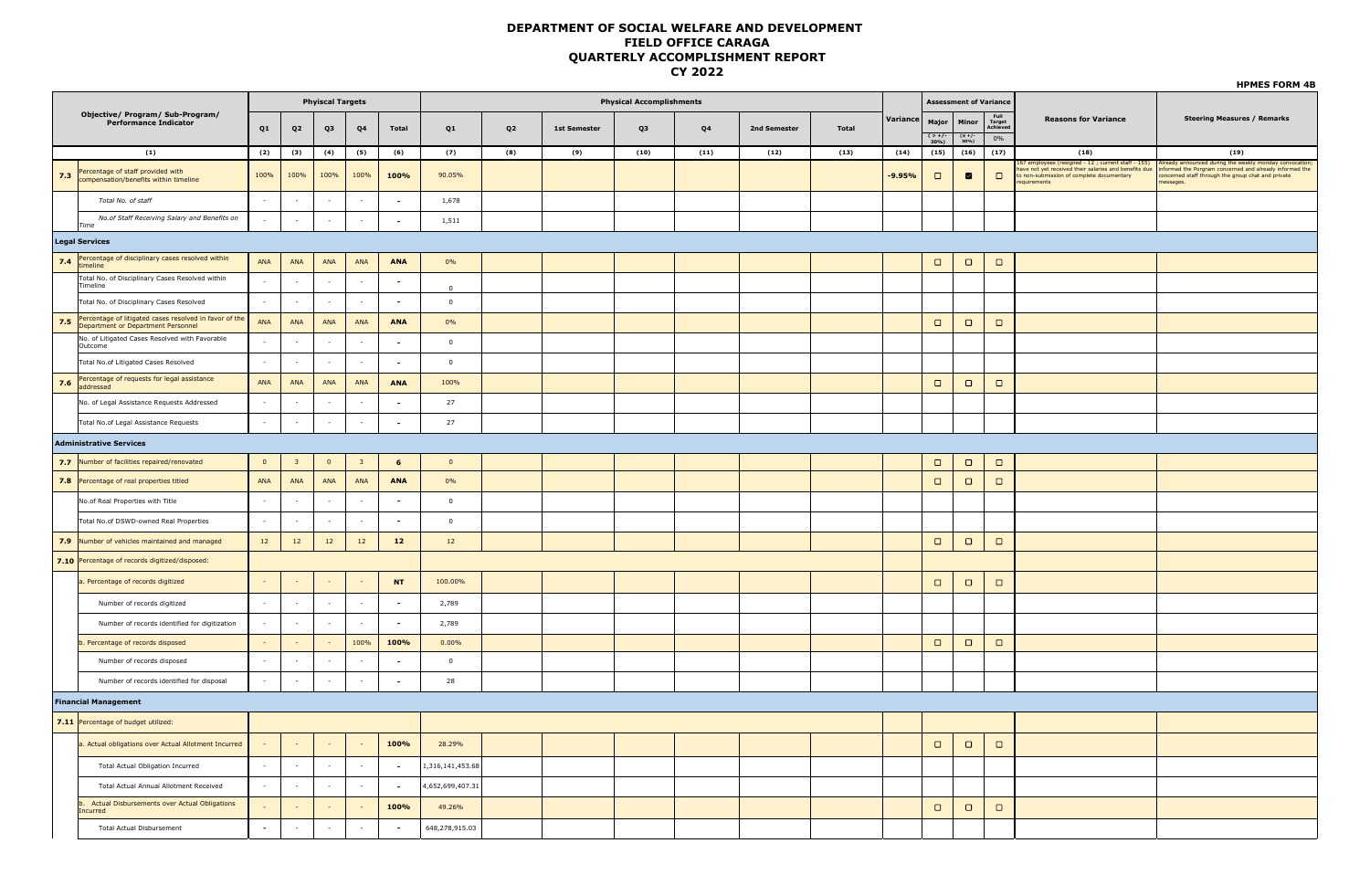|                                  |                                                                                              | <b>Phyiscal Targets</b><br><b>Physical Accomplishments</b><br><b>Assessment of Variance</b> |                          |                |                          |                 |                  |                |                     |      |      |              |              |          |                    |                  |                            |                                                                                                                                                                             | <b>HPMES FORM 4B</b>                                                                                                                                                                 |
|----------------------------------|----------------------------------------------------------------------------------------------|---------------------------------------------------------------------------------------------|--------------------------|----------------|--------------------------|-----------------|------------------|----------------|---------------------|------|------|--------------|--------------|----------|--------------------|------------------|----------------------------|-----------------------------------------------------------------------------------------------------------------------------------------------------------------------------|--------------------------------------------------------------------------------------------------------------------------------------------------------------------------------------|
| Objective/ Program/ Sub-Program/ |                                                                                              |                                                                                             |                          |                |                          |                 |                  |                |                     |      |      |              |              |          |                    |                  |                            |                                                                                                                                                                             |                                                                                                                                                                                      |
|                                  | <b>Performance Indicator</b>                                                                 | Q1                                                                                          | Q <sub>2</sub>           | Q3             | Q4                       | <b>Total</b>    | Q1               | Q <sub>2</sub> | <b>1st Semester</b> | Q3   | Q4   | 2nd Semester | <b>Total</b> | Variance | Major              | Minor            | Full<br>Target<br>Achiever | <b>Reasons for Variance</b>                                                                                                                                                 | <b>Steering Measures / Remarks</b>                                                                                                                                                   |
| (1)                              |                                                                                              |                                                                                             |                          |                |                          |                 |                  |                |                     |      |      |              |              |          | $\frac{2+7}{30\%}$ | $(S +/-$<br>30%) | 0%                         |                                                                                                                                                                             |                                                                                                                                                                                      |
|                                  |                                                                                              | (2)                                                                                         | (3)                      | (4)            | (5)                      | (6)             | (7)              | (8)            | (9)                 | (10) | (11) | (12)         | (13)         | (14)     | (15)               | (16)             | (17)                       | (18)                                                                                                                                                                        | (19)                                                                                                                                                                                 |
| 7.3                              | Percentage of staff provided with<br>compensation/benefits within timeline                   | 100%                                                                                        | 100%                     | 100%           | 100%                     | 100%            | 90.05%           |                |                     |      |      |              |              | $-9.95%$ | $\Box$             | $\blacksquare$   | $\Box$                     | 167 employees (resigned - $12$ ; current staff - 155)<br>have not yet received their salaries and benefits due<br>to non-submission of complete documentary<br>requirements | Already announced during the weekly monday convocation;<br>informed the Porgram concerned and already informed the<br>concerned staff through the group chat and private<br>essages. |
|                                  | Total No. of staff                                                                           | $\sim$                                                                                      | $\sim$                   | $\sim$         | $\sim$                   | $\sim$          | 1,678            |                |                     |      |      |              |              |          |                    |                  |                            |                                                                                                                                                                             |                                                                                                                                                                                      |
|                                  | No.of Staff Receiving Salary and Benefits on<br>Time                                         |                                                                                             | $\sim$                   | $\sim$         | $\sim$                   | $\sim$          | 1,511            |                |                     |      |      |              |              |          |                    |                  |                            |                                                                                                                                                                             |                                                                                                                                                                                      |
|                                  | <b>Legal Services</b>                                                                        |                                                                                             |                          |                |                          |                 |                  |                |                     |      |      |              |              |          |                    |                  |                            |                                                                                                                                                                             |                                                                                                                                                                                      |
|                                  | 7.4 Percentage of disciplinary cases resolved within<br>timeline                             | ANA                                                                                         | ANA                      | ANA            | ANA                      | ANA             | 0%               |                |                     |      |      |              |              |          | $\Box$             | $\Box$           | $\Box$                     |                                                                                                                                                                             |                                                                                                                                                                                      |
|                                  | Total No. of Disciplinary Cases Resolved within<br>Timeline                                  | $\sim$                                                                                      | $\sim$                   | $\sim$         | $\sim$                   | $\sim$          | $\overline{0}$   |                |                     |      |      |              |              |          |                    |                  |                            |                                                                                                                                                                             |                                                                                                                                                                                      |
|                                  | Total No. of Disciplinary Cases Resolved                                                     | $\sim$                                                                                      | $\sim$                   | $\sim$         | $\sim$                   | $\sim$          | $\mathbf 0$      |                |                     |      |      |              |              |          |                    |                  |                            |                                                                                                                                                                             |                                                                                                                                                                                      |
| 7.5                              | Percentage of litigated cases resolved in favor of the<br>Department or Department Personnel | ANA                                                                                         | ANA                      | ANA            | ANA                      | ANA             | 0%               |                |                     |      |      |              |              |          | $\Box$             | $\Box$           | $\Box$                     |                                                                                                                                                                             |                                                                                                                                                                                      |
|                                  | No. of Litigated Cases Resolved with Favorable<br>Outcome                                    | $\sim$                                                                                      | $\sim$                   | $\sim$         | $\sim$                   | $\sim$          | $\overline{0}$   |                |                     |      |      |              |              |          |                    |                  |                            |                                                                                                                                                                             |                                                                                                                                                                                      |
|                                  | Total No.of Litigated Cases Resolved                                                         | $\sim$                                                                                      | $\sim$                   | $\sim$         | $\sim$                   | $\sim$          | $\overline{0}$   |                |                     |      |      |              |              |          |                    |                  |                            |                                                                                                                                                                             |                                                                                                                                                                                      |
| 7.6                              | Percentage of requests for legal assistance<br>addressed                                     | ANA                                                                                         | ANA                      | ANA            | ANA                      | ANA             | 100%             |                |                     |      |      |              |              |          | $\Box$             | $\Box$           | $\Box$                     |                                                                                                                                                                             |                                                                                                                                                                                      |
|                                  | No. of Legal Assistance Requests Addressed                                                   | $\sim$                                                                                      | $\sim$                   | $\sim$         | $\sim$                   | $\sim$          | 27               |                |                     |      |      |              |              |          |                    |                  |                            |                                                                                                                                                                             |                                                                                                                                                                                      |
|                                  | Total No.of Legal Assistance Requests                                                        | $\sim$                                                                                      | $\sim$                   | $\sim$         | $\sim$                   | $\sim$          | 27               |                |                     |      |      |              |              |          |                    |                  |                            |                                                                                                                                                                             |                                                                                                                                                                                      |
|                                  | <b>Administrative Services</b>                                                               |                                                                                             |                          |                |                          |                 |                  |                |                     |      |      |              |              |          |                    |                  |                            |                                                                                                                                                                             |                                                                                                                                                                                      |
|                                  | 7.7 Number of facilities repaired/renovated                                                  | $\mathbf{0}$                                                                                | $\overline{\mathbf{3}}$  | $\overline{0}$ | $\overline{\mathbf{3}}$  | $6\phantom{.0}$ | $\overline{0}$   |                |                     |      |      |              |              |          | $\Box$             | $\Box$           | $\Box$                     |                                                                                                                                                                             |                                                                                                                                                                                      |
|                                  | 7.8 Percentage of real properties titled                                                     | ANA                                                                                         | ANA                      | ANA            | ANA                      | <b>ANA</b>      | 0%               |                |                     |      |      |              |              |          | $\Box$             | $\Box$           | $\Box$                     |                                                                                                                                                                             |                                                                                                                                                                                      |
|                                  | No.of Real Properties with Title                                                             | $\sim$                                                                                      | $\sim$                   | $\sim$         | $\sim$                   | $\sim$          | $\overline{0}$   |                |                     |      |      |              |              |          |                    |                  |                            |                                                                                                                                                                             |                                                                                                                                                                                      |
|                                  | Total No.of DSWD-owned Real Properties                                                       | $\sim$                                                                                      | $\sim$                   | $\sim$         | $\sim$                   | $\sim$          | $\overline{0}$   |                |                     |      |      |              |              |          |                    |                  |                            |                                                                                                                                                                             |                                                                                                                                                                                      |
|                                  | 7.9 Number of vehicles maintained and managed                                                | 12                                                                                          | $12$                     | 12             | 12                       | $12$            | 12               |                |                     |      |      |              |              |          | $\Box$             | $\Box$           | $\Box$                     |                                                                                                                                                                             |                                                                                                                                                                                      |
|                                  | 7.10 Percentage of records digitized/disposed:                                               |                                                                                             |                          |                |                          |                 |                  |                |                     |      |      |              |              |          |                    |                  |                            |                                                                                                                                                                             |                                                                                                                                                                                      |
|                                  | a. Percentage of records digitized                                                           |                                                                                             |                          |                |                          | <b>NT</b>       | 100.00%          |                |                     |      |      |              |              |          | $\Box$             | $\Box$           | $\Box$                     |                                                                                                                                                                             |                                                                                                                                                                                      |
|                                  | Number of records digitized                                                                  | $\sim$                                                                                      | $\sim$                   | $\sim$         | $\sim$                   | $\sim$          | 2,789            |                |                     |      |      |              |              |          |                    |                  |                            |                                                                                                                                                                             |                                                                                                                                                                                      |
|                                  | Number of records identified for digitization                                                | $\sim$                                                                                      | $\sim$                   | $\sim$         | $\sim$                   | $\sim$          | 2,789            |                |                     |      |      |              |              |          |                    |                  |                            |                                                                                                                                                                             |                                                                                                                                                                                      |
|                                  | b. Percentage of records disposed                                                            | $\sim$                                                                                      | $\sim$                   | $\sim$         | 100%                     | 100%            | 0.00%            |                |                     |      |      |              |              |          | $\Box$             | $\Box$           | $\Box$                     |                                                                                                                                                                             |                                                                                                                                                                                      |
|                                  | Number of records disposed                                                                   | $\sim$                                                                                      | $\overline{\phantom{a}}$ | $\sim$         | $\overline{\phantom{a}}$ | $\sim$          | $\overline{0}$   |                |                     |      |      |              |              |          |                    |                  |                            |                                                                                                                                                                             |                                                                                                                                                                                      |
|                                  | Number of records identified for disposal                                                    | $\sim$                                                                                      | $\sim$                   | $\sim$         | $\sim$                   | $\sim$          | 28               |                |                     |      |      |              |              |          |                    |                  |                            |                                                                                                                                                                             |                                                                                                                                                                                      |
|                                  | <b>Financial Management</b>                                                                  |                                                                                             |                          |                |                          |                 |                  |                |                     |      |      |              |              |          |                    |                  |                            |                                                                                                                                                                             |                                                                                                                                                                                      |
|                                  | 7.11 Percentage of budget utilized:                                                          |                                                                                             |                          |                |                          |                 |                  |                |                     |      |      |              |              |          |                    |                  |                            |                                                                                                                                                                             |                                                                                                                                                                                      |
|                                  | a. Actual obligations over Actual Allotment Incurred                                         |                                                                                             |                          |                |                          | 100%            | 28.29%           |                |                     |      |      |              |              |          | $\Box$             | $\Box$           | $\Box$                     |                                                                                                                                                                             |                                                                                                                                                                                      |
|                                  | Total Actual Obligation Incurred                                                             | $\sim$                                                                                      | $\sim$                   | $\sim$         | $\sim$                   | $\sim$          | 1,316,141,453.68 |                |                     |      |      |              |              |          |                    |                  |                            |                                                                                                                                                                             |                                                                                                                                                                                      |
|                                  | <b>Total Actual Annual Allotment Received</b>                                                |                                                                                             | $\sim$                   | $\sim$         | ÷,                       | $\sim$          | 4,652,699,407.31 |                |                     |      |      |              |              |          |                    |                  |                            |                                                                                                                                                                             |                                                                                                                                                                                      |
|                                  | b. Actual Disbursements over Actual Obligations<br>Incurred                                  |                                                                                             | $\sim$                   |                |                          | 100%            | 49.26%           |                |                     |      |      |              |              |          | $\Box$             | $\Box$           | $\Box$                     |                                                                                                                                                                             |                                                                                                                                                                                      |
|                                  | <b>Total Actual Disbursement</b>                                                             | $\blacksquare$                                                                              | $\sim$                   | $\sim$         | $\sim$                   | $\sim$          | 648,278,915.03   |                |                     |      |      |              |              |          |                    |                  |                            |                                                                                                                                                                             |                                                                                                                                                                                      |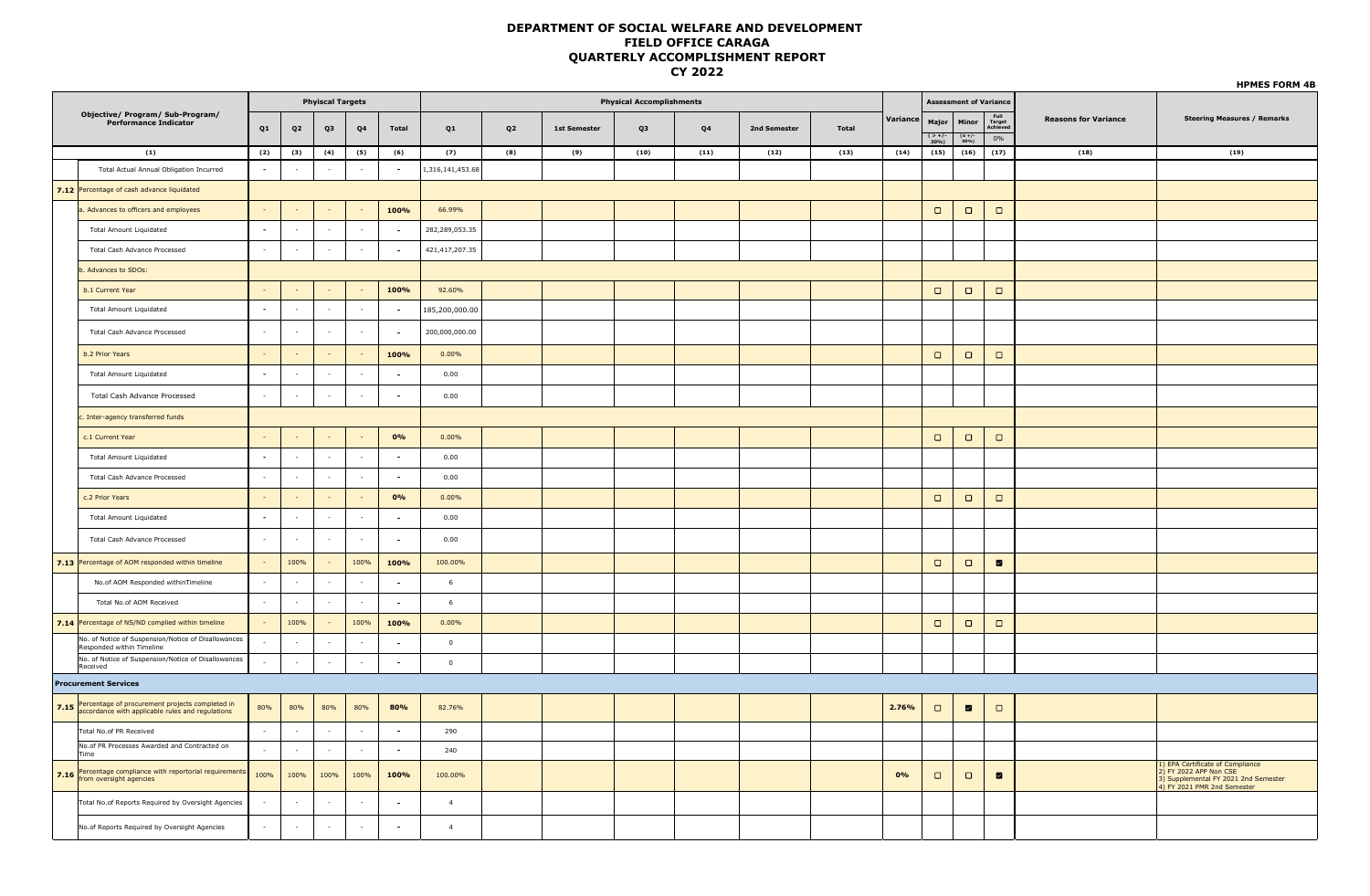| <b>Phyiscal Targets</b><br><b>Physical Accomplishments</b>       |                                                                                                               |                          |          |                          |            |        |                  |     |                     |      |                |              |              | <b>HPMES FORM 4B</b> |                            |                               |                                  |                             |                                                                                                                                        |
|------------------------------------------------------------------|---------------------------------------------------------------------------------------------------------------|--------------------------|----------|--------------------------|------------|--------|------------------|-----|---------------------|------|----------------|--------------|--------------|----------------------|----------------------------|-------------------------------|----------------------------------|-----------------------------|----------------------------------------------------------------------------------------------------------------------------------------|
|                                                                  |                                                                                                               |                          |          |                          |            |        |                  |     |                     |      |                |              |              |                      |                            | <b>Assessment of Variance</b> |                                  |                             |                                                                                                                                        |
| Objective/ Program/ Sub-Program/<br><b>Performance Indicator</b> |                                                                                                               |                          | Q2       | Q3                       | Q4         | Total  | Q1               | Q2  | <b>1st Semester</b> | Q3   | Q <sub>4</sub> | 2nd Semester | <b>Total</b> | Variance             | Major<br>$\frac{2+}{30\%}$ | Minor<br>$(S +/-$<br>30%)     | Full<br>Target<br>Achiever<br>0% | <b>Reasons for Variance</b> | <b>Steering Measures / Remarks</b>                                                                                                     |
| (1)                                                              |                                                                                                               | (2)                      | (3)      | (4)                      | (5)        | (6)    | (7)              | (8) | (9)                 | (10) | (11)           | (12)         | (13)         | (14)                 | (15)                       | (16)                          | (17)                             | (18)                        | (19)                                                                                                                                   |
|                                                                  | Total Actual Annual Obligation Incurred                                                                       | $\overline{\phantom{a}}$ | $\sim$   | $\sim$                   | $\sim$     | $\sim$ | 1,316,141,453.68 |     |                     |      |                |              |              |                      |                            |                               |                                  |                             |                                                                                                                                        |
|                                                                  | 7.12 Percentage of cash advance liquidated                                                                    |                          |          |                          |            |        |                  |     |                     |      |                |              |              |                      |                            |                               |                                  |                             |                                                                                                                                        |
|                                                                  | a. Advances to officers and employees                                                                         | $\sim$                   |          |                          | $\sim$     | 100%   | 66.99%           |     |                     |      |                |              |              |                      | $\Box$                     | $\Box$                        | $\Box$                           |                             |                                                                                                                                        |
|                                                                  | <b>Total Amount Liquidated</b>                                                                                | $\blacksquare$           |          | $\sim$                   | $\sim$     | $\sim$ | 282,289,053.35   |     |                     |      |                |              |              |                      |                            |                               |                                  |                             |                                                                                                                                        |
|                                                                  | Total Cash Advance Processed                                                                                  | $\sim$                   |          | $\overline{\phantom{a}}$ | $\sim$     | $\sim$ | 421,417,207.35   |     |                     |      |                |              |              |                      |                            |                               |                                  |                             |                                                                                                                                        |
|                                                                  | b. Advances to SDOs:                                                                                          |                          |          |                          |            |        |                  |     |                     |      |                |              |              |                      |                            |                               |                                  |                             |                                                                                                                                        |
|                                                                  | b.1 Current Year                                                                                              |                          |          |                          |            | 100%   | 92.60%           |     |                     |      |                |              |              |                      | $\Box$                     | $\Box$                        | $\Box$                           |                             |                                                                                                                                        |
|                                                                  | Total Amount Liquidated                                                                                       | $\overline{\phantom{a}}$ |          | $\sim$                   | $\sim$     | $\sim$ | 185,200,000.00   |     |                     |      |                |              |              |                      |                            |                               |                                  |                             |                                                                                                                                        |
|                                                                  | Total Cash Advance Processed                                                                                  | $\sim$                   |          |                          | $\sim$     | $\sim$ | 200,000,000.00   |     |                     |      |                |              |              |                      |                            |                               |                                  |                             |                                                                                                                                        |
|                                                                  | b.2 Prior Years                                                                                               |                          |          |                          | $\sim$     | 100%   | $0.00\%$         |     |                     |      |                |              |              |                      | $\Box$                     | $\Box$                        | $\Box$                           |                             |                                                                                                                                        |
|                                                                  | <b>Total Amount Liquidated</b>                                                                                | $\blacksquare$           |          | $\sim$                   | $\sim$     |        | 0.00             |     |                     |      |                |              |              |                      |                            |                               |                                  |                             |                                                                                                                                        |
|                                                                  | Total Cash Advance Processed                                                                                  | $\sim$                   |          |                          | ×          | $\sim$ | 0.00             |     |                     |      |                |              |              |                      |                            |                               |                                  |                             |                                                                                                                                        |
|                                                                  | c. Inter-agency transferred funds                                                                             |                          |          |                          |            |        |                  |     |                     |      |                |              |              |                      |                            |                               |                                  |                             |                                                                                                                                        |
|                                                                  | c.1 Current Year                                                                                              | $\sim$                   |          |                          | $\sim$     | 0%     | 0.00%            |     |                     |      |                |              |              |                      | $\Box$                     | $\Box$                        | $\Box$                           |                             |                                                                                                                                        |
|                                                                  | Total Amount Liquidated                                                                                       | $\blacksquare$           |          | $\sim$                   | $\sim$     | $\sim$ | 0.00             |     |                     |      |                |              |              |                      |                            |                               |                                  |                             |                                                                                                                                        |
|                                                                  | Total Cash Advance Processed                                                                                  | $\sim$                   |          | $\overline{\phantom{a}}$ | $\sim$     | $\sim$ | 0.00             |     |                     |      |                |              |              |                      |                            |                               |                                  |                             |                                                                                                                                        |
|                                                                  | c.2 Prior Years                                                                                               | $\sim$                   |          |                          | $\sim$     | 0%     | 0.00%            |     |                     |      |                |              |              |                      | $\Box$                     | $\Box$                        | $\Box$                           |                             |                                                                                                                                        |
|                                                                  | Total Amount Liquidated                                                                                       | $\overline{\phantom{a}}$ |          |                          | $\sim$     | $\sim$ | 0.00             |     |                     |      |                |              |              |                      |                            |                               |                                  |                             |                                                                                                                                        |
|                                                                  | Total Cash Advance Processed                                                                                  | $\sim$                   |          |                          | $\sim$     |        | 0.00             |     |                     |      |                |              |              |                      |                            |                               |                                  |                             |                                                                                                                                        |
|                                                                  | 7.13 Percentage of AOM responded within timeline                                                              | $\sim$                   | 100%     | ÷.                       | 100%       | 100%   | 100.00%          |     |                     |      |                |              |              |                      | $\Box$                     | $\Box$                        | $\blacksquare$                   |                             |                                                                                                                                        |
|                                                                  | No.of AOM Responded withinTimeline                                                                            | $\sim$                   | $\sim$   | $\sim$                   | $\sim$     | $\sim$ | 6                |     |                     |      |                |              |              |                      |                            |                               |                                  |                             |                                                                                                                                        |
|                                                                  | Total No.of AOM Received                                                                                      | $\sim$                   | $\sim$   | $\sim$                   | $\sim$     | $\sim$ | 6                |     |                     |      |                |              |              |                      |                            |                               |                                  |                             |                                                                                                                                        |
|                                                                  | 7.14 Percentage of NS/ND complied within timeline                                                             | $\sim$                   | 100%     | ÷.                       | 100%       | 100%   | 0.00%            |     |                     |      |                |              |              |                      | $\Box$                     | $\Box$                        | $\Box$                           |                             |                                                                                                                                        |
|                                                                  | No. of Notice of Suspension/Notice of Disallowances<br>Responded within Timeline                              | $\sim$                   | $\sim$   | $\overline{\phantom{a}}$ | $\sim$     | $\sim$ | $\overline{0}$   |     |                     |      |                |              |              |                      |                            |                               |                                  |                             |                                                                                                                                        |
|                                                                  | No. of Notice of Suspension/Notice of Disallowances<br>Received                                               | $\sim$                   | $\sim$   | $\sim$                   | $\sim$     | $\sim$ | $\overline{0}$   |     |                     |      |                |              |              |                      |                            |                               |                                  |                             |                                                                                                                                        |
|                                                                  | <b>Procurement Services</b>                                                                                   |                          |          |                          |            |        |                  |     |                     |      |                |              |              |                      |                            |                               |                                  |                             |                                                                                                                                        |
|                                                                  | 7.15 Percentage of procurement projects completed in<br>7.15 accordance with applicable rules and regulations | 80%                      | 80%      | 80%                      | 80%        | 80%    | 82.76%           |     |                     |      |                |              |              | 2.76%                | $\Box$                     | $\blacksquare$                | $\Box$                           |                             |                                                                                                                                        |
|                                                                  | Total No.of PR Received                                                                                       | $\sim$                   | $\sim$   | $\sim$                   | $\sim$     | $\sim$ | 290              |     |                     |      |                |              |              |                      |                            |                               |                                  |                             |                                                                                                                                        |
|                                                                  | No.of PR Processes Awarded and Contracted on<br>Time                                                          | $\sim$                   | $\sim$   | $\sim$                   | $\sim$ $-$ | $\sim$ | 240              |     |                     |      |                |              |              |                      |                            |                               |                                  |                             |                                                                                                                                        |
|                                                                  | 7.16 Percentage compliance with reportorial requirements                                                      | 100%                     | 100%     | 100%                     | 100%       | 100%   | 100.00%          |     |                     |      |                |              |              | 0%                   | $\Box$                     | $\Box$                        | $\blacksquare$                   |                             | .) EPA Certificate of Compliance<br>$\frac{2}{1}$ FY 2022 APP Non CSE<br>Supplemental FY 2021 2nd Semester<br>FY 2021 PMR 2nd Semester |
|                                                                  | Total No.of Reports Required by Oversight Agencies                                                            | $\overline{\phantom{a}}$ |          |                          | ÷,         |        | $\overline{4}$   |     |                     |      |                |              |              |                      |                            |                               |                                  |                             |                                                                                                                                        |
|                                                                  | No.of Reports Required by Oversight Agencies                                                                  | $\sim$                   | in 1919. | $\sim$                   | $\sim$     |        | $\overline{4}$   |     |                     |      |                |              |              |                      |                            |                               |                                  |                             |                                                                                                                                        |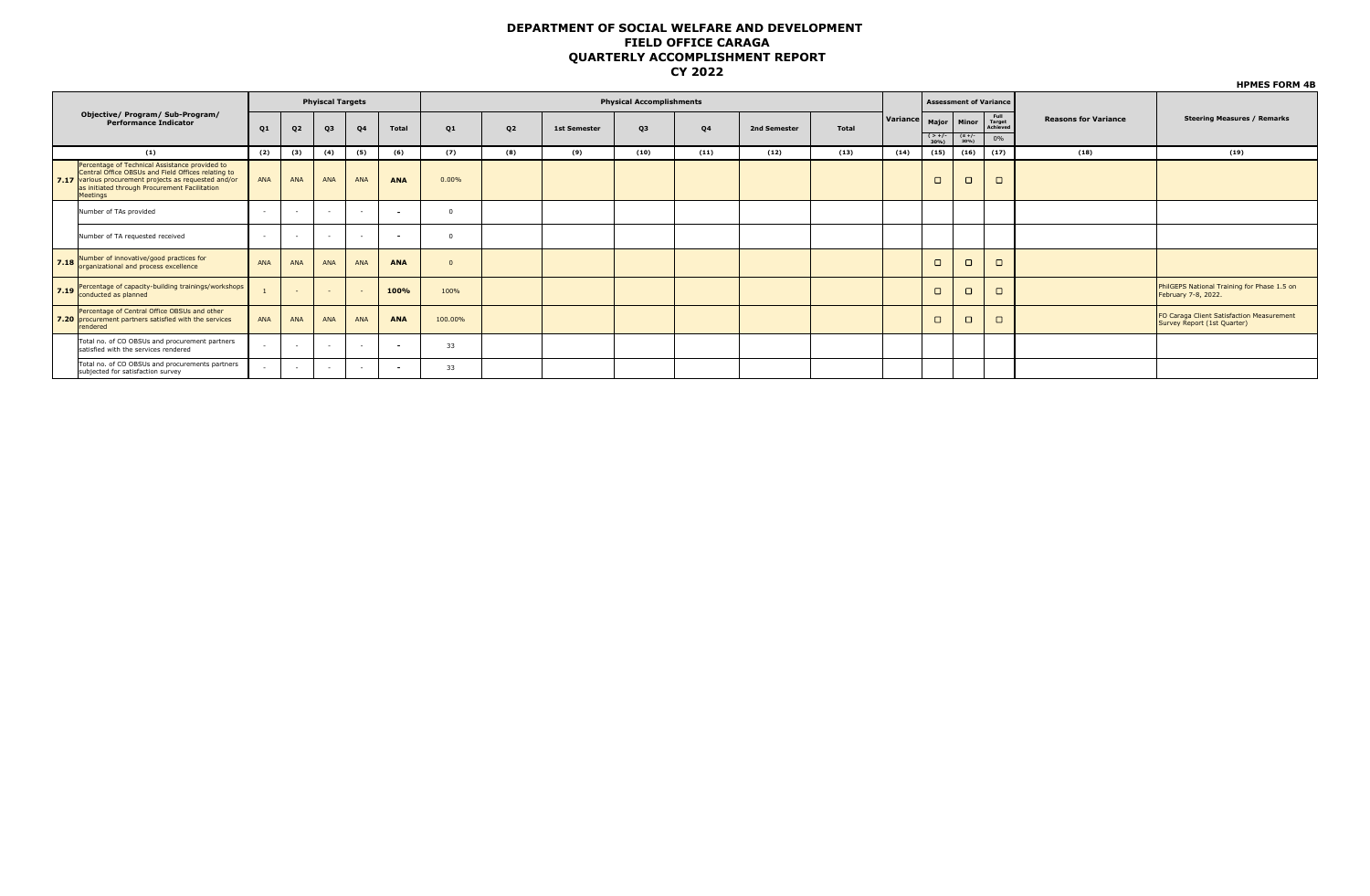|                                                                                                                                                                                                                            |            |                         |            |        |              |         |                |                     |                                 |                |              |              |          |                               | <b>HPMES FORM 4B</b> |                            |                             |                                                                          |
|----------------------------------------------------------------------------------------------------------------------------------------------------------------------------------------------------------------------------|------------|-------------------------|------------|--------|--------------|---------|----------------|---------------------|---------------------------------|----------------|--------------|--------------|----------|-------------------------------|----------------------|----------------------------|-----------------------------|--------------------------------------------------------------------------|
|                                                                                                                                                                                                                            |            | <b>Phyiscal Targets</b> |            |        |              |         |                |                     | <b>Physical Accomplishments</b> |                |              |              |          | <b>Assessment of Variance</b> |                      |                            |                             |                                                                          |
| Objective/ Program/ Sub-Program/<br><b>Performance Indicator</b>                                                                                                                                                           | Q1         | Q <sub>2</sub>          | Q3         | Q4     | <b>Total</b> | Q1      | Q <sub>2</sub> | <b>1st Semester</b> | Q3                              | Q <sub>4</sub> | 2nd Semester | <b>Total</b> | Variance |                               | Major   Minor        | Full<br>Target<br>Achieved | <b>Reasons for Variance</b> | <b>Steering Measures / Remarks</b>                                       |
|                                                                                                                                                                                                                            |            |                         |            |        |              |         |                |                     |                                 |                |              |              |          | $( > +/-$<br>30%)             | $(S +/-$<br>30%)     | 0%                         |                             |                                                                          |
| (1)                                                                                                                                                                                                                        | (2)        | (3)                     | (4)        | (5)    | (6)          | (7)     | (8)            | (9)                 | (10)                            | (11)           | (12)         | (13)         | (14)     | (15)                          | (16)                 | (17)                       | (18)                        | (19)                                                                     |
| Percentage of Technical Assistance provided to<br>Central Office OBSUs and Field Offices relating to<br>7.17 various procurement projects as requested and/or<br>as initiated through Procurement Facilitation<br>Meetings | ANA        | ANA                     | <b>ANA</b> | ANA    | <b>ANA</b>   | 0.00%   |                |                     |                                 |                |              |              |          | $\Box$                        | $\Box$               | $\Box$                     |                             |                                                                          |
| Number of TAs provided                                                                                                                                                                                                     | $\sim$     |                         |            | $\sim$ |              |         |                |                     |                                 |                |              |              |          |                               |                      |                            |                             |                                                                          |
| Number of TA requested received                                                                                                                                                                                            | $\sim$     |                         |            | $\sim$ |              |         |                |                     |                                 |                |              |              |          |                               |                      |                            |                             |                                                                          |
| 7.18 Number of innovative/good practices for<br>organizational and process excellence                                                                                                                                      | <b>ANA</b> | ANA                     | <b>ANA</b> | ANA    | <b>ANA</b>   |         |                |                     |                                 |                |              |              |          | $\Box$                        | $\Box$               | $\Box$                     |                             |                                                                          |
| 7.19 Percentage of capacity-building trainings/workshops<br>conducted as planned                                                                                                                                           |            |                         |            | $\sim$ | 100%         | 100%    |                |                     |                                 |                |              |              |          | $\Box$                        | $\Box$               | $\Box$                     |                             | PhilGEPS National Training for Phase 1.5 on<br>February 7-8, 2022.       |
| Percentage of Central Office OBSUs and other<br>7.20 procurement partners satisfied with the services<br>rendered                                                                                                          | <b>ANA</b> | <b>ANA</b>              | <b>ANA</b> | ANA    | <b>ANA</b>   | 100.00% |                |                     |                                 |                |              |              |          | $\Box$                        | $\Box$               | $\Box$                     |                             | FO Caraga Client Satisfaction Measurement<br>Survey Report (1st Quarter) |
| Total no. of CO OBSUs and procurement partners<br>satisfied with the services rendered                                                                                                                                     | $\sim$     |                         |            | $\sim$ |              | 33      |                |                     |                                 |                |              |              |          |                               |                      |                            |                             |                                                                          |
| Total no. of CO OBSUs and procurements partners<br>subjected for satisfaction survey                                                                                                                                       |            |                         |            | $\sim$ |              | 33      |                |                     |                                 |                |              |              |          |                               |                      |                            |                             |                                                                          |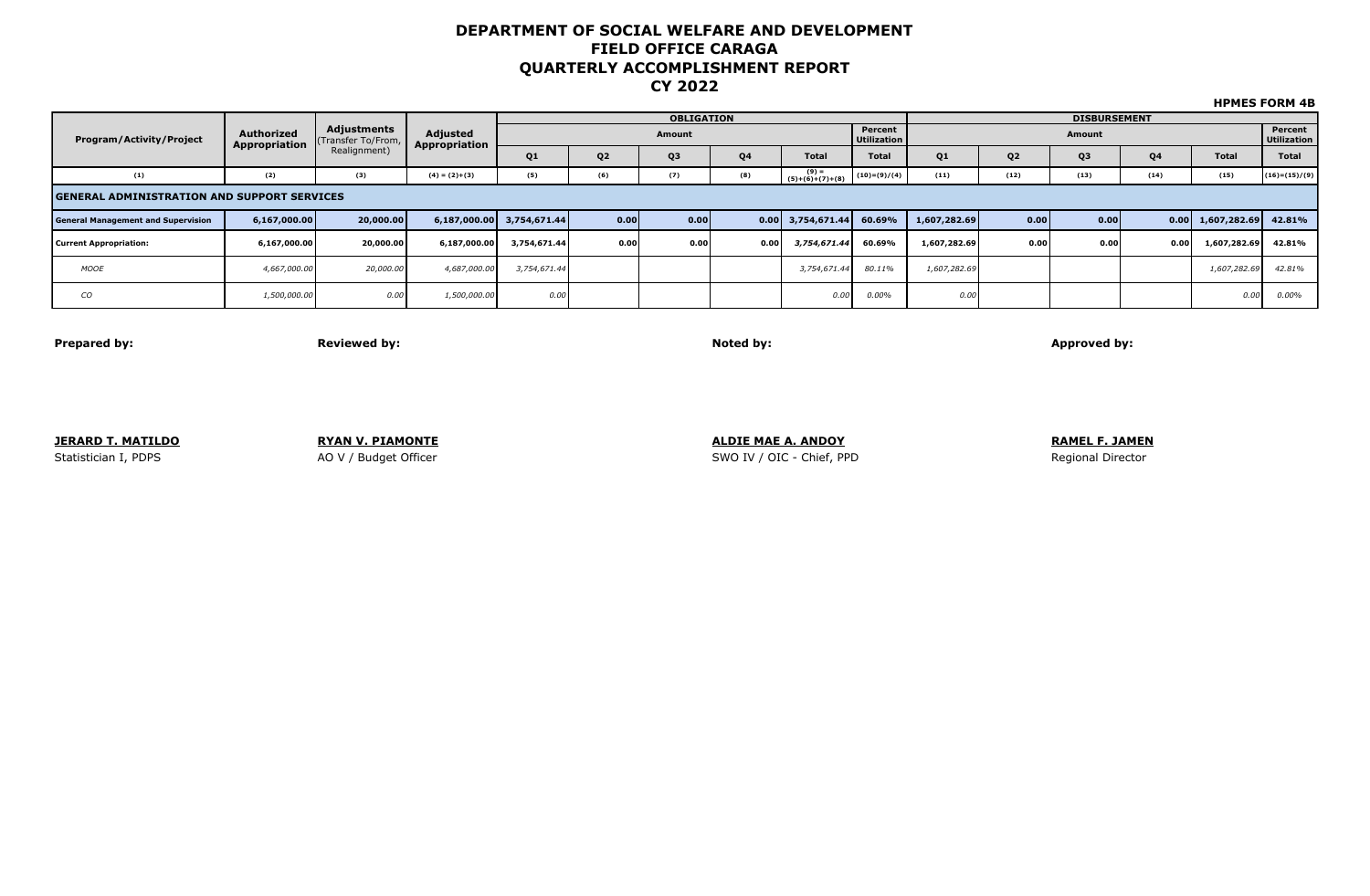|                                                    | Authorized<br>Appropriation |                                  | Adjusted<br>Appropriation |                           |                | <b>OBLIGATION</b> |                |                               | <b>DISBURSEMENT</b>    |                |                |                        |           |                               |                 |  |
|----------------------------------------------------|-----------------------------|----------------------------------|---------------------------|---------------------------|----------------|-------------------|----------------|-------------------------------|------------------------|----------------|----------------|------------------------|-----------|-------------------------------|-----------------|--|
| <b>Program/Activity/Project</b>                    |                             | Adjustments<br>(Transfer To/From |                           |                           |                | Amount            |                |                               | Percent<br>Utilization |                |                | Percent<br>Utilization |           |                               |                 |  |
|                                                    |                             | Realignment)                     |                           | Q <sub>1</sub>            | Q <sub>2</sub> | Q3                | Q <sub>4</sub> | <b>Total</b>                  | <b>Total</b>           | Q <sub>1</sub> | Q <sub>2</sub> | Q3                     | <b>Q4</b> | <b>Total</b>                  | Total           |  |
| (1)                                                | (2)                         | (3)                              | $(4) = (2)+(3)$           | (5)                       | (6)            | (7)               | (8)            | $(9) =$<br>$(5)+(6)+(7)+(8)$  | $(10)=(9)/(4)$         | (11)           | (12)           | (13)                   | (14)      | (15)                          | $(16)=(15)/(9)$ |  |
| <b>GENERAL ADMINISTRATION AND SUPPORT SERVICES</b> |                             |                                  |                           |                           |                |                   |                |                               |                        |                |                |                        |           |                               |                 |  |
| <b>General Management and Supervision</b>          | 6,167,000.00                | 20,000.00                        |                           | 6,187,000.00 3,754,671.44 | 0.00           | 0.00              |                | $0.00 \mid 3,754,671.44 \mid$ | 60.69%                 | 1,607,282.69   | 0.00           | 0.00                   |           | $0.00 \mid 1,607,282.69 \mid$ | 42.81%          |  |
| <b>Current Appropriation:</b>                      | 6,167,000.00                | 20,000.00                        | 6,187,000.00              | 3,754,671.44              | 0.00           | 0.00              | 0.00           | 3,754,671.44                  | 60.69%                 | 1,607,282.69   | 0.00           | 0.00                   | 0.00      | 1,607,282.69                  | 42.81%          |  |
| <b>MOOE</b>                                        | 4,667,000.00                | 20,000.00                        | 4,687,000.00              | 3,754,671.44              |                |                   |                | 3,754,671.44                  | 80.11%                 | 1,607,282.69   |                |                        |           | 1,607,282.69                  | 42.81%          |  |
| CО                                                 | 1,500,000.00                | 0.00                             | 1,500,000.00              | 0.00                      |                |                   |                | 0.00                          | 0.00%                  | 0.00           |                |                        |           | 0.00                          | $0.00\%$        |  |

**Prepared by: Reviewed by: Noted by: Approved by:**

**JERARD T. MATILDO RYAN V. PIAMONTE ALDIE MAE A. ANDOY RAMEL F. JAMEN** Statistician I, PDPS **AO V** / Budget Officer Superversion SWO IV / OIC - Chief, PPD Regional Director